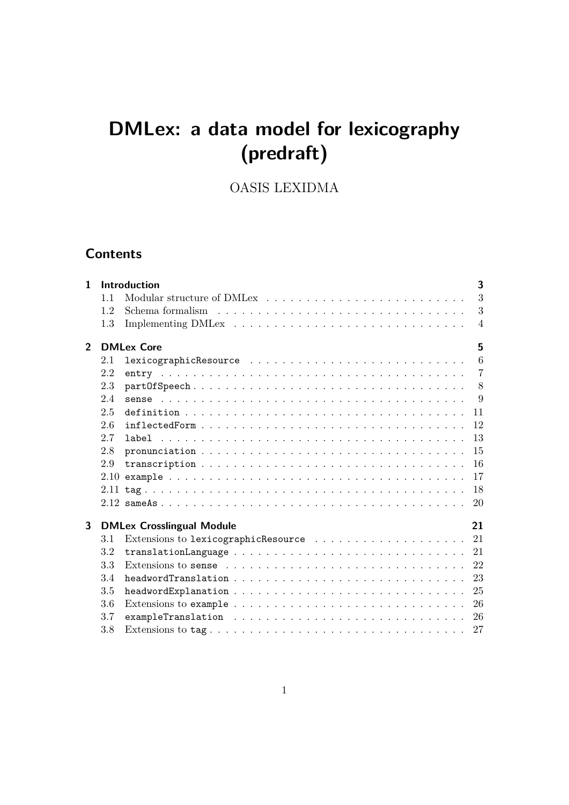# **DMLex: a data model for lexicography (predraft)**

# OASIS LEXIDMA

# **Contents**

| $\mathbf{1}$   |                                        | Introduction                                                                                             | 3                |  |  |  |  |
|----------------|----------------------------------------|----------------------------------------------------------------------------------------------------------|------------------|--|--|--|--|
|                | 1.1                                    |                                                                                                          | 3                |  |  |  |  |
|                | 1.2                                    | Schema formalism $\ldots \ldots \ldots \ldots \ldots \ldots \ldots \ldots \ldots \ldots \ldots$          | 3                |  |  |  |  |
|                | 1.3                                    | Implementing DMLex $\dots \dots \dots \dots \dots \dots \dots \dots \dots \dots \dots \dots$             | $\overline{4}$   |  |  |  |  |
| $\overline{2}$ | 5<br><b>DMLex Core</b>                 |                                                                                                          |                  |  |  |  |  |
|                | 2.1                                    |                                                                                                          | $\boldsymbol{6}$ |  |  |  |  |
|                | 2.2                                    |                                                                                                          | $\overline{7}$   |  |  |  |  |
|                | 2.3                                    |                                                                                                          | 8                |  |  |  |  |
|                | 2.4                                    |                                                                                                          | -9               |  |  |  |  |
|                | 2.5                                    |                                                                                                          | 11               |  |  |  |  |
|                | 2.6                                    |                                                                                                          | 12               |  |  |  |  |
|                | 2.7                                    | label.                                                                                                   | 13               |  |  |  |  |
|                | 2.8                                    |                                                                                                          | 15               |  |  |  |  |
|                | 2.9                                    |                                                                                                          |                  |  |  |  |  |
|                |                                        |                                                                                                          | 17               |  |  |  |  |
|                |                                        |                                                                                                          | 18               |  |  |  |  |
|                |                                        |                                                                                                          | 20               |  |  |  |  |
| 3              | 21<br><b>DMLex Crosslingual Module</b> |                                                                                                          |                  |  |  |  |  |
|                | 3.1                                    |                                                                                                          |                  |  |  |  |  |
|                | 3.2                                    |                                                                                                          | 21               |  |  |  |  |
|                | 3.3                                    | Extensions to sense $\ldots \ldots \ldots \ldots \ldots \ldots \ldots \ldots \ldots \ldots \ldots 22$    |                  |  |  |  |  |
|                | 3.4                                    | $headwordTranslation \dots \dots \dots \dots \dots \dots \dots \dots \dots \dots \dots \dots \dots \ 23$ |                  |  |  |  |  |
|                | 3.5                                    |                                                                                                          |                  |  |  |  |  |
|                | 3.6                                    | Extensions to example $\ldots \ldots \ldots \ldots \ldots \ldots \ldots \ldots \ldots \ldots 26$         |                  |  |  |  |  |
|                | 3.7                                    | $example$ Translation  26                                                                                |                  |  |  |  |  |
|                | 3.8                                    |                                                                                                          |                  |  |  |  |  |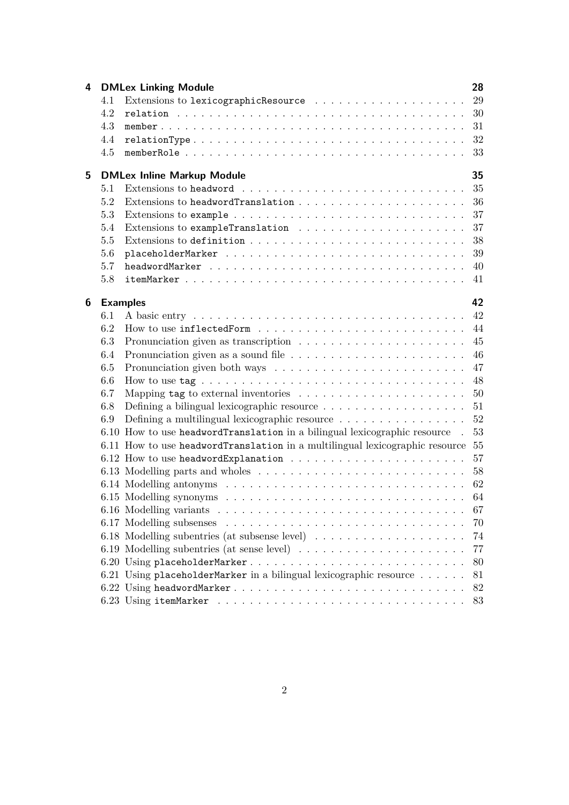| 4.1<br>4.2<br>30<br>4.3<br>31<br>$relationType \ldots \ldots \ldots \ldots \ldots \ldots \ldots \ldots \ldots \ldots \ldots \ldots 32$<br>4.4<br>33<br>4.5<br>35<br><b>DMLex Inline Markup Module</b><br>5.1<br>5.2<br>37<br>5.3<br>37<br>5.4<br>38<br>5.5<br>39<br>5.6<br>5.7<br>40<br>5.8<br>41<br>42<br><b>Examples</b><br>6.1<br>6.2<br>6.3<br>46<br>6.4<br>6.5<br>48<br>6.6<br>6.7<br>Mapping tag to external inventories $\ldots \ldots \ldots \ldots \ldots \ldots$<br>6.8<br>51<br>Defining a multilingual lexicographic resource $\dots \dots \dots \dots \dots$<br>6.9<br>6.10 How to use headwordTranslation in a bilingual lexicographic resource.<br>6.11 How to use headwordTranslation in a multilingual lexicographic resource<br>6.12 How to use headword Explanation $\ldots \ldots \ldots \ldots \ldots \ldots \ldots$<br>57<br>6.14 Modelling antonyms $\ldots \ldots \ldots \ldots \ldots \ldots \ldots \ldots \ldots \ldots \ldots \ldots 62$<br>74<br>77<br>6.20 Using placeholderMarker<br>80<br>6.21 Using placeholderMarker in a bilingual lexicographic resource<br>6.22 Using headwordMarker<br>83 | 4 | <b>DMLex Linking Module</b> | 28 |
|--------------------------------------------------------------------------------------------------------------------------------------------------------------------------------------------------------------------------------------------------------------------------------------------------------------------------------------------------------------------------------------------------------------------------------------------------------------------------------------------------------------------------------------------------------------------------------------------------------------------------------------------------------------------------------------------------------------------------------------------------------------------------------------------------------------------------------------------------------------------------------------------------------------------------------------------------------------------------------------------------------------------------------------------------------------------------------------------------------------------------------|---|-----------------------------|----|
| 35<br>42<br>44<br>45<br>50<br>52<br>53<br>55<br>67<br>70<br>81<br>82                                                                                                                                                                                                                                                                                                                                                                                                                                                                                                                                                                                                                                                                                                                                                                                                                                                                                                                                                                                                                                                           |   |                             | 29 |
|                                                                                                                                                                                                                                                                                                                                                                                                                                                                                                                                                                                                                                                                                                                                                                                                                                                                                                                                                                                                                                                                                                                                |   |                             |    |
|                                                                                                                                                                                                                                                                                                                                                                                                                                                                                                                                                                                                                                                                                                                                                                                                                                                                                                                                                                                                                                                                                                                                |   |                             |    |
|                                                                                                                                                                                                                                                                                                                                                                                                                                                                                                                                                                                                                                                                                                                                                                                                                                                                                                                                                                                                                                                                                                                                |   |                             |    |
|                                                                                                                                                                                                                                                                                                                                                                                                                                                                                                                                                                                                                                                                                                                                                                                                                                                                                                                                                                                                                                                                                                                                |   |                             |    |
|                                                                                                                                                                                                                                                                                                                                                                                                                                                                                                                                                                                                                                                                                                                                                                                                                                                                                                                                                                                                                                                                                                                                | 5 |                             |    |
|                                                                                                                                                                                                                                                                                                                                                                                                                                                                                                                                                                                                                                                                                                                                                                                                                                                                                                                                                                                                                                                                                                                                |   |                             |    |
|                                                                                                                                                                                                                                                                                                                                                                                                                                                                                                                                                                                                                                                                                                                                                                                                                                                                                                                                                                                                                                                                                                                                |   |                             |    |
|                                                                                                                                                                                                                                                                                                                                                                                                                                                                                                                                                                                                                                                                                                                                                                                                                                                                                                                                                                                                                                                                                                                                |   |                             |    |
|                                                                                                                                                                                                                                                                                                                                                                                                                                                                                                                                                                                                                                                                                                                                                                                                                                                                                                                                                                                                                                                                                                                                |   |                             |    |
|                                                                                                                                                                                                                                                                                                                                                                                                                                                                                                                                                                                                                                                                                                                                                                                                                                                                                                                                                                                                                                                                                                                                |   |                             |    |
|                                                                                                                                                                                                                                                                                                                                                                                                                                                                                                                                                                                                                                                                                                                                                                                                                                                                                                                                                                                                                                                                                                                                |   |                             |    |
|                                                                                                                                                                                                                                                                                                                                                                                                                                                                                                                                                                                                                                                                                                                                                                                                                                                                                                                                                                                                                                                                                                                                |   |                             |    |
|                                                                                                                                                                                                                                                                                                                                                                                                                                                                                                                                                                                                                                                                                                                                                                                                                                                                                                                                                                                                                                                                                                                                |   |                             |    |
|                                                                                                                                                                                                                                                                                                                                                                                                                                                                                                                                                                                                                                                                                                                                                                                                                                                                                                                                                                                                                                                                                                                                | 6 |                             |    |
|                                                                                                                                                                                                                                                                                                                                                                                                                                                                                                                                                                                                                                                                                                                                                                                                                                                                                                                                                                                                                                                                                                                                |   |                             |    |
|                                                                                                                                                                                                                                                                                                                                                                                                                                                                                                                                                                                                                                                                                                                                                                                                                                                                                                                                                                                                                                                                                                                                |   |                             |    |
|                                                                                                                                                                                                                                                                                                                                                                                                                                                                                                                                                                                                                                                                                                                                                                                                                                                                                                                                                                                                                                                                                                                                |   |                             |    |
|                                                                                                                                                                                                                                                                                                                                                                                                                                                                                                                                                                                                                                                                                                                                                                                                                                                                                                                                                                                                                                                                                                                                |   |                             |    |
|                                                                                                                                                                                                                                                                                                                                                                                                                                                                                                                                                                                                                                                                                                                                                                                                                                                                                                                                                                                                                                                                                                                                |   |                             |    |
|                                                                                                                                                                                                                                                                                                                                                                                                                                                                                                                                                                                                                                                                                                                                                                                                                                                                                                                                                                                                                                                                                                                                |   |                             |    |
|                                                                                                                                                                                                                                                                                                                                                                                                                                                                                                                                                                                                                                                                                                                                                                                                                                                                                                                                                                                                                                                                                                                                |   |                             |    |
|                                                                                                                                                                                                                                                                                                                                                                                                                                                                                                                                                                                                                                                                                                                                                                                                                                                                                                                                                                                                                                                                                                                                |   |                             |    |
|                                                                                                                                                                                                                                                                                                                                                                                                                                                                                                                                                                                                                                                                                                                                                                                                                                                                                                                                                                                                                                                                                                                                |   |                             |    |
|                                                                                                                                                                                                                                                                                                                                                                                                                                                                                                                                                                                                                                                                                                                                                                                                                                                                                                                                                                                                                                                                                                                                |   |                             |    |
|                                                                                                                                                                                                                                                                                                                                                                                                                                                                                                                                                                                                                                                                                                                                                                                                                                                                                                                                                                                                                                                                                                                                |   |                             |    |
|                                                                                                                                                                                                                                                                                                                                                                                                                                                                                                                                                                                                                                                                                                                                                                                                                                                                                                                                                                                                                                                                                                                                |   |                             |    |
|                                                                                                                                                                                                                                                                                                                                                                                                                                                                                                                                                                                                                                                                                                                                                                                                                                                                                                                                                                                                                                                                                                                                |   |                             |    |
|                                                                                                                                                                                                                                                                                                                                                                                                                                                                                                                                                                                                                                                                                                                                                                                                                                                                                                                                                                                                                                                                                                                                |   |                             |    |
|                                                                                                                                                                                                                                                                                                                                                                                                                                                                                                                                                                                                                                                                                                                                                                                                                                                                                                                                                                                                                                                                                                                                |   |                             |    |
|                                                                                                                                                                                                                                                                                                                                                                                                                                                                                                                                                                                                                                                                                                                                                                                                                                                                                                                                                                                                                                                                                                                                |   |                             |    |
|                                                                                                                                                                                                                                                                                                                                                                                                                                                                                                                                                                                                                                                                                                                                                                                                                                                                                                                                                                                                                                                                                                                                |   |                             |    |
|                                                                                                                                                                                                                                                                                                                                                                                                                                                                                                                                                                                                                                                                                                                                                                                                                                                                                                                                                                                                                                                                                                                                |   |                             |    |
|                                                                                                                                                                                                                                                                                                                                                                                                                                                                                                                                                                                                                                                                                                                                                                                                                                                                                                                                                                                                                                                                                                                                |   |                             |    |
|                                                                                                                                                                                                                                                                                                                                                                                                                                                                                                                                                                                                                                                                                                                                                                                                                                                                                                                                                                                                                                                                                                                                |   |                             |    |
|                                                                                                                                                                                                                                                                                                                                                                                                                                                                                                                                                                                                                                                                                                                                                                                                                                                                                                                                                                                                                                                                                                                                |   |                             |    |
|                                                                                                                                                                                                                                                                                                                                                                                                                                                                                                                                                                                                                                                                                                                                                                                                                                                                                                                                                                                                                                                                                                                                |   |                             |    |
|                                                                                                                                                                                                                                                                                                                                                                                                                                                                                                                                                                                                                                                                                                                                                                                                                                                                                                                                                                                                                                                                                                                                |   |                             |    |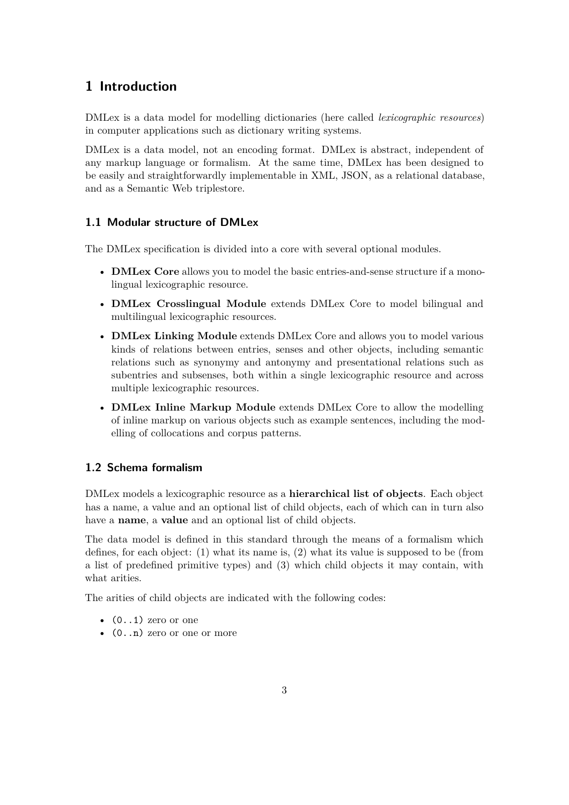## <span id="page-2-0"></span>**1 Introduction**

DMLex is a data model for modelling dictionaries (here called *lexicographic resources*) in computer applications such as dictionary writing systems.

DMLex is a data model, not an encoding format. DMLex is abstract, independent of any markup language or formalism. At the same time, DMLex has been designed to be easily and straightforwardly implementable in XML, JSON, as a relational database, and as a Semantic Web triplestore.

#### <span id="page-2-1"></span>**1.1 Modular structure of DMLex**

The DMLex specification is divided into a core with several optional modules.

- **DMLex Core** allows you to model the basic entries-and-sense structure if a monolingual lexicographic resource.
- **DMLex Crosslingual Module** extends DMLex Core to model bilingual and multilingual lexicographic resources.
- **DMLex Linking Module** extends DMLex Core and allows you to model various kinds of relations between entries, senses and other objects, including semantic relations such as synonymy and antonymy and presentational relations such as subentries and subsenses, both within a single lexicographic resource and across multiple lexicographic resources.
- **DMLex Inline Markup Module** extends DMLex Core to allow the modelling of inline markup on various objects such as example sentences, including the modelling of collocations and corpus patterns.

#### <span id="page-2-2"></span>**1.2 Schema formalism**

DMLex models a lexicographic resource as a **hierarchical list of objects**. Each object has a name, a value and an optional list of child objects, each of which can in turn also have a **name**, a **value** and an optional list of child objects.

The data model is defined in this standard through the means of a formalism which defines, for each object: (1) what its name is, (2) what its value is supposed to be (from a list of predefined primitive types) and (3) which child objects it may contain, with what arities.

The arities of child objects are indicated with the following codes:

- $\bullet$   $(0, 1)$  zero or one
- (0..n) zero or one or more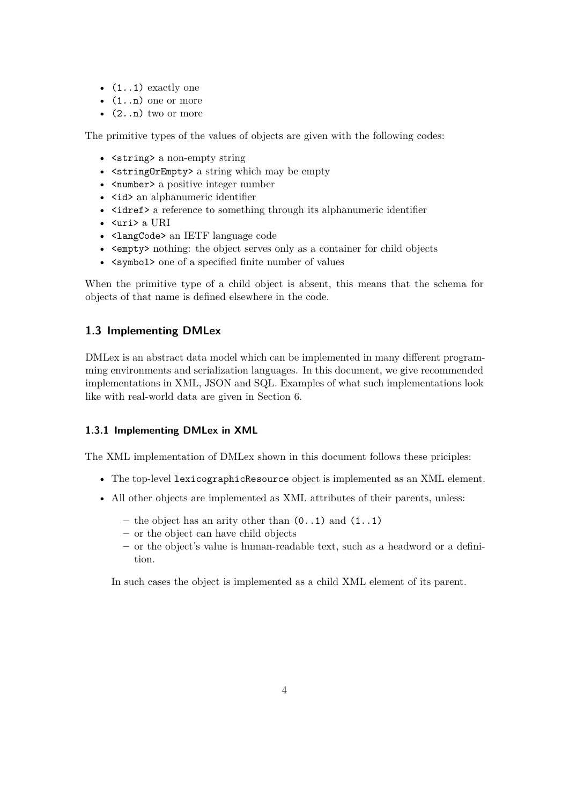- $(1..1)$  exactly one
- $\bullet$   $(1..n)$  one or more
- $\bullet$   $(2, n)$  two or more

The primitive types of the values of objects are given with the following codes:

- <string> a non-empty string
- <stringOrEmpty> a string which may be empty
- <number> a positive integer number
- $\langle id \rangle$  an alphanumeric identifier
- $\leq$  idref> a reference to something through its alphanumeric identifier
- <uri> a URI
- <langCode> an IETF language code
- $\leq$  empty nothing: the object serves only as a container for child objects
- <symbol> one of a specified finite number of values

When the primitive type of a child object is absent, this means that the schema for objects of that name is defined elsewhere in the code.

#### **1.3 Implementing DMLex**

<span id="page-3-0"></span>DMLex is an abstract data model which can be implemented in many different programming environments and serialization languages. In this document, we give recommended implementations in XML, JSON and SQL. Examples of what such implementations look like with real-world data are given in Section 6.

#### **1.3.1 Implementing DMLex in XML**

The XML implementation of DMLex shown in this document follows these priciples:

- The top-level lexicographicResource object is implemented as an XML element.
- All other objects are implemented as XML attributes of their parents, unless:
	- **–** the object has an arity other than (0..1) and (1..1)
	- **–** or the object can have child objects
	- **–** or the object's value is human-readable text, such as a headword or a definition.

In such cases the object is implemented as a child XML element of its parent.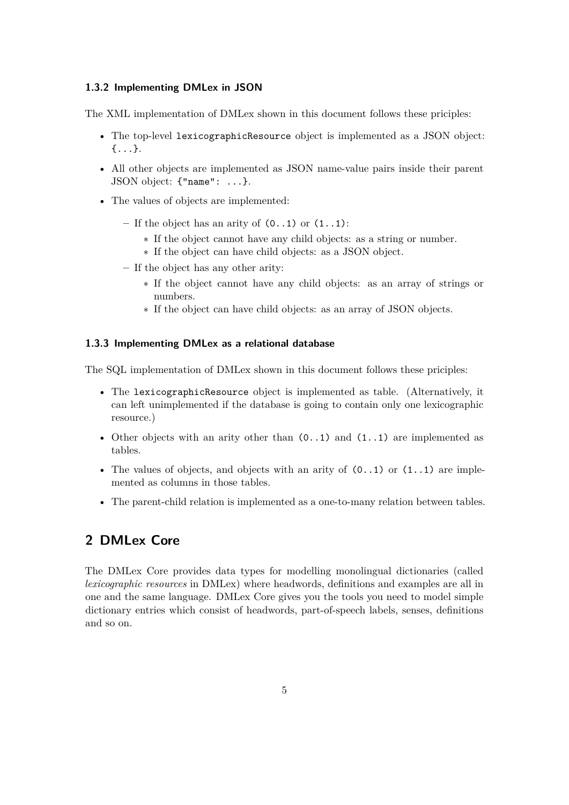#### **1.3.2 Implementing DMLex in JSON**

The XML implementation of DMLex shown in this document follows these priciples:

- The top-level lexicographicResource object is implemented as a JSON object: {...}.
- All other objects are implemented as JSON name-value pairs inside their parent JSON object: {"name": ...}.
- The values of objects are implemented:
	- **–** If the object has an arity of (0..1) or (1..1):
		- ∗ If the object cannot have any child objects: as a string or number.
		- ∗ If the object can have child objects: as a JSON object.
	- **–** If the object has any other arity:
		- ∗ If the object cannot have any child objects: as an array of strings or numbers.
		- ∗ If the object can have child objects: as an array of JSON objects.

#### **1.3.3 Implementing DMLex as a relational database**

The SQL implementation of DMLex shown in this document follows these priciples:

- The lexicographicResource object is implemented as table. (Alternatively, it can left unimplemented if the database is going to contain only one lexicographic resource.)
- Other objects with an arity other than  $(0..1)$  and  $(1..1)$  are implemented as tables.
- The values of objects, and objects with an arity of  $(0..1)$  or  $(1..1)$  are implemented as columns in those tables.
- The parent-child relation is implemented as a one-to-many relation between tables.

### <span id="page-4-0"></span>**2 DMLex Core**

The DMLex Core provides data types for modelling monolingual dictionaries (called *lexicographic resources* in DMLex) where headwords, definitions and examples are all in one and the same language. DMLex Core gives you the tools you need to model simple dictionary entries which consist of headwords, part-of-speech labels, senses, definitions and so on.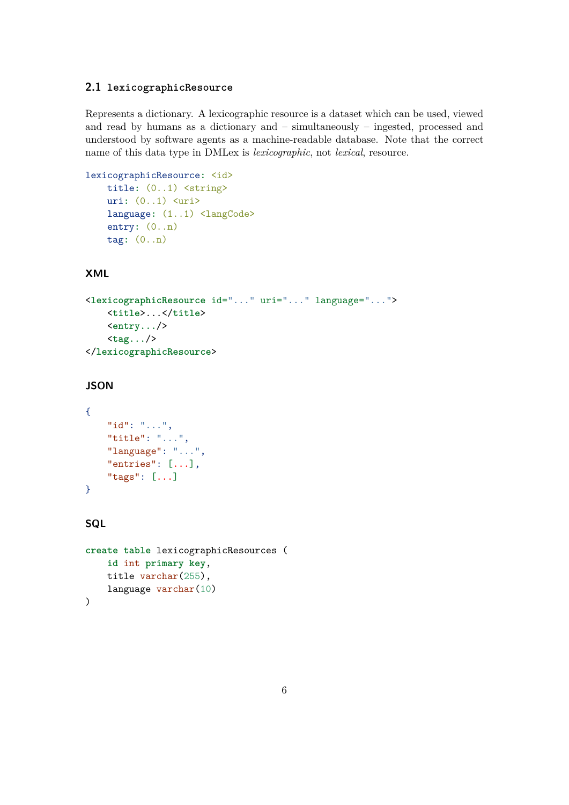#### <span id="page-5-0"></span>**2.1 lexicographicResource**

Represents a dictionary. A lexicographic resource is a dataset which can be used, viewed and read by humans as a dictionary and – simultaneously – ingested, processed and understood by software agents as a machine-readable database. Note that the correct name of this data type in DMLex is *lexicographic*, not *lexical*, resource.

```
lexicographicResource: <id>
    title: (0..1) <string>
    uri: (0..1) <uri>
    language: (1..1) <langCode>
    entry: (0..n)
    tag: (0..n)
```
#### **XML**

```
<lexicographicResource id="..." uri="..." language="...">
    <title>...</title>
    <entry.../>
    <tag.../>
</lexicographicResource>
```
#### **JSON**

```
{
    "id": "...",
    "title": "...",
    "language": "...",
    "entries": [...],
    "tags": [...]
}
```
#### **SQL**

```
create table lexicographicResources (
    id int primary key,
   title varchar(255),
   language varchar(10)
)
```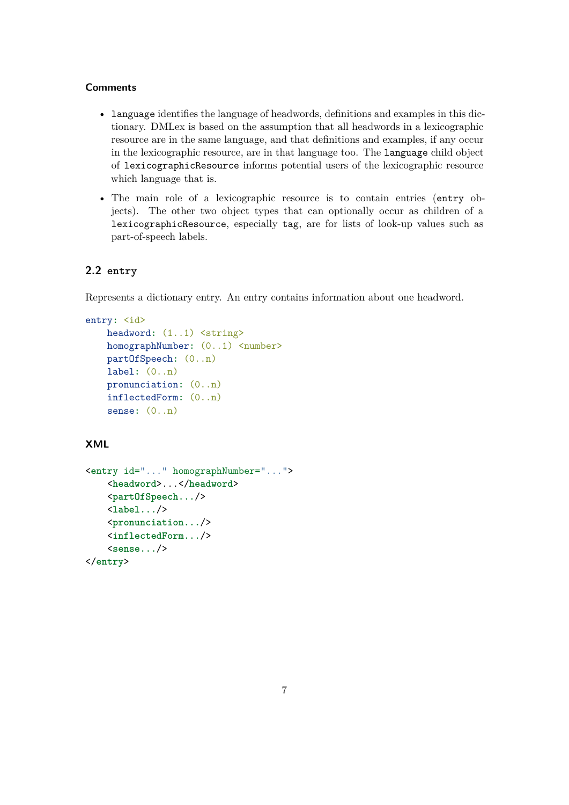#### **Comments**

- language identifies the language of headwords, definitions and examples in this dictionary. DMLex is based on the assumption that all headwords in a lexicographic resource are in the same language, and that definitions and examples, if any occur in the lexicographic resource, are in that language too. The language child object of lexicographicResource informs potential users of the lexicographic resource which language that is.
- The main role of a lexicographic resource is to contain entries (entry objects). The other two object types that can optionally occur as children of a lexicographicResource, especially tag, are for lists of look-up values such as part-of-speech labels.

#### <span id="page-6-0"></span>**2.2 entry**

Represents a dictionary entry. An entry contains information about one headword.

```
entry: \langleid>
    headword: (1..1) <string>
    homographNumber: (0..1) <number>
    partOfSpeech: (0..n)
    label: (0..n)
    pronunciation: (0..n)
    inflectedForm: (0..n)
    sense: (0..n)
```

```
<entry id="..." homographNumber="...">
    <headword>...</headword>
    <partOfSpeech.../>
    <label.../>
    <pronunciation.../>
    <inflectedForm.../>
    <sense.../>
</entry>
```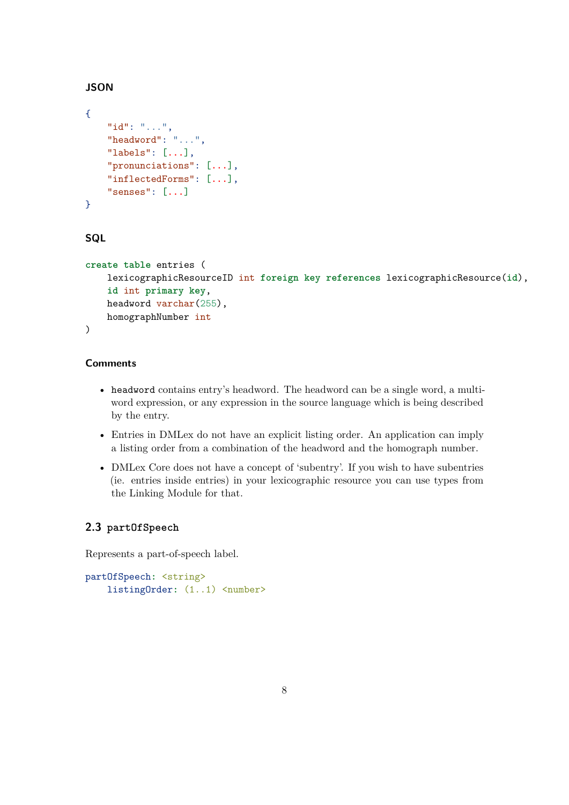```
{
    "id": "...",
    "headword": "...",
    "labels": [...],
    "pronunciations": [...],
    "inflectedForms": [...],
    "senses": [...]
}
```
#### **SQL**

```
create table entries (
    lexicographicResourceID int foreign key references lexicographicResource(id),
    id int primary key,
    headword varchar(255),
   homographNumber int
\lambda
```
#### **Comments**

- headword contains entry's headword. The headword can be a single word, a multiword expression, or any expression in the source language which is being described by the entry.
- Entries in DMLex do not have an explicit listing order. An application can imply a listing order from a combination of the headword and the homograph number.
- DMLex Core does not have a concept of 'subentry'. If you wish to have subentries (ie. entries inside entries) in your lexicographic resource you can use types from the Linking Module for that.

#### <span id="page-7-0"></span>**2.3 partOfSpeech**

Represents a part-of-speech label.

```
partOfSpeech: <string>
    listingOrder: (1..1) <number>
```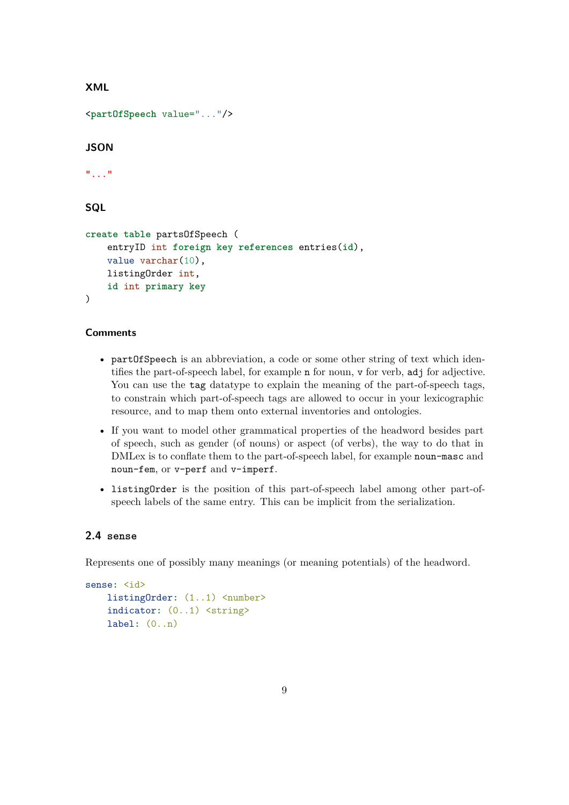#### **XML**

```
<partOfSpeech value="..."/>
```
#### **JSON**

**"..."**

#### **SQL**

```
create table partsOfSpeech (
    entryID int foreign key references entries(id),
    value varchar(10),
    listingOrder int,
    id int primary key
\lambda
```
#### **Comments**

- partOfSpeech is an abbreviation, a code or some other string of text which identifies the part-of-speech label, for example n for noun, v for verb, adj for adjective. You can use the tag datatype to explain the meaning of the part-of-speech tags, to constrain which part-of-speech tags are allowed to occur in your lexicographic resource, and to map them onto external inventories and ontologies.
- If you want to model other grammatical properties of the headword besides part of speech, such as gender (of nouns) or aspect (of verbs), the way to do that in DMLex is to conflate them to the part-of-speech label, for example noun-masc and noun-fem, or v-perf and v-imperf.
- listingOrder is the position of this part-of-speech label among other part-ofspeech labels of the same entry. This can be implicit from the serialization.

#### <span id="page-8-0"></span>**2.4 sense**

Represents one of possibly many meanings (or meaning potentials) of the headword.

```
sense: \langle id \ranglelistingOrder: (1..1) <number>
    indicator: (0..1) <string>
    label: (0..n)
```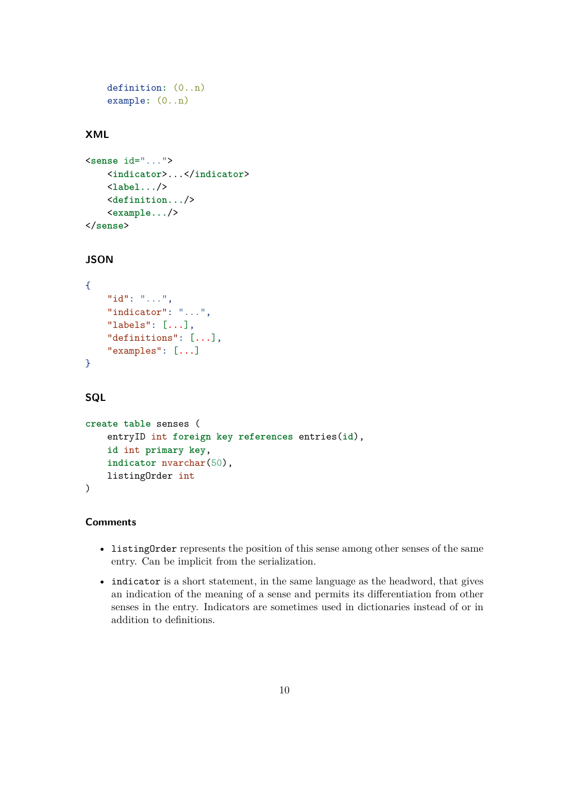```
definition: (0..n)
example: (0..n)
```
#### **XML**

```
<sense id="...">
    <indicator>...</indicator>
    <label.../>
    <definition.../>
    <example.../>
</sense>
```
#### **JSON**

```
{
    "id": "...",
    "indicator": "...",
    "labels": [...],
    "definitions": [...],
    "examples": [...]
}
```
#### **SQL**

```
create table senses (
    entryID int foreign key references entries(id),
    id int primary key,
    indicator nvarchar(50),
    listingOrder int
\lambda
```
- listingOrder represents the position of this sense among other senses of the same entry. Can be implicit from the serialization.
- indicator is a short statement, in the same language as the headword, that gives an indication of the meaning of a sense and permits its differentiation from other senses in the entry. Indicators are sometimes used in dictionaries instead of or in addition to definitions.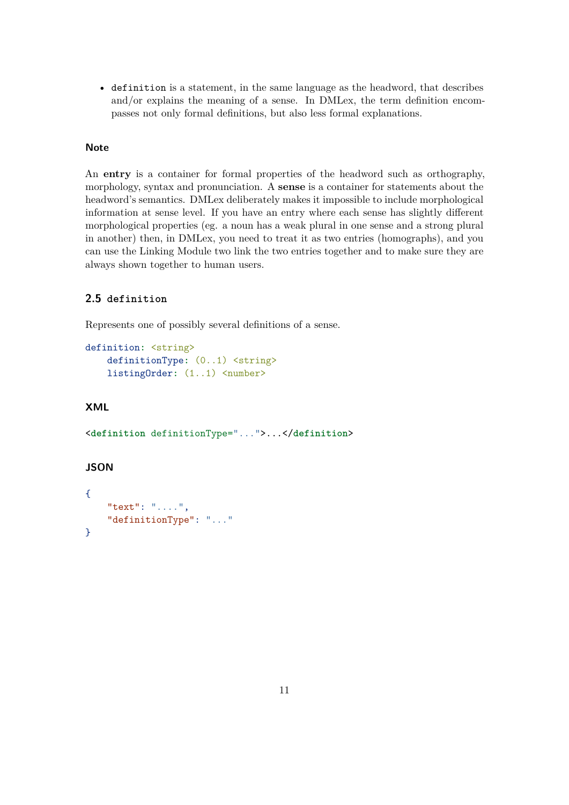• definition is a statement, in the same language as the headword, that describes and/or explains the meaning of a sense. In DMLex, the term definition encompasses not only formal definitions, but also less formal explanations.

#### **Note**

An **entry** is a container for formal properties of the headword such as orthography, morphology, syntax and pronunciation. A **sense** is a container for statements about the headword's semantics. DMLex deliberately makes it impossible to include morphological information at sense level. If you have an entry where each sense has slightly different morphological properties (eg. a noun has a weak plural in one sense and a strong plural in another) then, in DMLex, you need to treat it as two entries (homographs), and you can use the Linking Module two link the two entries together and to make sure they are always shown together to human users.

#### <span id="page-10-0"></span>**2.5 definition**

Represents one of possibly several definitions of a sense.

```
definition: <string>
    definitionType: (0..1) <string>
    listingOrder: (1..1) <number>
```
#### **XML**

```
<definition definitionType="...">...</definition>
```
#### **JSON**

```
{
    "text": "....",
    "definitionType": "..."
}
```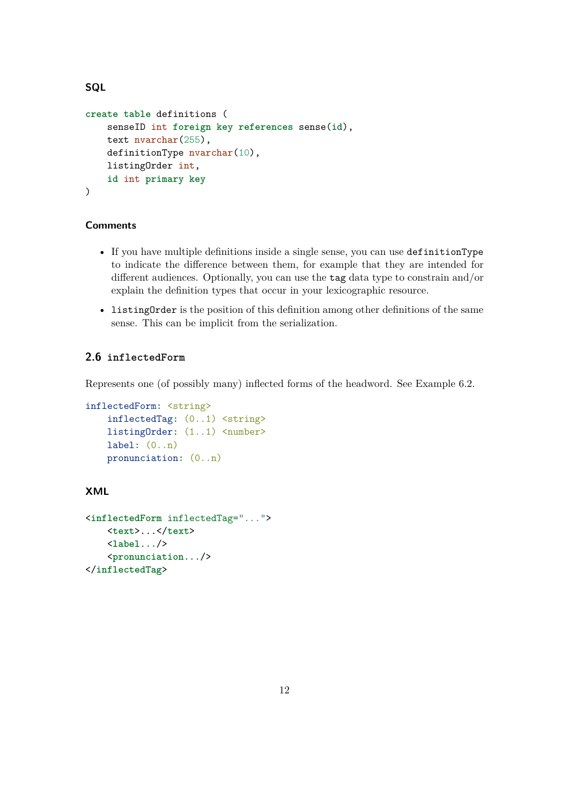```
create table definitions (
    senseID int foreign key references sense(id),
    text nvarchar(255),
    definitionType nvarchar(10),
    listingOrder int,
    id int primary key
)
```
#### **Comments**

- If you have multiple definitions inside a single sense, you can use definitionType to indicate the difference between them, for example that they are intended for different audiences. Optionally, you can use the tag data type to constrain and/or explain the definition types that occur in your lexicographic resource.
- listingOrder is the position of this definition among other definitions of the same sense. This can be implicit from the serialization.

#### **2.6 inflectedForm**

Represents one (of possibly many) inflected forms of the headword. See Example 6.2.

```
inflectedForm: <string>
    inflectedTag: (0..1) <string>
    listingOrder: (1..1) <number>
   label: (0..n)
   pronunciation: (0..n)
```

```
<inflectedForm inflectedTag="...">
   <text>...</text>
    <label.../>
    <pronunciation.../>
</inflectedTag>
```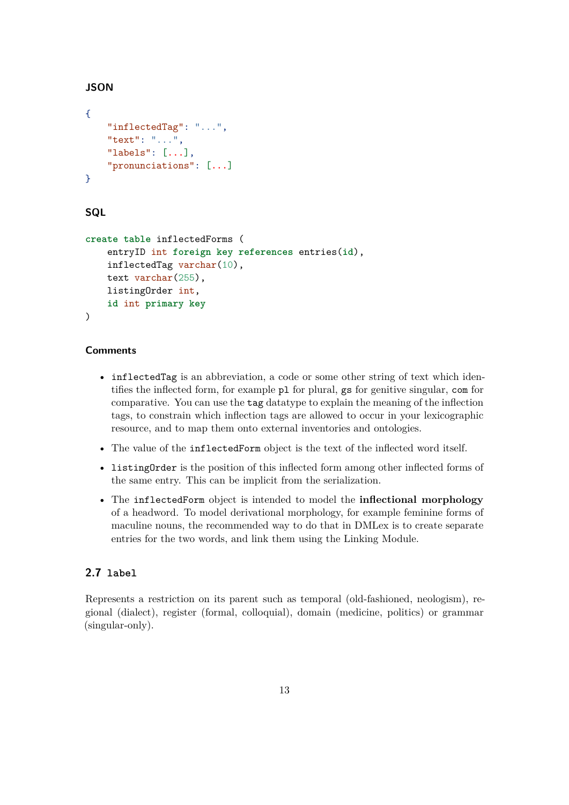```
{
    "inflectedTag": "...",
    "text": "...",
    "labels": [...],
    "pronunciations": [...]
}
```
#### **SQL**

```
create table inflectedForms (
    entryID int foreign key references entries(id),
    inflectedTag varchar(10),
    text varchar(255),
    listingOrder int,
    id int primary key
)
```
#### **Comments**

- inflectedTag is an abbreviation, a code or some other string of text which identifies the inflected form, for example pl for plural, gs for genitive singular, com for comparative. You can use the tag datatype to explain the meaning of the inflection tags, to constrain which inflection tags are allowed to occur in your lexicographic resource, and to map them onto external inventories and ontologies.
- The value of the inflectedForm object is the text of the inflected word itself.
- listingOrder is the position of this inflected form among other inflected forms of the same entry. This can be implicit from the serialization.
- The inflectedForm object is intended to model the **inflectional morphology** of a headword. To model derivational morphology, for example feminine forms of maculine nouns, the recommended way to do that in DMLex is to create separate entries for the two words, and link them using the Linking Module.

#### <span id="page-12-0"></span>**2.7 label**

Represents a restriction on its parent such as temporal (old-fashioned, neologism), regional (dialect), register (formal, colloquial), domain (medicine, politics) or grammar (singular-only).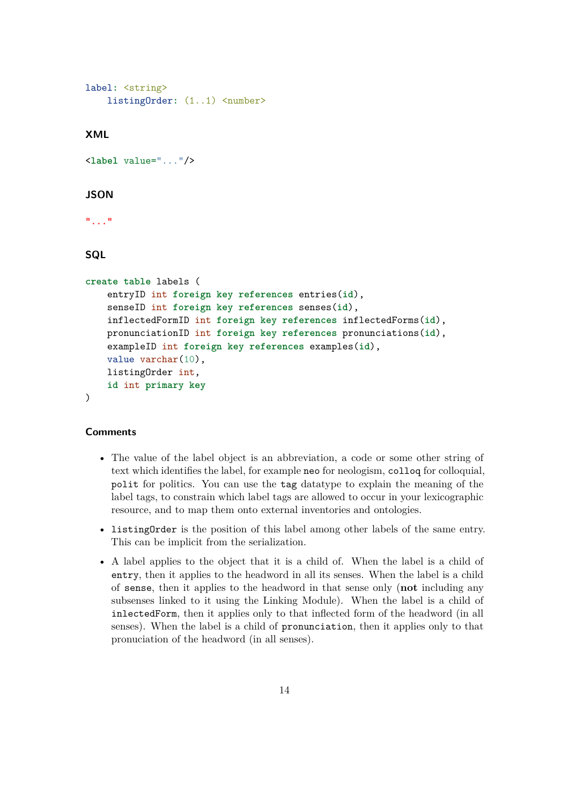```
label: <string>
    listingOrder: (1..1) <number>
```
#### **XML**

```
<label value="..."/>
```
#### **JSON**

**"..."**

#### **SQL**

```
create table labels (
    entryID int foreign key references entries(id),
    senseID int foreign key references senses(id),
    inflectedFormID int foreign key references inflectedForms(id),
    pronunciationID int foreign key references pronunciations(id),
    exampleID int foreign key references examples(id),
    value varchar(10),
    listingOrder int,
    id int primary key
)
```
- The value of the label object is an abbreviation, a code or some other string of text which identifies the label, for example neo for neologism, colloq for colloquial, polit for politics. You can use the tag datatype to explain the meaning of the label tags, to constrain which label tags are allowed to occur in your lexicographic resource, and to map them onto external inventories and ontologies.
- listingOrder is the position of this label among other labels of the same entry. This can be implicit from the serialization.
- A label applies to the object that it is a child of. When the label is a child of entry, then it applies to the headword in all its senses. When the label is a child of sense, then it applies to the headword in that sense only (**not** including any subsenses linked to it using the Linking Module). When the label is a child of inlectedForm, then it applies only to that inflected form of the headword (in all senses). When the label is a child of pronunciation, then it applies only to that pronuciation of the headword (in all senses).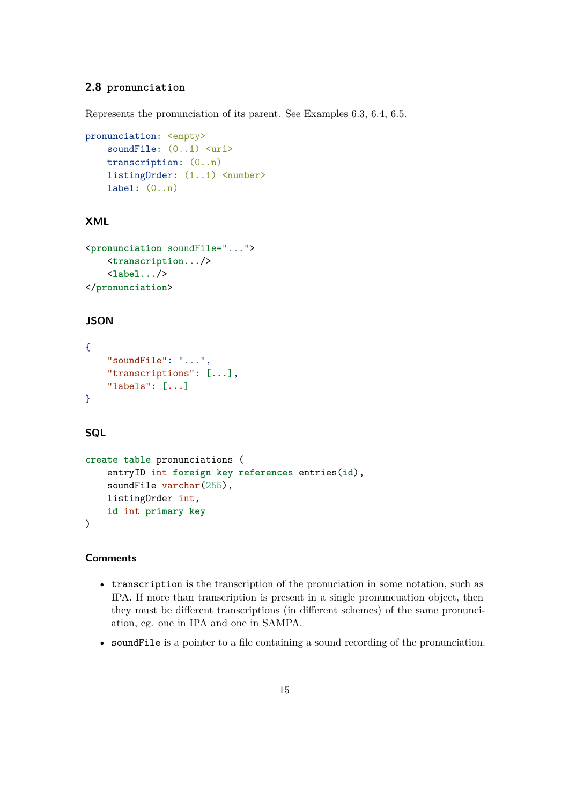#### **2.8 pronunciation**

Represents the pronunciation of its parent. See Examples 6.3, 6.4, 6.5.

```
pronunciation: <empty>
    soundFile: (0..1) <uri>
    transcription: (0..n)
    listingOrder: (1..1) <number>
    label: (0..n)
```
#### **XML**

```
<pronunciation soundFile="...">
    <transcription.../>
    <label.../>
</pronunciation>
```
#### **JSON**

```
{
    "soundFile": "...",
    "transcriptions": [...],
    "labels": [...]
}
```
#### **SQL**

```
create table pronunciations (
    entryID int foreign key references entries(id),
    soundFile varchar(255),
    listingOrder int,
    id int primary key
)
```
- transcription is the transcription of the pronuciation in some notation, such as IPA. If more than transcription is present in a single pronuncuation object, then they must be different transcriptions (in different schemes) of the same pronunciation, eg. one in IPA and one in SAMPA.
- soundFile is a pointer to a file containing a sound recording of the pronunciation.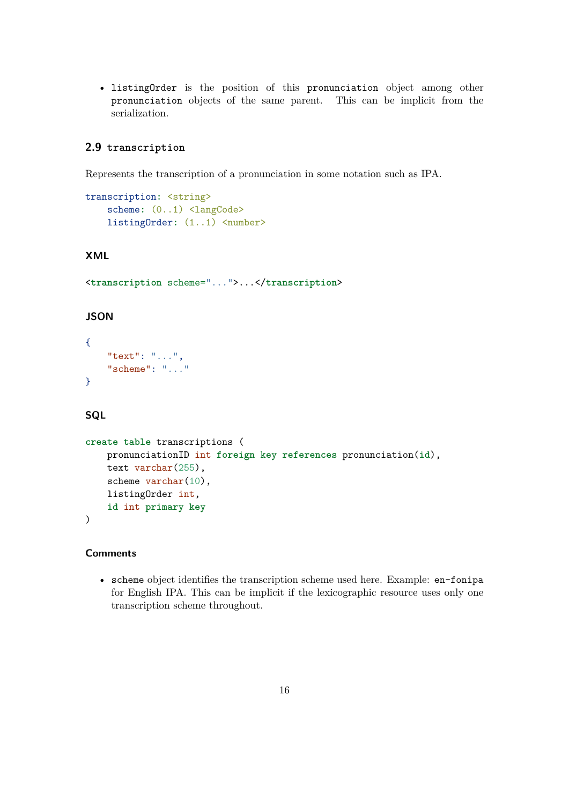• listingOrder is the position of this pronunciation object among other pronunciation objects of the same parent. This can be implicit from the serialization.

#### <span id="page-15-0"></span>**2.9 transcription**

Represents the transcription of a pronunciation in some notation such as IPA.

```
transcription: <string>
    scheme: (0..1) <langCode>
    listingOrder: (1..1) <number>
```
#### **XML**

```
<transcription scheme="...">...</transcription>
```
#### **JSON**

```
{
    "text": "...",
    "scheme": "..."
}
```
#### **SQL**

```
create table transcriptions (
   pronunciationID int foreign key references pronunciation(id),
   text varchar(255),
   scheme varchar(10),
   listingOrder int,
    id int primary key
)
```
#### **Comments**

• scheme object identifies the transcription scheme used here. Example: en-fonipa for English IPA. This can be implicit if the lexicographic resource uses only one transcription scheme throughout.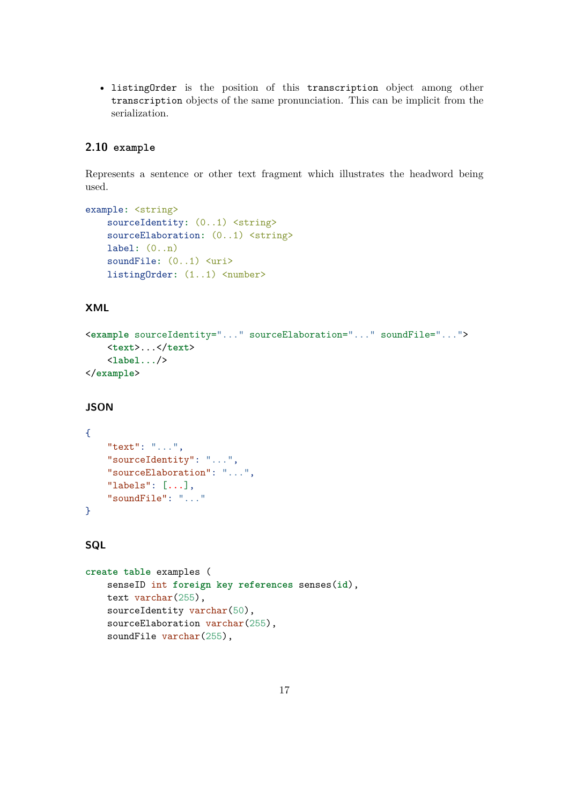• listingOrder is the position of this transcription object among other transcription objects of the same pronunciation. This can be implicit from the serialization.

#### <span id="page-16-0"></span>**2.10 example**

Represents a sentence or other text fragment which illustrates the headword being used.

```
example: <string>
   sourceIdentity: (0..1) <string>
    sourceElaboration: (0..1) <string>
   label: (0..n)
    soundFile: (0..1) <uri>
    listingOrder: (1..1) <number>
```
#### **XML**

```
<example sourceIdentity="..." sourceElaboration="..." soundFile="...">
   <text>...</text>
    <label.../>
</example>
```
#### **JSON**

```
{
    "text": "...",
    "sourceIdentity": "...",
    "sourceElaboration": "...",
    "labels": [...],
    "soundFile": "..."
}
```
#### **SQL**

```
create table examples (
    senseID int foreign key references senses(id),
    text varchar(255),
    sourceIdentity varchar(50),
    sourceElaboration varchar(255),
    soundFile varchar(255),
```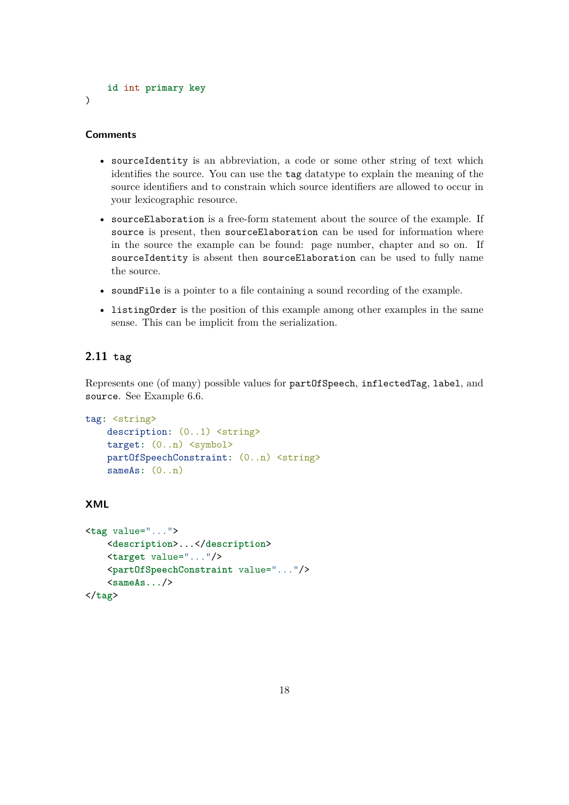```
id int primary key
```
#### **Comments**

 $\lambda$ 

- sourceIdentity is an abbreviation, a code or some other string of text which identifies the source. You can use the tag datatype to explain the meaning of the source identifiers and to constrain which source identifiers are allowed to occur in your lexicographic resource.
- sourceElaboration is a free-form statement about the source of the example. If source is present, then sourceElaboration can be used for information where in the source the example can be found: page number, chapter and so on. If sourceIdentity is absent then sourceElaboration can be used to fully name the source.
- soundFile is a pointer to a file containing a sound recording of the example.
- listingOrder is the position of this example among other examples in the same sense. This can be implicit from the serialization.

#### **2.11 tag**

<span id="page-17-0"></span>Represents one (of many) possible values for partOfSpeech, inflectedTag, label, and source. See Example 6.6.

```
tag: <string>
    description: (0..1) <string>
    target: (0..n) <symbol>
    partOfSpeechConstraint: (0..n) <string>
    sameAs: (0..n)
```

```
<tag value="...">
    <description>...</description>
    <target value="..."/>
    <partOfSpeechConstraint value="..."/>
    <sameAs.../>
</tag>
```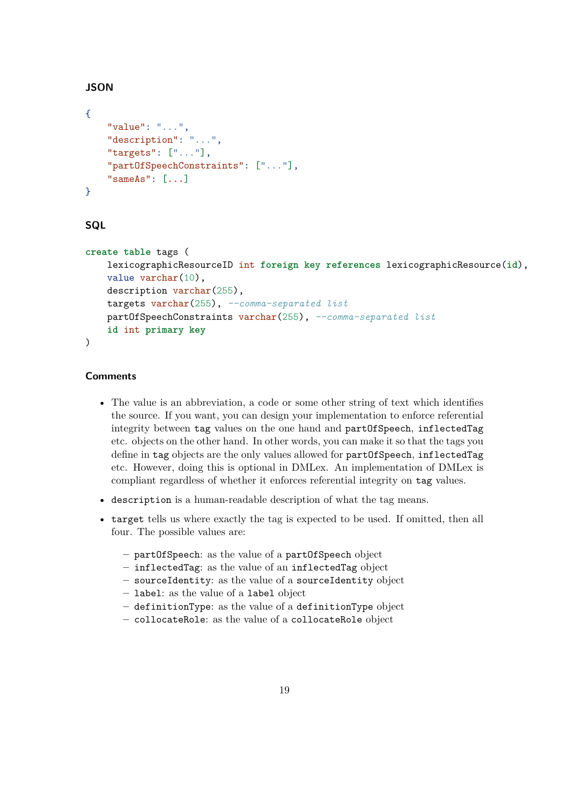```
{
    "value": "...",
    "description": "...",
    "targets": ["..."],
    "partOfSpeechConstraints": ["..."],
    "sameAs": [...]
}
```
#### **SQL**

```
create table tags (
    lexicographicResourceID int foreign key references lexicographicResource(id),
    value varchar(10),
    description varchar(255),
    targets varchar(255), --comma-separated list
    partOfSpeechConstraints varchar(255), --comma-separated list
    id int primary key
\lambda
```
- The value is an abbreviation, a code or some other string of text which identifies the source. If you want, you can design your implementation to enforce referential integrity between tag values on the one hand and partOfSpeech, inflectedTag etc. objects on the other hand. In other words, you can make it so that the tags you define in tag objects are the only values allowed for partOfSpeech, inflectedTag etc. However, doing this is optional in DMLex. An implementation of DMLex is compliant regardless of whether it enforces referential integrity on tag values.
- description is a human-readable description of what the tag means.
- target tells us where exactly the tag is expected to be used. If omitted, then all four. The possible values are:
	- **–** partOfSpeech: as the value of a partOfSpeech object
	- **–** inflectedTag: as the value of an inflectedTag object
	- **–** sourceIdentity: as the value of a sourceIdentity object
	- **–** label: as the value of a label object
	- **–** definitionType: as the value of a definitionType object
	- **–** collocateRole: as the value of a collocateRole object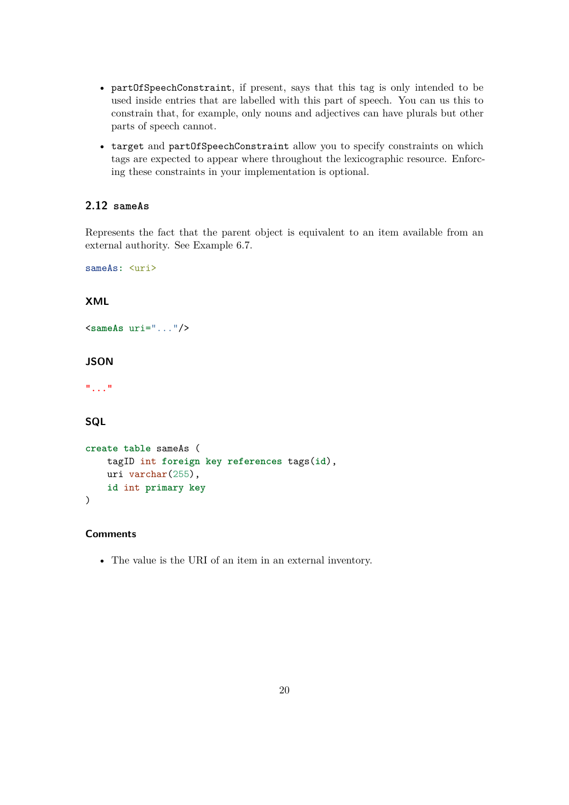- partOfSpeechConstraint, if present, says that this tag is only intended to be used inside entries that are labelled with this part of speech. You can us this to constrain that, for example, only nouns and adjectives can have plurals but other parts of speech cannot.
- target and partOfSpeechConstraint allow you to specify constraints on which tags are expected to appear where throughout the lexicographic resource. Enforcing these constraints in your implementation is optional.

#### **2.12 sameAs**

<span id="page-19-0"></span>Represents the fact that the parent object is equivalent to an item available from an external authority. See Example 6.7.

sameAs:  $\langle$ uri>

#### **XML**

```
<sameAs uri="..."/>
```
#### **JSON**

**"..."**

#### **SQL**

```
create table sameAs (
    tagID int foreign key references tags(id),
   uri varchar(255),
   id int primary key
)
```
#### **Comments**

• The value is the URI of an item in an external inventory.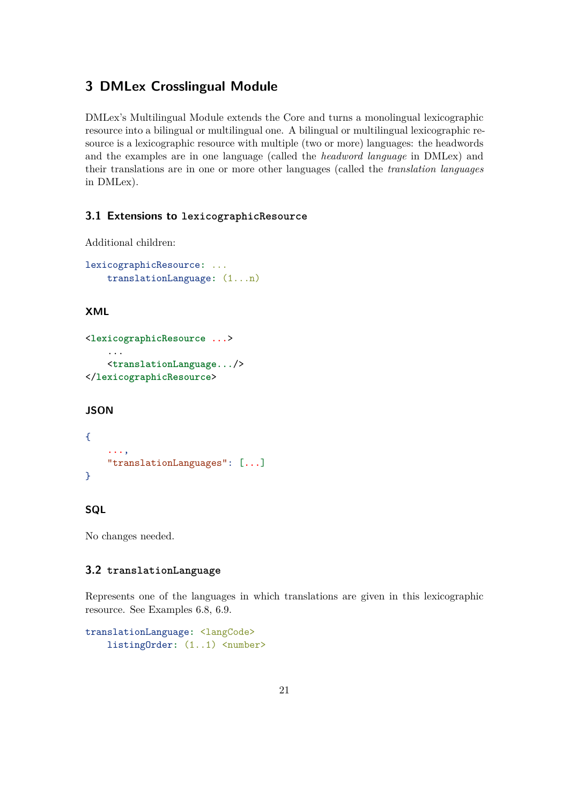# **3 DMLex Crosslingual Module**

<span id="page-20-0"></span>DMLex's Multilingual Module extends the Core and turns a monolingual lexicographic resource into a bilingual or multilingual one. A bilingual or multilingual lexicographic resource is a lexicographic resource with multiple (two or more) languages: the headwords and the examples are in one language (called the *headword language* in DMLex) and their translations are in one or more other languages (called the *translation languages* in DMLex).

#### **3.1 Extensions to lexicographicResource**

Additional children:

```
lexicographicResource: ...
    translationLanguage: (1...n)
```
#### **XML**

```
<lexicographicResource ...>
    ...
    <translationLanguage.../>
</lexicographicResource>
```
#### **JSON**

```
{
    ...,
    "translationLanguages": [...]
}
```
#### **SQL**

No changes needed.

#### **3.2 translationLanguage**

<span id="page-20-2"></span>Represents one of the languages in which translations are given in this lexicographic resource. See Examples 6.8, 6.9.

```
translationLanguage: <langCode>
    listingOrder: ..1) <number>
```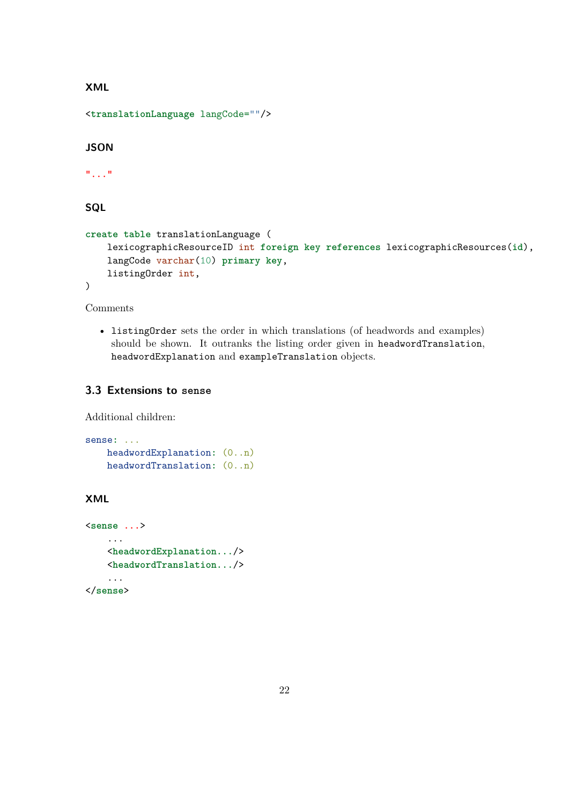#### **XML**

```
<translationLanguage langCode=""/>
```
#### **JSON**

**"..."**

#### **SQL**

```
create table translationLanguage (
   lexicographicResourceID int foreign key references lexicographicResources(id),
   langCode varchar(10) primary key,
   listingOrder int,
)
```
Comments

• listingOrder sets the order in which translations (of headwords and examples) should be shown. It outranks the listing order given in headwordTranslation, headwordExplanation and exampleTranslation objects.

#### <span id="page-21-0"></span>**3.3 Extensions to sense**

Additional children:

```
sense: ...
   headwordExplanation: (0..n)
   headwordTranslation: (0..n)
```

```
<sense ...>
    ...
    <headwordExplanation.../>
    <headwordTranslation.../>
    ...
</sense>
```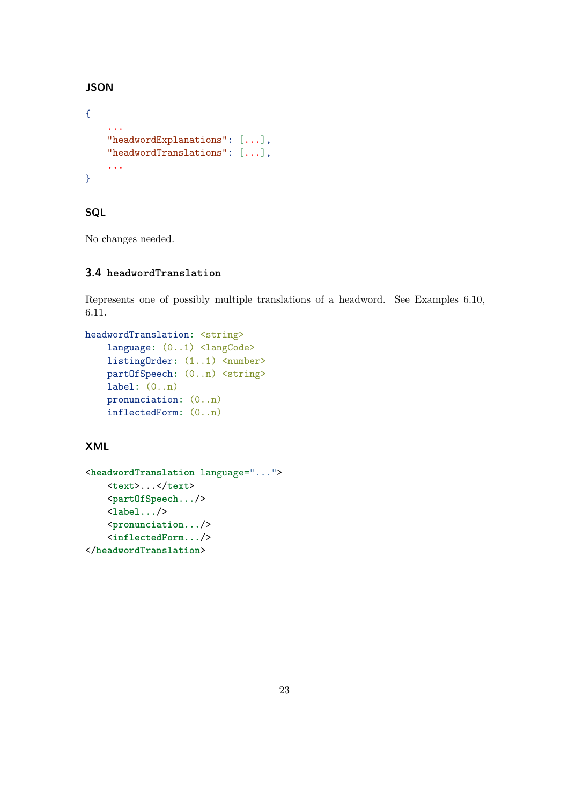```
{
    ...
    "headwordExplanations": [...],
    "headwordTranslations": [...],
    ...
}
```
#### **SQL**

No changes needed.

#### **3.4 headwordTranslation**

<span id="page-22-0"></span>Represents one of possibly multiple translations of a headword. See Examples 6.10, 6.11.

```
headwordTranslation: <string>
    language: (0..1) <langCode>
    listingOrder: (1..1) <number>
    partOfSpeech: (0..n) <string>
    label: (0..n)
    pronunciation: (0..n)
    inflectedForm: (0..n)
```

```
<headwordTranslation language="...">
    <text>...</text>
    <partOfSpeech.../>
    <label.../>
    <pronunciation.../>
    <inflectedForm.../>
</headwordTranslation>
```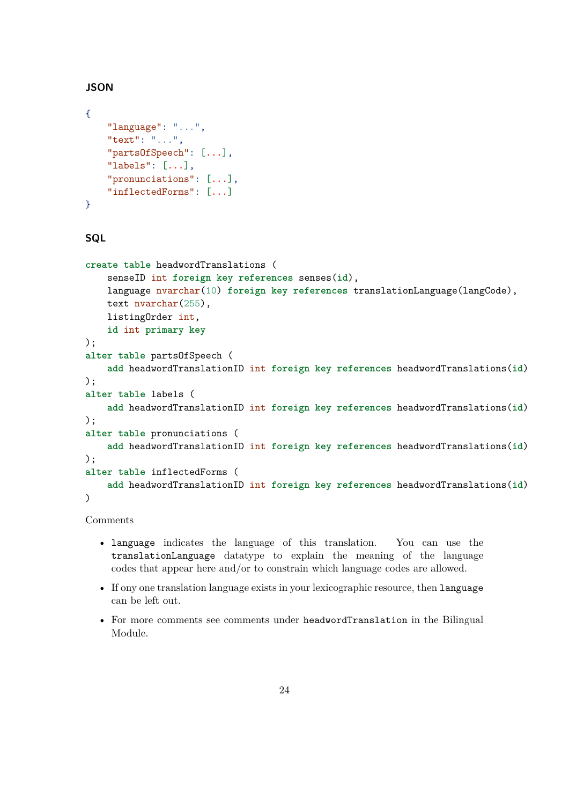```
{
    "language": "...",
    "text": "...",
    "partsOfSpeech": [...],
    "labels": [...],
    "pronunciations": [...],
    "inflectedForms": [...]
}
```
#### **SQL**

```
create table headwordTranslations (
    senseID int foreign key references senses(id),
    language nvarchar(10) foreign key references translationLanguage(langCode),
    text nvarchar(255),
    listingOrder int,
    id int primary key
);
alter table partsOfSpeech (
    add headwordTranslationID int foreign key references headwordTranslations(id)
);
alter table labels (
    add headwordTranslationID int foreign key references headwordTranslations(id)
);
alter table pronunciations (
    add headwordTranslationID int foreign key references headwordTranslations(id)
);
alter table inflectedForms (
    add headwordTranslationID int foreign key references headwordTranslations(id)
\mathcal{L}
```
- language indicates the language of this translation. You can use the translationLanguage datatype to explain the meaning of the language codes that appear here and/or to constrain which language codes are allowed.
- If ony one translation language exists in your lexicographic resource, then language can be left out.
- For more comments see comments under headwordTranslation in the Bilingual Module.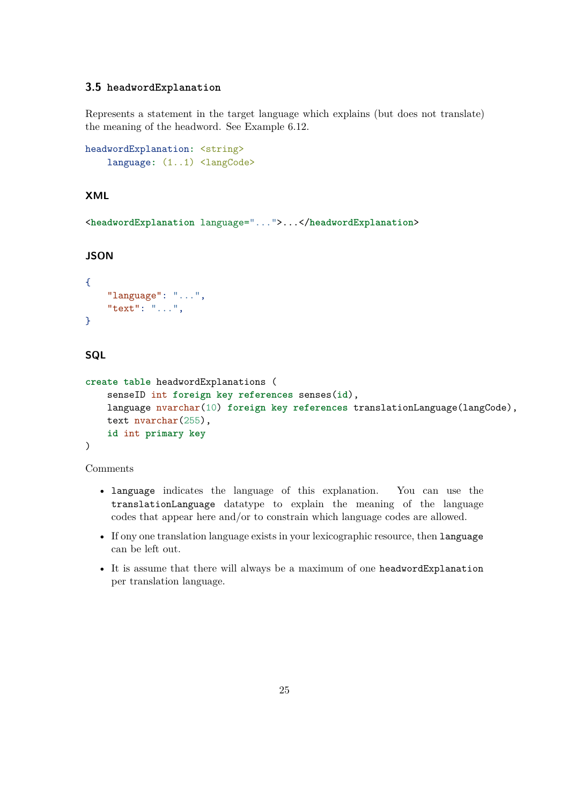#### **3.5 headwordExplanation**

Represents a statement in the target language which explains (but does not translate) the meaning of the headword. See Example 6.12.

```
headwordExplanation: <string>
    language: (1..1) <langCode>
```
#### **XML**

```
<headwordExplanation language="...">...</headwordExplanation>
```
#### **JSON**

```
{
    "language": "...",
    "text": "...",
}
```
#### **SQL**

```
create table headwordExplanations (
    senseID int foreign key references senses(id),
    language nvarchar(10) foreign key references translationLanguage(langCode),
    text nvarchar(255),
    id int primary key
)
```
- language indicates the language of this explanation. You can use the translationLanguage datatype to explain the meaning of the language codes that appear here and/or to constrain which language codes are allowed.
- If ony one translation language exists in your lexicographic resource, then language can be left out.
- It is assume that there will always be a maximum of one headwordExplanation per translation language.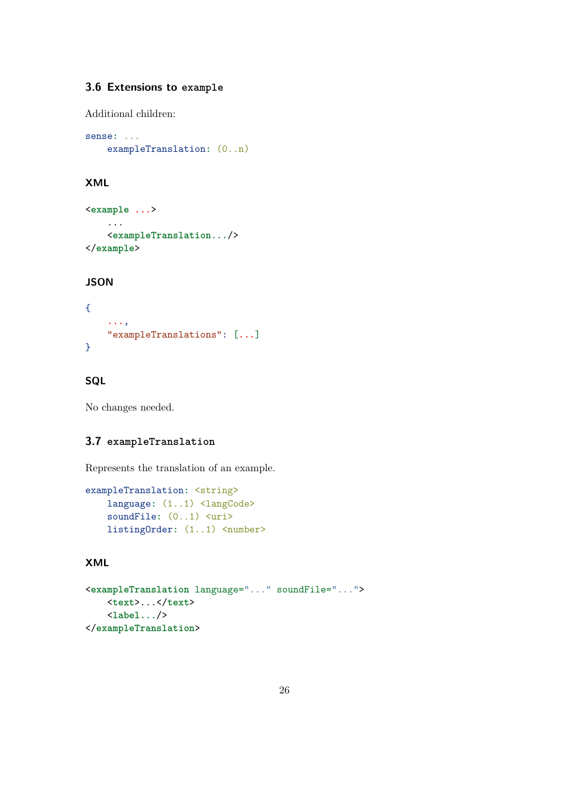#### **3.6 Extensions to example**

Additional children:

```
sense: ...
   exampleTranslation: (0..n)
```
#### **XML**

```
<example ...>
    ...
    <exampleTranslation.../>
</example>
```
#### **JSON**

```
{
    ...,
    "exampleTranslations": [...]
}
```
#### **SQL**

No changes needed.

#### **3.7 exampleTranslation**

Represents the translation of an example.

```
exampleTranslation: <string>
   language: (1..1) <langCode>
   soundFile: (0..1) <uri>
   listingOrder: (1..1) <number>
```

```
<exampleTranslation language="..." soundFile="...">
   <text>...</text>
   <label.../>
</exampleTranslation>
```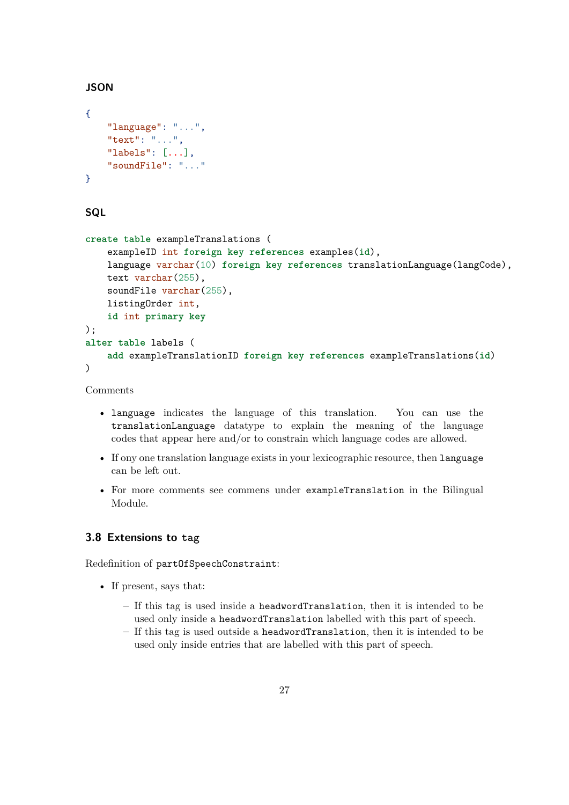```
{
    "language": "...",
    "text": "...",
    "labels": [...],
    "soundFile": "..."
}
```
#### **SQL**

```
create table exampleTranslations (
    exampleID int foreign key references examples(id),
    language varchar(10) foreign key references translationLanguage(langCode),
    text varchar(255),
    soundFile varchar(255),
    listingOrder int,
    id int primary key
);
alter table labels (
    add exampleTranslationID foreign key references exampleTranslations(id)
\lambda
```
Comments

- language indicates the language of this translation. You can use the translationLanguage datatype to explain the meaning of the language codes that appear here and/or to constrain which language codes are allowed.
- If ony one translation language exists in your lexicographic resource, then language can be left out.
- For more comments see commens under exampleTranslation in the Bilingual Module.

#### **3.8 Extensions to tag**

Redefinition of partOfSpeechConstraint:

- If present, says that:
	- **–** If this tag is used inside a headwordTranslation, then it is intended to be used only inside a headwordTranslation labelled with this part of speech.
	- **–** If this tag is used outside a headwordTranslation, then it is intended to be used only inside entries that are labelled with this part of speech.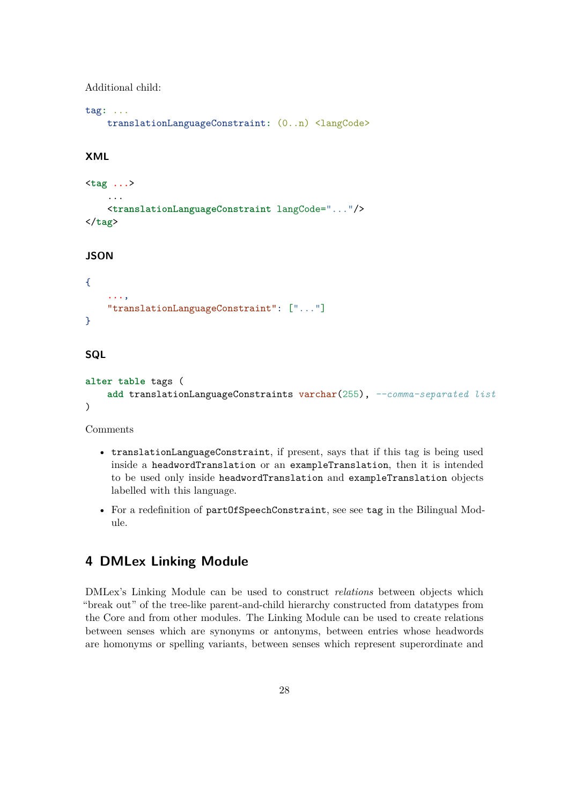Additional child:

```
tag: ...
   translationLanguageConstraint: (0..n) <langCode>
```
#### **XML**

```
<tag ...>
    ...
    <translationLanguageConstraint langCode="..."/>
</tag>
```
#### **JSON**

```
{
    ...,
    "translationLanguageConstraint": ["..."]
}
```
#### **SQL**

```
alter table tags (
    add translationLanguageConstraints varchar(255), --comma-separated list
)
```
Comments

- translationLanguageConstraint, if present, says that if this tag is being used inside a headwordTranslation or an exampleTranslation, then it is intended to be used only inside headwordTranslation and exampleTranslation objects labelled with this language.
- For a redefinition of partOfSpeechConstraint, see see tag in the Bilingual Module.

### <span id="page-27-0"></span>**4 DMLex Linking Module**

DMLex's Linking Module can be used to construct *relations* between objects which "break out" of the tree-like parent-and-child hierarchy constructed from datatypes from the Core and from other modules. The Linking Module can be used to create relations between senses which are synonyms or antonyms, between entries whose headwords are homonyms or spelling variants, between senses which represent superordinate and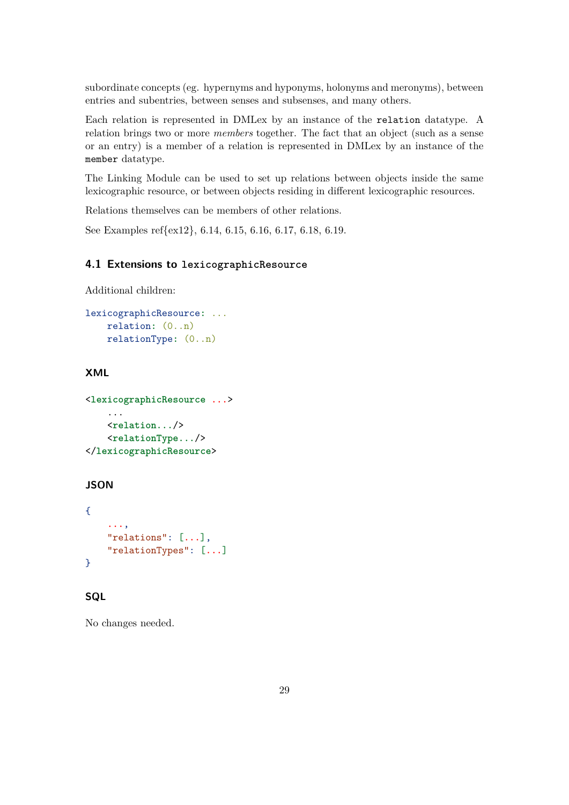subordinate concepts (eg. hypernyms and hyponyms, holonyms and meronyms), between entries and subentries, between senses and subsenses, and many others.

Each relation is represented in DMLex by an instance of the relation datatype. A relation brings two or more *members* together. The fact that an object (such as a sense or an entry) is a member of a relation is represented in DMLex by an instance of the member datatype.

The Linking Module can be used to set up relations between objects inside the same lexicographic resource, or between objects residing in different lexicographic resources.

Relations themselves can be members of other relations.

See Examples ref{ex12}, 6.14, 6.15, 6.16, 6.17, 6.18, 6.19.

#### **4.1 Extensions to lex[icog](#page-61-0)[raph](#page-63-0)[icRe](#page-66-0)[sour](#page-69-0)[ce](#page-73-0)**

Additional children:

```
lexicographicResource: ...
    relation: (0..n)
    relationType: (0..n)
```
#### **XML**

```
<lexicographicResource ...>
    ...
   <relation.../>
    <relationType.../>
</lexicographicResource>
```
#### **JSON**

```
{
    ...,
    "relations": [...],
    "relationTypes": [...]
}
```
#### **SQL**

No changes needed.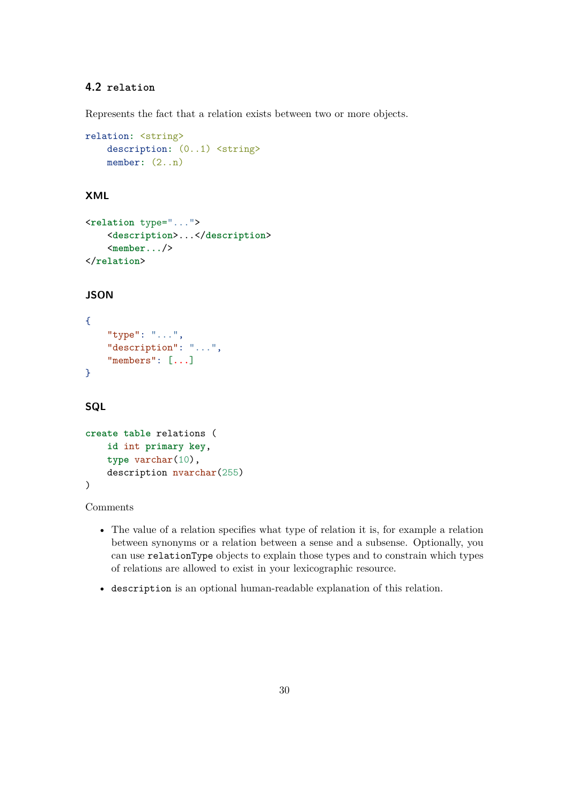#### <span id="page-29-0"></span>**4.2 relation**

Represents the fact that a relation exists between two or more objects.

```
relation: <string>
    description: (0..1) <string>
   member: (2..n)
```
#### **XML**

```
<relation type="...">
    <description>...</description>
    <member.../>
</relation>
```
#### **JSON**

```
{
    "type": "...",
    "description": "...",
    "members": [...]
}
```
#### **SQL**

```
create table relations (
    id int primary key,
    type varchar(10),
    description nvarchar(255)
)
```
- The value of a relation specifies what type of relation it is, for example a relation between synonyms or a relation between a sense and a subsense. Optionally, you can use relationType objects to explain those types and to constrain which types of relations are allowed to exist in your lexicographic resource.
- description is an optional human-readable explanation of this relation.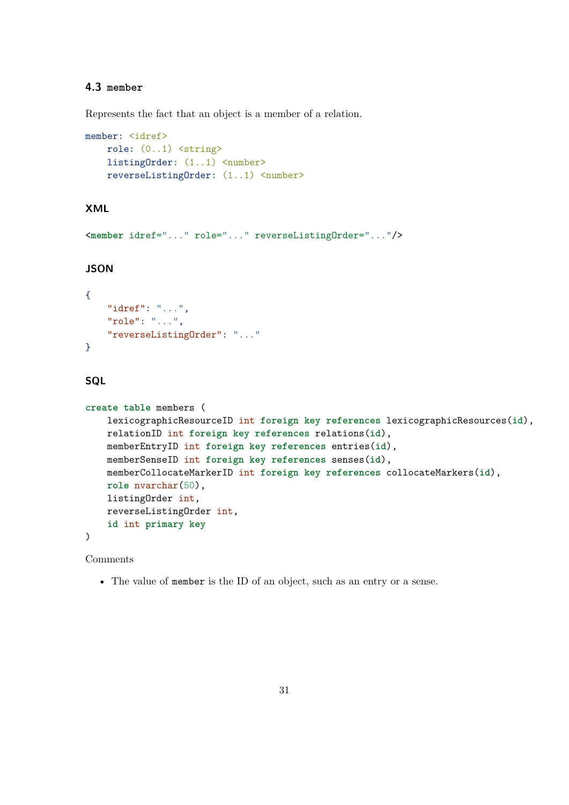#### <span id="page-30-0"></span>**4.3 member**

Represents the fact that an object is a member of a relation.

```
member: <idref>
   role: (0..1) <string>
   listingOrder: (1..1) <number>
   reverseListingOrder: (1..1) <number>
```
#### **XML**

```
<member idref="..." role="..." reverseListingOrder="..."/>
```
#### **JSON**

```
{
    "idref": "...",
    "role": "...",
    "reverseListingOrder": "..."
}
```
#### **SQL**

```
create table members (
   lexicographicResourceID int foreign key references lexicographicResources(id),
   relationID int foreign key references relations(id),
   memberEntryID int foreign key references entries(id),
   memberSenseID int foreign key references senses(id),
   memberCollocateMarkerID int foreign key references collocateMarkers(id),
   role nvarchar(50),
   listingOrder int,
   reverseListingOrder int,
   id int primary key
)
```
Comments

• The value of member is the ID of an object, such as an entry or a sense.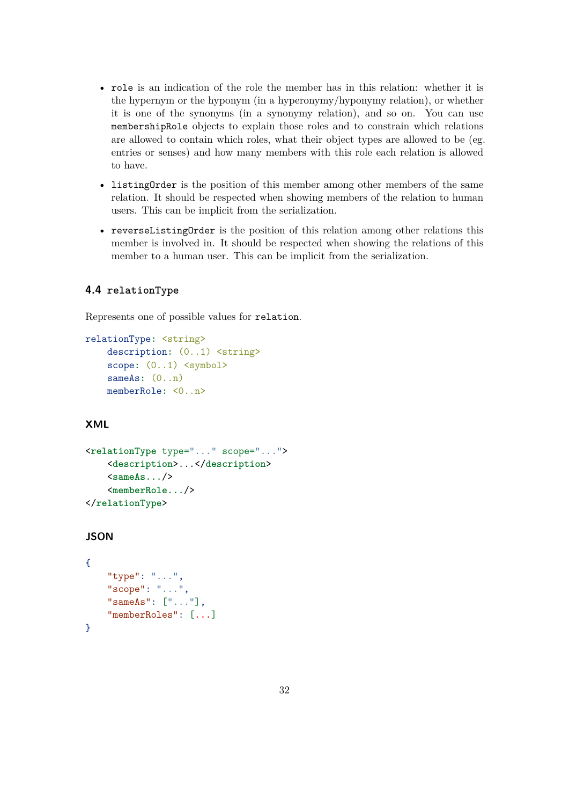- role is an indication of the role the member has in this relation: whether it is the hypernym or the hyponym (in a hyperonymy/hyponymy relation), or whether it is one of the synonyms (in a synonymy relation), and so on. You can use membershipRole objects to explain those roles and to constrain which relations are allowed to contain which roles, what their object types are allowed to be (eg. entries or senses) and how many members with this role each relation is allowed to have.
- listingOrder is the position of this member among other members of the same relation. It should be respected when showing members of the relation to human users. This can be implicit from the serialization.
- reverseListingOrder is the position of this relation among other relations this member is involved in. It should be respected when showing the relations of this member to a human user. This can be implicit from the serialization.

#### <span id="page-31-0"></span>**4.4 relationType**

Represents one of possible values for relation.

```
relationType: <string>
    description: (0..1) <string>
    scope: (0..1) <symbol>
    sameAs: (0..n)
    memberRole: <0..n>
```
#### **XML**

```
<relationType type="..." scope="...">
    <description>...</description>
    <sameAs.../>
    <memberRole.../>
</relationType>
```
#### **JSON**

```
{
    "type": "...",
    "scope": "...",
    "sameAs": ["..."],
    "memberRoles": [...]
}
```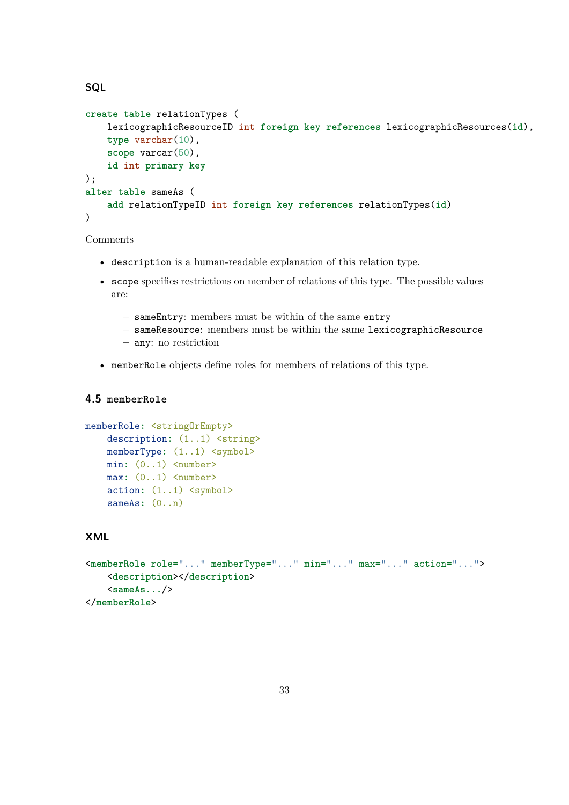```
SQL
```

```
create table relationTypes (
    lexicographicResourceID int foreign key references lexicographicResources(id),
    type varchar(10),
    scope varcar(50),
    id int primary key
);
alter table sameAs (
   add relationTypeID int foreign key references relationTypes(id)
)
```
Comments

- description is a human-readable explanation of this relation type.
- scope specifies restrictions on member of relations of this type. The possible values are:
	- **–** sameEntry: members must be within of the same entry
	- **–** sameResource: members must be within the same lexicographicResource
	- **–** any: no restriction
- memberRole objects define roles for members of relations of this type.

#### <span id="page-32-0"></span>**4.5 memberRole**

```
memberRole: <stringOrEmpty>
   description: (1..1) <string>
   memberType: (1..1) <symbol>
   min: (0..1) <number>
    max: (0..1) <number>
    action: (1..1) <symbol>
    sameAs: (0..n)
```

```
<memberRole role="..." memberType="..." min="..." max="..." action="...">
    <description></description>
    <sameAs.../>
</memberRole>
```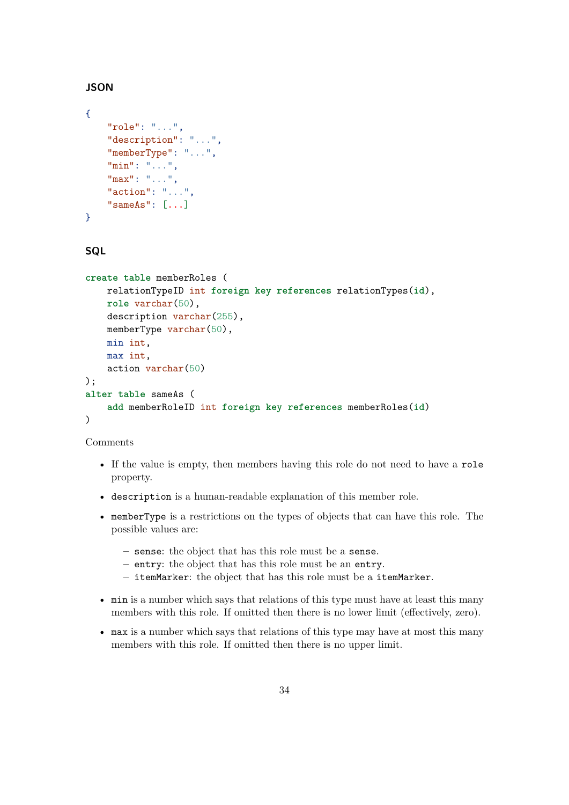```
{
    "role": "...",
    "description": "...",
    "memberType": "...",
    "min": "...",
    "max": "...",
    "action": "...",
    "sameAs": [...]
}
```
# **SQL**

```
create table memberRoles (
    relationTypeID int foreign key references relationTypes(id),
    role varchar(50),
    description varchar(255),
   memberType varchar(50),
   min int,
   max int,
    action varchar(50)
);
alter table sameAs (
    add memberRoleID int foreign key references memberRoles(id)
)
```
- If the value is empty, then members having this role do not need to have a role property.
- description is a human-readable explanation of this member role.
- memberType is a restrictions on the types of objects that can have this role. The possible values are:
	- **–** sense: the object that has this role must be a sense.
	- **–** entry: the object that has this role must be an entry.
	- **–** itemMarker: the object that has this role must be a itemMarker.
- min is a number which says that relations of this type must have at least this many members with this role. If omitted then there is no lower limit (effectively, zero).
- max is a number which says that relations of this type may have at most this many members with this role. If omitted then there is no upper limit.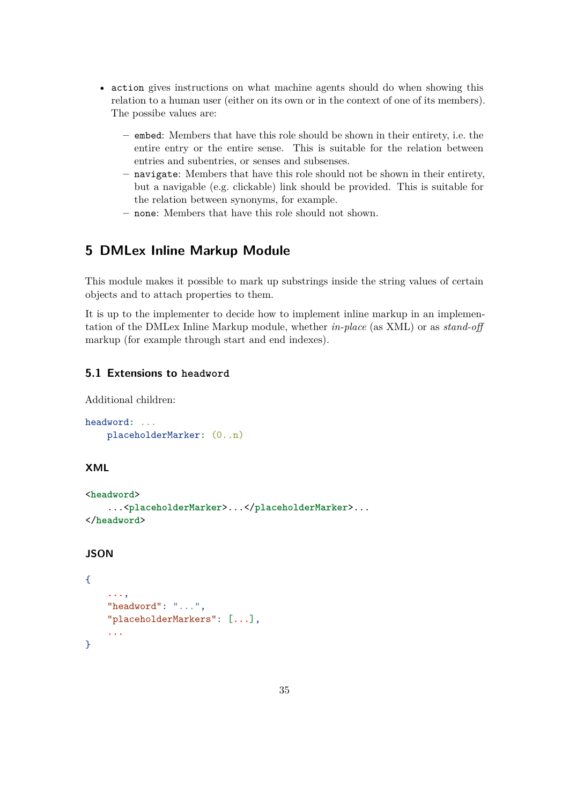- action gives instructions on what machine agents should do when showing this relation to a human user (either on its own or in the context of one of its members). The possibe values are:
	- **–** embed: Members that have this role should be shown in their entirety, i.e. the entire entry or the entire sense. This is suitable for the relation between entries and subentries, or senses and subsenses.
	- **–** navigate: Members that have this role should not be shown in their entirety, but a navigable (e.g. clickable) link should be provided. This is suitable for the relation between synonyms, for example.
	- **–** none: Members that have this role should not shown.

# <span id="page-34-0"></span>**5 DMLex Inline Markup Module**

This module makes it possible to mark up substrings inside the string values of certain objects and to attach properties to them.

It is up to the implementer to decide how to implement inline markup in an implementation of the DMLex Inline Markup module, whether *in-place* (as XML) or as *stand-off* markup (for example through start and end indexes).

#### <span id="page-34-1"></span>**5.1 Extensions to headword**

Additional children:

```
headword: ...
    placeholderMarker: (0..n)
```
#### **XML**

```
<headword>
    ...<placeholderMarker>...</placeholderMarker>...
</headword>
```
#### **JSON**

```
{
    ...,
    "headword": "...",
    "placeholderMarkers": [...],
    ...
}
```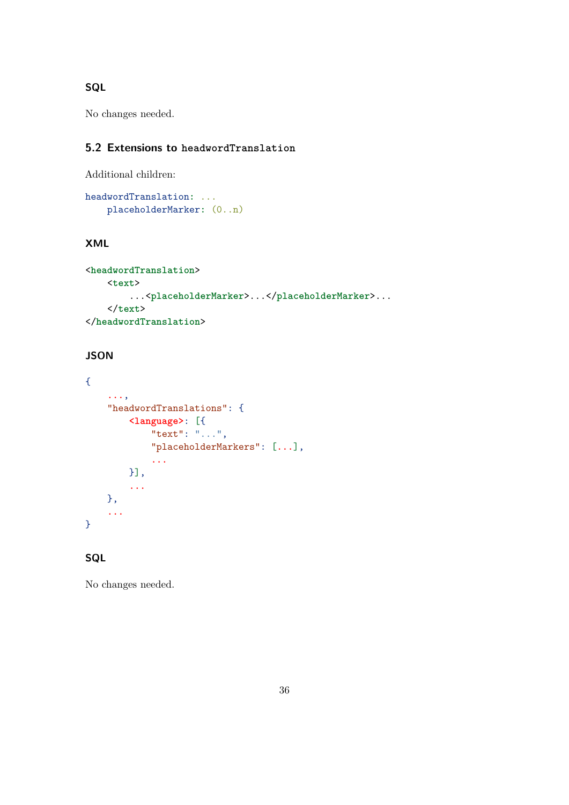#### **SQL**

No changes needed.

#### <span id="page-35-0"></span>**5.2 Extensions to headwordTranslation**

Additional children:

```
headwordTranslation: ...
    placeholderMarker: (0..n)
```
#### **XML**

```
<headwordTranslation>
   <text>
        ...<placeholderMarker>...</placeholderMarker>...
    </text>
</headwordTranslation>
```
#### **JSON**

```
{
    ...,
    "headwordTranslations": {
        <language>: [{
            "text": "...",
            "placeholderMarkers": [...],
             ...
        }],
        ...
    },
    ...
}
```
#### **SQL**

No changes needed.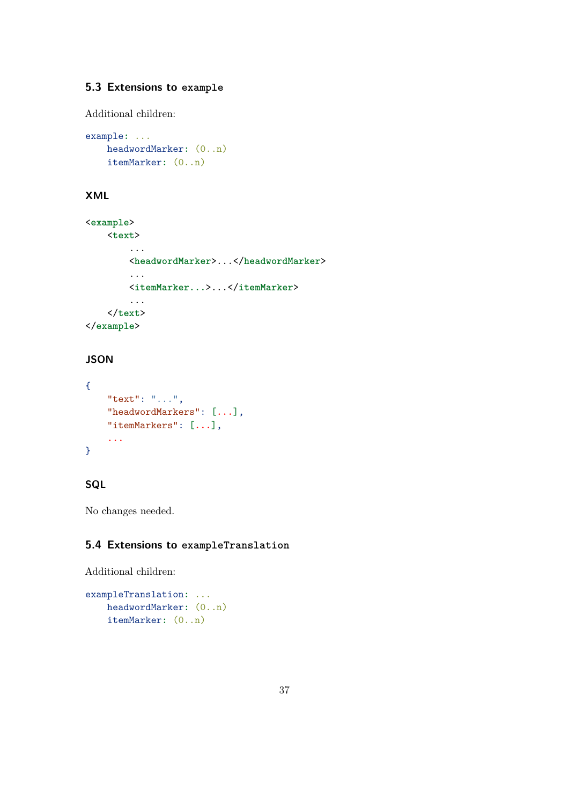# **5.3 Extensions to example**

Additional children:

```
example: ...
   headwordMarker: (0..n)
    itemMarker: (0..n)
```
# **XML**

```
<example>
   <text>
        ...
        <headwordMarker>...</headwordMarker>
        ...
        <itemMarker...>...</itemMarker>
        ...
    </text>
</example>
```
## **JSON**

```
{
    "text": "...",
    "headwordMarkers": [...],
   "itemMarkers": [...],
    ...
}
```
## **SQL**

No changes needed.

## **5.4 Extensions to exampleTranslation**

Additional children:

```
exampleTranslation: ...
   headwordMarker: (0..n)
    itemMarker: (0..n)
```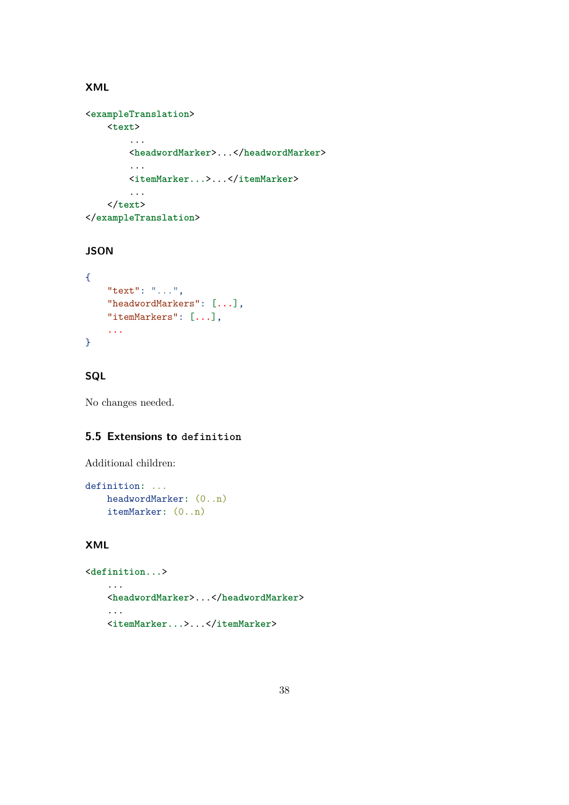```
<exampleTranslation>
   <text>
        ...
        <headwordMarker>...</headwordMarker>
        ...
        <itemMarker...>...</itemMarker>
        ...
    </text>
</exampleTranslation>
```
# **JSON**

```
{
    "text": "...",
    "headwordMarkers": [...],
    "itemMarkers": [...],
   ...
}
```
# **SQL**

No changes needed.

## **5.5 Extensions to definition**

Additional children:

```
definition: ...
   headwordMarker: (0..n)
   itemMarker: (0..n)
```

```
<definition...>
    ...
    <headwordMarker>...</headwordMarker>
    ...
   <itemMarker...>...</itemMarker>
```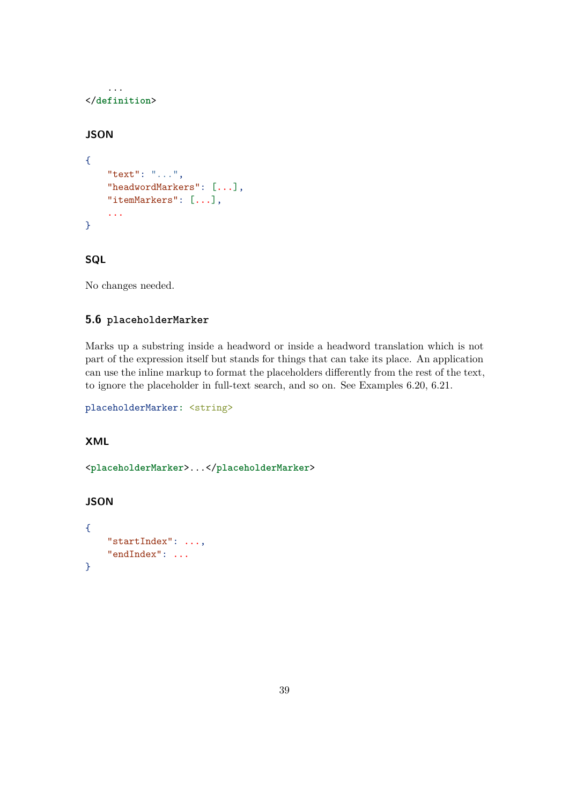... </**definition**>

## **JSON**

```
{
    "text": "...",
    "headwordMarkers": [...],
    "itemMarkers": [...],
    ...
}
```
# **SQL**

No changes needed.

# **5.6 placeholderMarker**

Marks up a substring inside a headword or inside a headword translation which is not part of the expression itself but stands for things that can take its place. An application can use the inline markup to format the placeholders differently from the rest of the text, to ignore the placeholder in full-text search, and so on. See Examples 6.20, 6.21.

placeholderMarker**:** <string>

## **XML**

<**placeholderMarker**>...</**placeholderMarker**>

```
{
    "startIndex": ...,
    "endIndex": ...
}
```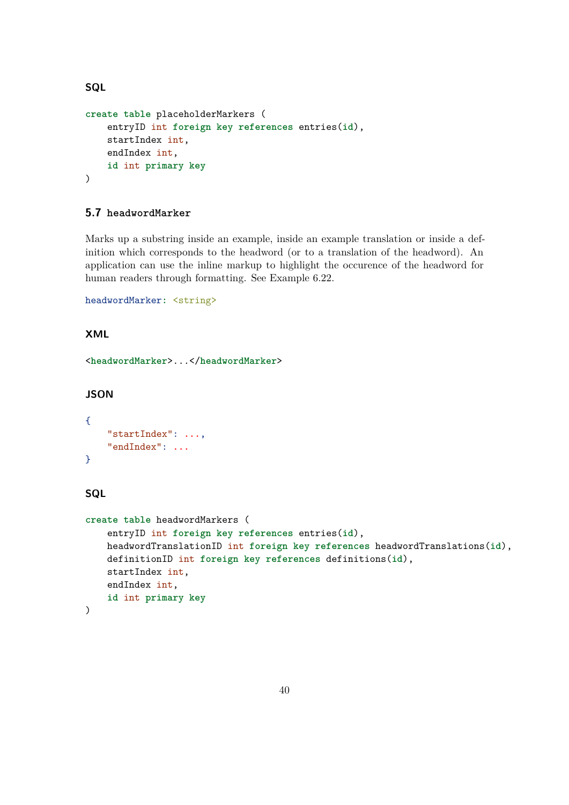```
create table placeholderMarkers (
    entryID int foreign key references entries(id),
    startIndex int,
    endIndex int,
    id int primary key
\mathcal{L}
```
### **5.7 headwordMarker**

Marks up a substring inside an example, inside an example translation or inside a definition which corresponds to the headword (or to a translation of the headword). An application can use the inline markup to highlight the occurence of the headword for human readers through formatting. See Example 6.22.

headwordMarker**:** <string>

### **XML**

<**headwordMarker**>...</**headwordMarker**>

### **JSON**

```
{
    "startIndex": ...,
    "endIndex": ...
}
```
#### **SQL**

```
create table headwordMarkers (
    entryID int foreign key references entries(id),
    headwordTranslationID int foreign key references headwordTranslations(id),
    definitionID int foreign key references definitions(id),
    startIndex int,
    endIndex int,
    id int primary key
)
```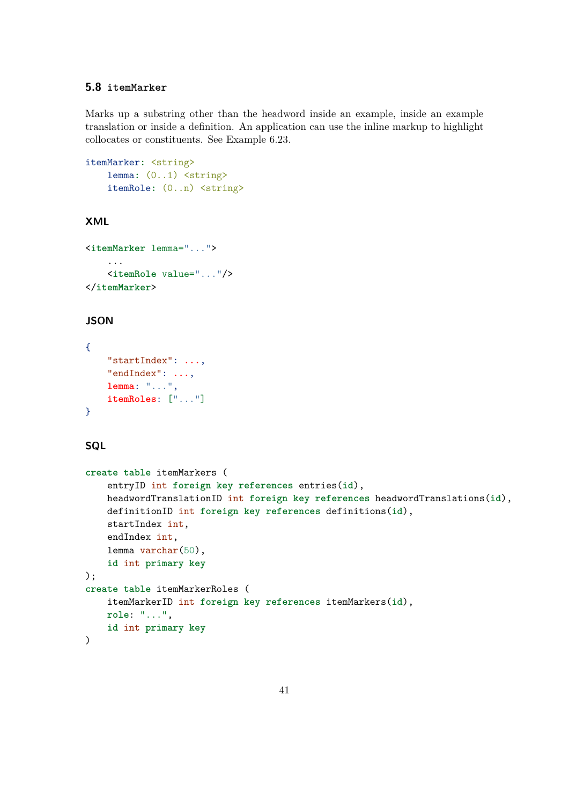### **5.8 itemMarker**

Marks up a substring other than the headword inside an example, inside an example translation or inside a definition. An application can use the inline markup to highlight collocates or constituents. See Example 6.23.

```
itemMarker: <string>
   lemma: (0..1) <string>
    itemRole: (0..n) <string>
```
## **XML**

```
<itemMarker lemma="...">
    ...
    <itemRole value="..."/>
</itemMarker>
```
## **JSON**

```
{
    "startIndex": ...,
    "endIndex": ...,
    lemma: "...",
   itemRoles: ["..."]
}
```
## **SQL**

```
create table itemMarkers (
    entryID int foreign key references entries(id),
   headwordTranslationID int foreign key references headwordTranslations(id),
    definitionID int foreign key references definitions(id),
    startIndex int,
    endIndex int,
    lemma varchar(50),
    id int primary key
);
create table itemMarkerRoles (
    itemMarkerID int foreign key references itemMarkers(id),
    role: "...",
    id int primary key
)
```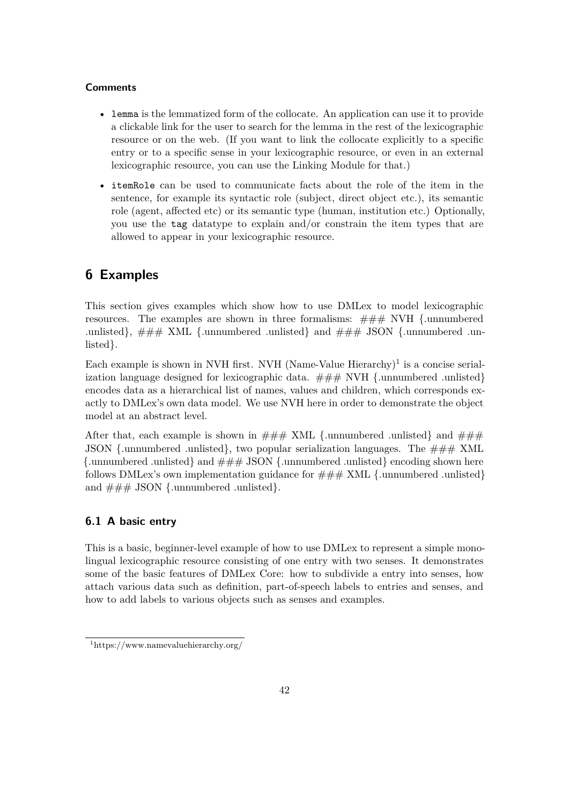### **Comments**

- lemma is the lemmatized form of the collocate. An application can use it to provide a clickable link for the user to search for the lemma in the rest of the lexicographic resource or on the web. (If you want to link the collocate explicitly to a specific entry or to a specific sense in your lexicographic resource, or even in an external lexicographic resource, you can use the Linking Module for that.)
- itemRole can be used to communicate facts about the role of the item in the sentence, for example its syntactic role (subject, direct object etc.), its semantic role (agent, affected etc) or its semantic type (human, institution etc.) Optionally, you use the tag datatype to explain and/or constrain the item types that are allowed to appear in your lexicographic resource.

# **6 Examples**

This section gives examples which show how to use DMLex to model lexicographic resources. The examples are shown in three formalisms:  $\# \# \#$  NVH {.unnumbered .unlisted},  $\#\#\n$  XML {.unnumbered .unlisted} and  $\#\#\n$  JSON {.unnumbered .unlisted}.

Each example is shown in NVH first. NVH (Name-Value Hierarchy)<sup>1</sup> is a concise serialization language designed for lexicographic data.  $\# \# \#$  NVH {.unnumbered .unlisted} encodes data as a hierarchical list of names, values and children, which corresponds exactly to DMLex's own data model. We use NVH here in order to de[mo](#page-41-0)nstrate the object model at an abstract level.

After that, each example is shown in  $\#\#\$  XML {.unnumbered .unlisted} and  $\#\#\#$ JSON {.unnumbered .unlisted}, two popular serialization languages. The  $\#\#\times$  ML {.unnumbered .unlisted} and ### JSON {.unnumbered .unlisted} encoding shown here follows DMLex's own implementation guidance for  $\# \# \times ML \$ ? [.unnumbered .unlisted] and  $\#\#\#$  JSON {.unnumbered .unlisted}.

# **6.1 A basic entry**

This is a basic, beginner-level example of how to use DMLex to represent a simple monolingual lexicographic resource consisting of one entry with two senses. It demonstrates some of the basic features of DMLex Core: how to subdivide a entry into senses, how attach various data such as definition, part-of-speech labels to entries and senses, and how to add labels to various objects such as senses and examples.

<span id="page-41-0"></span><sup>1</sup>https://www.namevaluehierarchy.org/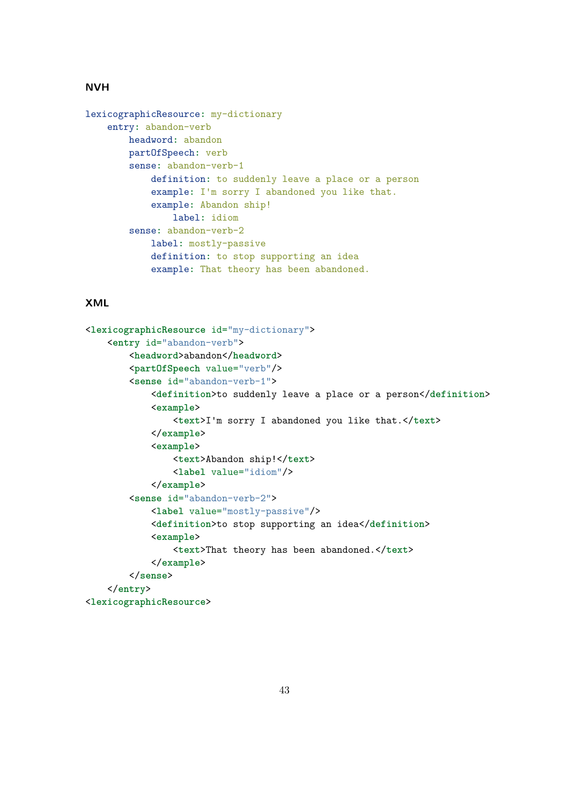### **NVH**

```
lexicographicResource: my-dictionary
    entry: abandon-verb
       headword: abandon
        partOfSpeech: verb
        sense: abandon-verb-1
            definition: to suddenly leave a place or a person
            example: I'm sorry I abandoned you like that.
            example: Abandon ship!
                label: idiom
        sense: abandon-verb-2
            label: mostly-passive
            definition: to stop supporting an idea
            example: That theory has been abandoned.
```

```
<lexicographicResource id="my-dictionary">
    <entry id="abandon-verb">
        <headword>abandon</headword>
        <partOfSpeech value="verb"/>
        <sense id="abandon-verb-1">
            <definition>to suddenly leave a place or a person</definition>
            <example>
                <text>I'm sorry I abandoned you like that.</text>
            </example>
            <example>
                <text>Abandon ship!</text>
                <label value="idiom"/>
            </example>
        <sense id="abandon-verb-2">
            <label value="mostly-passive"/>
            <definition>to stop supporting an idea</definition>
            <example>
                <text>That theory has been abandoned.</text>
            </example>
        </sense>
    </entry>
<lexicographicResource>
```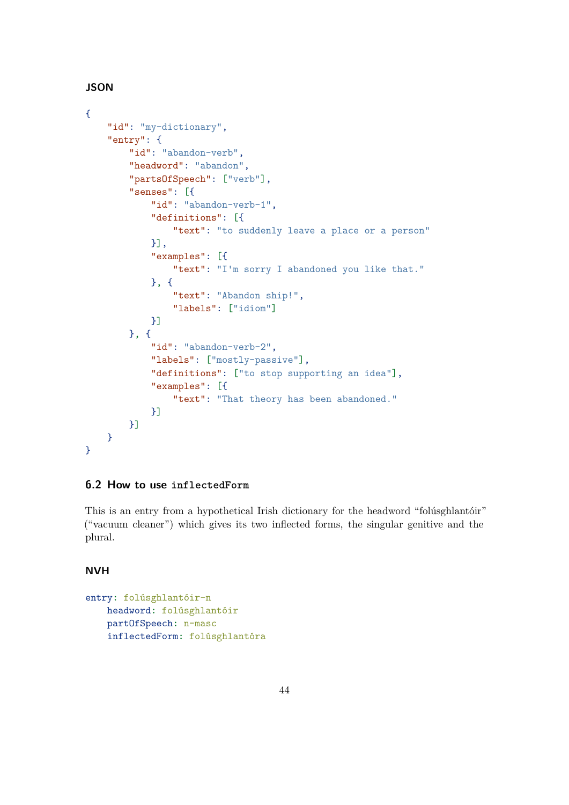```
{
    "id": "my-dictionary",
    "entry": {
        "id": "abandon-verb",
        "headword": "abandon",
        "partsOfSpeech": ["verb"],
        "senses": [{
            "id": "abandon-verb-1",
            "definitions": [{
                "text": "to suddenly leave a place or a person"
            }],
            "examples": [{
                "text": "I'm sorry I abandoned you like that."
            }, {
                "text": "Abandon ship!",
                "labels": ["idiom"]
            }]
        }, {
            "id": "abandon-verb-2",
            "labels": ["mostly-passive"],
            "definitions": ["to stop supporting an idea"],
            "examples": [{
                "text": "That theory has been abandoned."
            }]
        }]
   }
}
```
### **6.2 How to use inflectedForm**

This is an entry from a hypothetical Irish dictionary for the headword "folúsghlantóir" ("vacuum cleaner") which gives its two inflected forms, the singular genitive and the plural.

```
entry: folúsghlantóir-n
   headword: folúsghlantóir
   partOfSpeech: n-masc
   inflectedForm: folúsghlantóra
```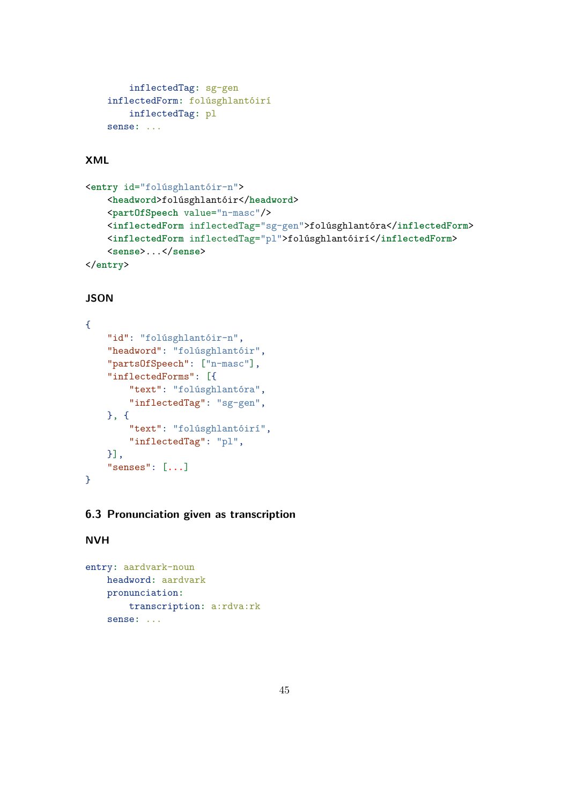```
inflectedTag: sg-gen
inflectedForm: folúsghlantóirí
    inflectedTag: pl
sense: ...
```

```
<entry id="folúsghlantóir-n">
   <headword>folúsghlantóir</headword>
   <partOfSpeech value="n-masc"/>
    <inflectedForm inflectedTag="sg-gen">folúsghlantóra</inflectedForm>
   <inflectedForm inflectedTag="pl">folúsghlantóirí</inflectedForm>
    <sense>...</sense>
</entry>
```
### **JSON**

```
{
    "id": "folúsghlantóir-n",
    "headword": "folúsghlantóir",
    "partsOfSpeech": ["n-masc"],
    "inflectedForms": [{
        "text": "folúsghlantóra",
        "inflectedTag": "sg-gen",
    }, {
        "text": "folúsghlantóirí",
        "inflectedTag": "pl",
    }],
    "senses": [...]
}
```
### **6.3 Pronunciation given as transcription**

```
entry: aardvark-noun
   headword: aardvark
   pronunciation:
        transcription: a:rdva:rk
    sense: ...
```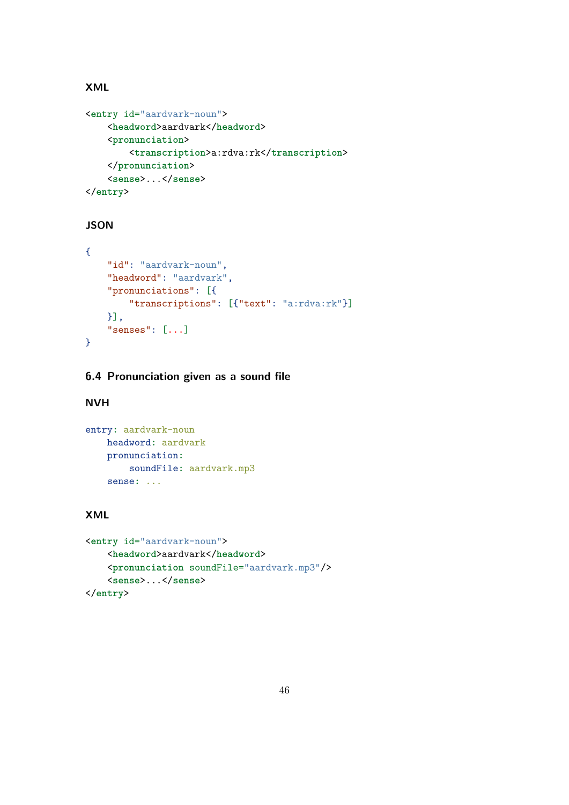```
<entry id="aardvark-noun">
    <headword>aardvark</headword>
    <pronunciation>
        <transcription>a:rdva:rk</transcription>
    </pronunciation>
    <sense>...</sense>
</entry>
```
## **JSON**

```
{
    "id": "aardvark-noun",
    "headword": "aardvark",
    "pronunciations": [{
        "transcriptions": [{"text": "a:rdva:rk"}]
   }],
    "senses": [...]
}
```
### **6.4 Pronunciation given as a sound file**

### **NVH**

```
entry: aardvark-noun
   headword: aardvark
   pronunciation:
        soundFile: aardvark.mp3
   sense: ...
```

```
<entry id="aardvark-noun">
    <headword>aardvark</headword>
    <pronunciation soundFile="aardvark.mp3"/>
    <sense>...</sense>
</entry>
```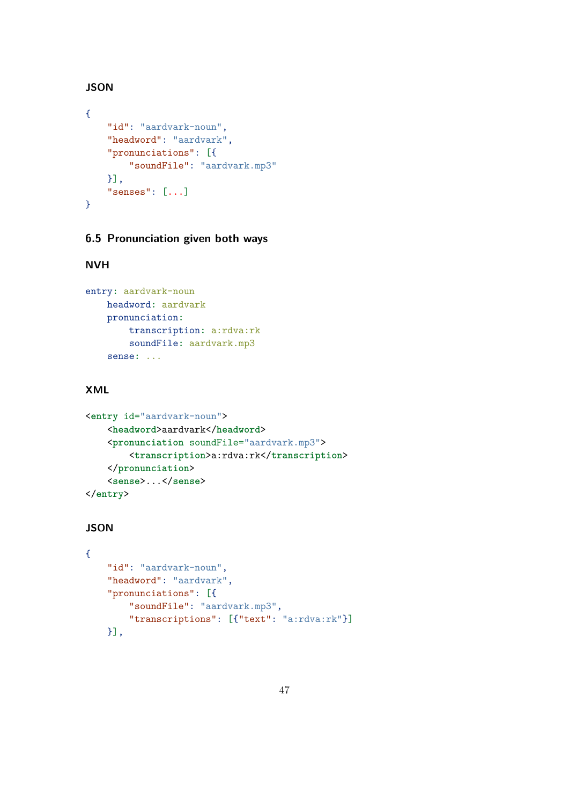```
{
    "id": "aardvark-noun",
    "headword": "aardvark",
    "pronunciations": [{
        "soundFile": "aardvark.mp3"
   }],
    "senses": [...]
}
```
# **6.5 Pronunciation given both ways**

## **NVH**

```
entry: aardvark-noun
   headword: aardvark
   pronunciation:
        transcription: a:rdva:rk
        soundFile: aardvark.mp3
    sense: ...
```
## **XML**

```
<entry id="aardvark-noun">
    <headword>aardvark</headword>
    <pronunciation soundFile="aardvark.mp3">
        <transcription>a:rdva:rk</transcription>
    </pronunciation>
    <sense>...</sense>
</entry>
```

```
{
    "id": "aardvark-noun",
    "headword": "aardvark",
    "pronunciations": [{
        "soundFile": "aardvark.mp3",
        "transcriptions": [{"text": "a:rdva:rk"}]
   }],
```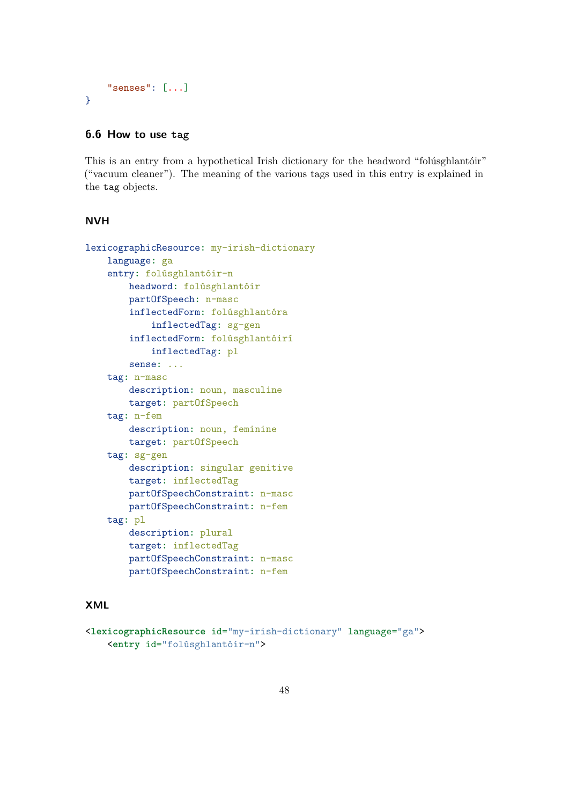```
"senses": [...]
}
```
### **6.6 How to use tag**

This is an entry from a hypothetical Irish dictionary for the headword "folúsghlantóir" ("vacuum cleaner"). The meaning of the various tags used in this entry is explained in the tag objects.

### **NVH**

```
lexicographicResource: my-irish-dictionary
    language: ga
    entry: folúsghlantóir-n
       headword: folúsghlantóir
        partOfSpeech: n-masc
        inflectedForm: folúsghlantóra
            inflectedTag: sg-gen
        inflectedForm: folúsghlantóirí
            inflectedTag: pl
        sense: ...
    tag: n-masc
        description: noun, masculine
        target: partOfSpeech
    tag: n-fem
        description: noun, feminine
        target: partOfSpeech
    tag: sg-gen
        description: singular genitive
        target: inflectedTag
        partOfSpeechConstraint: n-masc
        partOfSpeechConstraint: n-fem
    tag: pl
        description: plural
        target: inflectedTag
        partOfSpeechConstraint: n-masc
        partOfSpeechConstraint: n-fem
```

```
<lexicographicResource id="my-irish-dictionary" language="ga">
    <entry id="folúsghlantóir-n">
```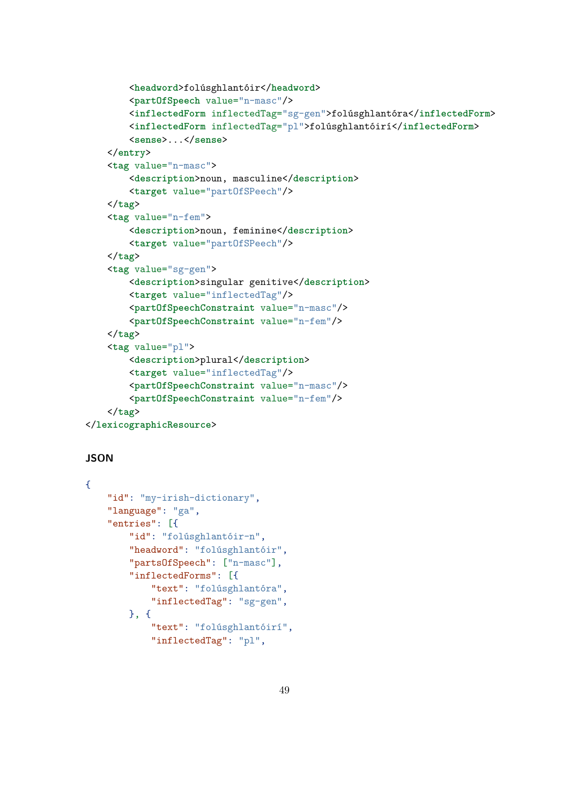```
<headword>folúsghlantóir</headword>
        <partOfSpeech value="n-masc"/>
        <inflectedForm inflectedTag="sg-gen">folúsghlantóra</inflectedForm>
        <inflectedForm inflectedTag="pl">folúsghlantóirí</inflectedForm>
        <sense>...</sense>
    </entry>
    <tag value="n-masc">
        <description>noun, masculine</description>
        <target value="partOfSPeech"/>
    </tag>
    <tag value="n-fem">
        <description>noun, feminine</description>
        <target value="partOfSPeech"/>
    </tag>
    <tag value="sg-gen">
        <description>singular genitive</description>
        <target value="inflectedTag"/>
        <partOfSpeechConstraint value="n-masc"/>
        <partOfSpeechConstraint value="n-fem"/>
    </tag>
    <tag value="pl">
        <description>plural</description>
        <target value="inflectedTag"/>
        <partOfSpeechConstraint value="n-masc"/>
        <partOfSpeechConstraint value="n-fem"/>
    </tag>
</lexicographicResource>
```

```
{
    "id": "my-irish-dictionary",
    "language": "ga",
    "entries": [{
        "id": "folúsghlantóir-n",
        "headword": "folúsghlantóir",
        "partsOfSpeech": ["n-masc"],
        "inflectedForms": [{
            "text": "folúsghlantóra",
            "inflectedTag": "sg-gen",
        }, {
            "text": "folúsghlantóirí",
            "inflectedTag": "pl",
```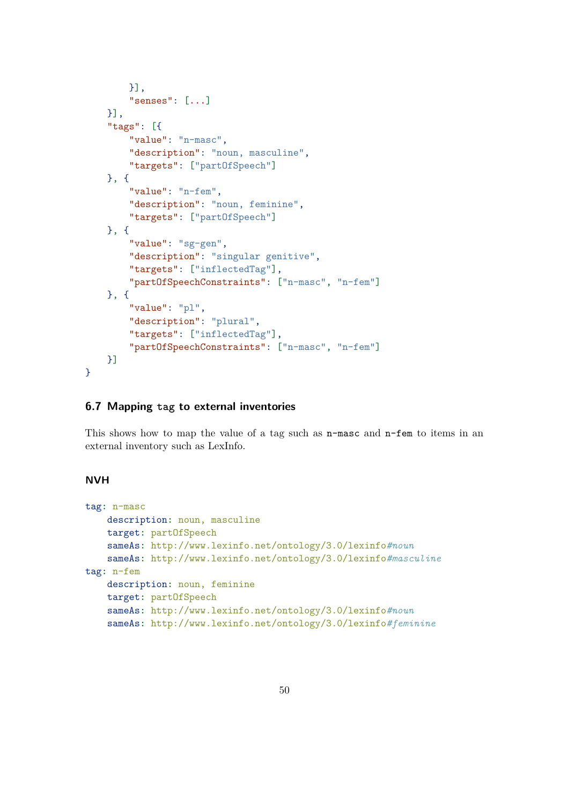```
}],
    "senses": [...]
}],
"tags": [{
    "value": "n-masc",
    "description": "noun, masculine",
    "targets": ["partOfSpeech"]
}, {
    "value": "n-fem",
    "description": "noun, feminine",
    "targets": ["partOfSpeech"]
}, {
    "value": "sg-gen",
    "description": "singular genitive",
    "targets": ["inflectedTag"],
    "partOfSpeechConstraints": ["n-masc", "n-fem"]
}, {
    "value": "pl",
    "description": "plural",
    "targets": ["inflectedTag"],
    "partOfSpeechConstraints": ["n-masc", "n-fem"]
}]
```
## **6.7 Mapping tag to external inventories**

This shows how to map the value of a tag such as n-masc and n-fem to items in an external inventory such as LexInfo.

## **NVH**

}

```
tag: n-masc
   description: noun, masculine
   target: partOfSpeech
   sameAs: http://www.lexinfo.net/ontology/3.0/lexinfo#noun
   sameAs: http://www.lexinfo.net/ontology/3.0/lexinfo#masculine
tag: n-fem
   description: noun, feminine
   target: partOfSpeech
   sameAs: http://www.lexinfo.net/ontology/3.0/lexinfo#noun
   sameAs: http://www.lexinfo.net/ontology/3.0/lexinfo#feminine
```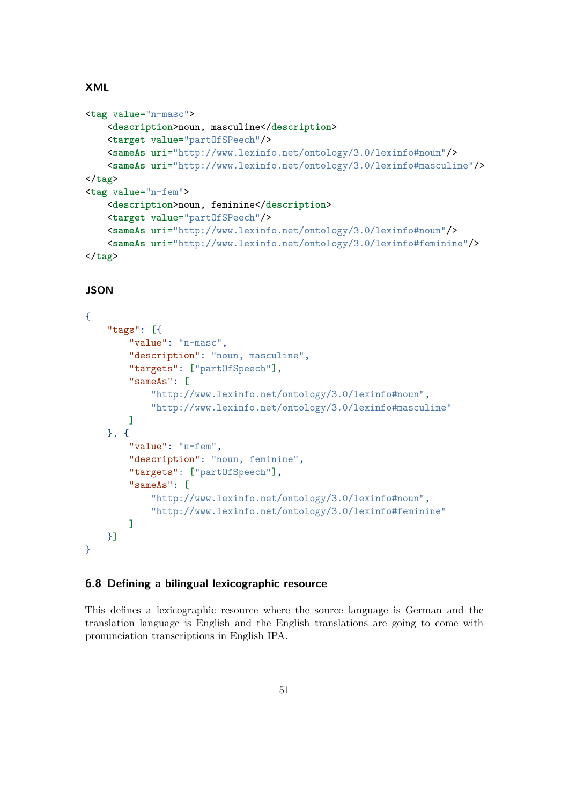```
<tag value="n-masc">
    <description>noun, masculine</description>
    <target value="partOfSPeech"/>
    <sameAs uri="http://www.lexinfo.net/ontology/3.0/lexinfo#noun"/>
    <sameAs uri="http://www.lexinfo.net/ontology/3.0/lexinfo#masculine"/>
</tag>
<tag value="n-fem">
    <description>noun, feminine</description>
    <target value="partOfSPeech"/>
    <sameAs uri="http://www.lexinfo.net/ontology/3.0/lexinfo#noun"/>
    <sameAs uri="http://www.lexinfo.net/ontology/3.0/lexinfo#feminine"/>
</tag>
```
#### **JSON**

```
{
    "tags": [{
        "value": "n-masc",
        "description": "noun, masculine",
        "targets": ["partOfSpeech"],
        "sameAs": [
            "http://www.lexinfo.net/ontology/3.0/lexinfo#noun",
            "http://www.lexinfo.net/ontology/3.0/lexinfo#masculine"
        ]
    }, {
        "value": "n-fem",
        "description": "noun, feminine",
        "targets": ["partOfSpeech"],
        "sameAs": [
            "http://www.lexinfo.net/ontology/3.0/lexinfo#noun",
            "http://www.lexinfo.net/ontology/3.0/lexinfo#feminine"
        ]
    \uparrow}
```
### **6.8 Defining a bilingual lexicographic resource**

This defines a lexicographic resource where the source language is German and the translation language is English and the English translations are going to come with pronunciation transcriptions in English IPA.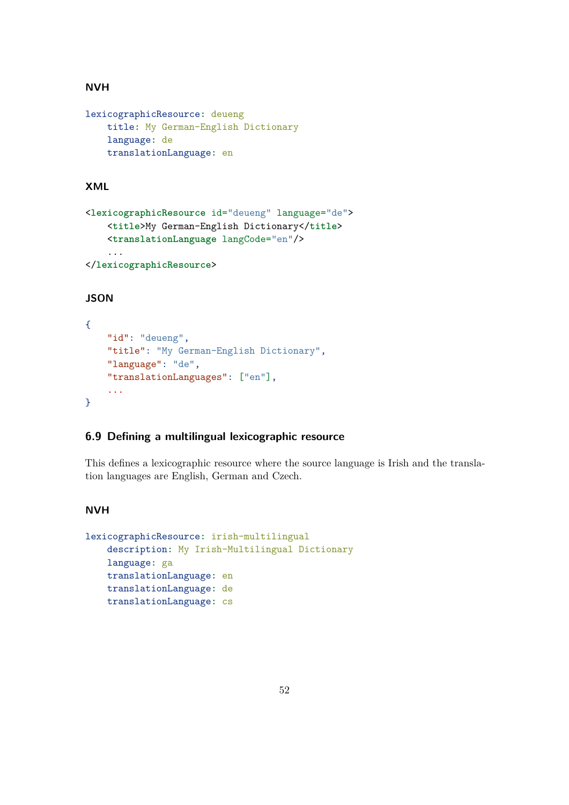### **NVH**

```
lexicographicResource: deueng
   title: My German-English Dictionary
   language: de
   translationLanguage: en
```
## **XML**

```
<lexicographicResource id="deueng" language="de">
    <title>My German-English Dictionary</title>
    <translationLanguage langCode="en"/>
    ...
</lexicographicResource>
```
### **JSON**

```
{
    "id": "deueng",
    "title": "My German-English Dictionary",
    "language": "de",
    "translationLanguages": ["en"],
    ...
}
```
## **6.9 Defining a multilingual lexicographic resource**

This defines a lexicographic resource where the source language is Irish and the translation languages are English, German and Czech.

```
lexicographicResource: irish-multilingual
    description: My Irish-Multilingual Dictionary
    language: ga
    translationLanguage: en
    translationLanguage: de
    translationLanguage: cs
```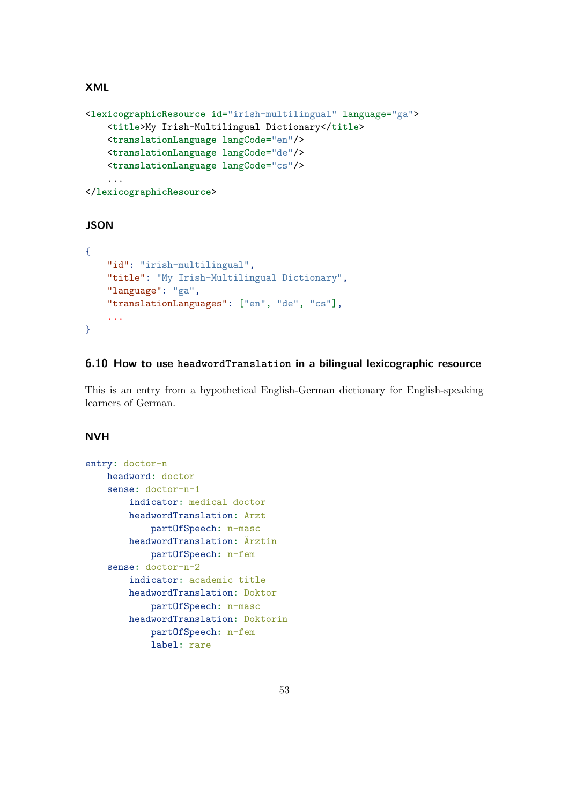```
<lexicographicResource id="irish-multilingual" language="ga">
   <title>My Irish-Multilingual Dictionary</title>
   <translationLanguage langCode="en"/>
   <translationLanguage langCode="de"/>
    <translationLanguage langCode="cs"/>
    ...
</lexicographicResource>
```
## **JSON**

```
{
    "id": "irish-multilingual",
    "title": "My Irish-Multilingual Dictionary",
    "language": "ga",
    "translationLanguages": ["en", "de", "cs"],
    ...
}
```
## **6.10 How to use headwordTranslation in a bilingual lexicographic resource**

This is an entry from a hypothetical English-German dictionary for English-speaking learners of German.

```
entry: doctor-n
   headword: doctor
   sense: doctor-n-1
       indicator: medical doctor
       headwordTranslation: Arzt
           partOfSpeech: n-masc
       headwordTranslation: Ärztin
           partOfSpeech: n-fem
   sense: doctor-n-2
        indicator: academic title
       headwordTranslation: Doktor
            partOfSpeech: n-masc
       headwordTranslation: Doktorin
            partOfSpeech: n-fem
            label: rare
```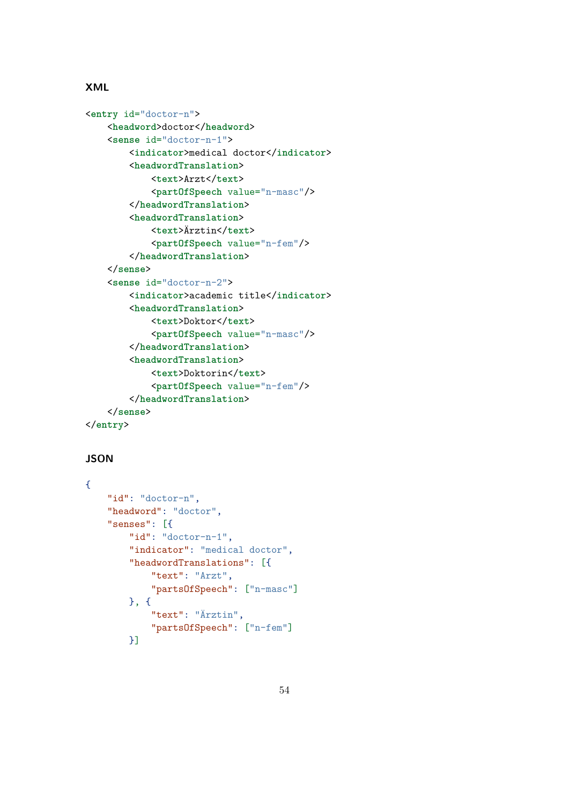```
<entry id="doctor-n">
    <headword>doctor</headword>
    <sense id="doctor-n-1">
        <indicator>medical doctor</indicator>
        <headwordTranslation>
            <text>Arzt</text>
            <partOfSpeech value="n-masc"/>
        </headwordTranslation>
        <headwordTranslation>
            <text>Ärztin</text>
            <partOfSpeech value="n-fem"/>
        </headwordTranslation>
    </sense>
    <sense id="doctor-n-2">
        <indicator>academic title</indicator>
        <headwordTranslation>
            <text>Doktor</text>
            <partOfSpeech value="n-masc"/>
        </headwordTranslation>
        <headwordTranslation>
            <text>Doktorin</text>
            <partOfSpeech value="n-fem"/>
        </headwordTranslation>
    </sense>
</entry>
```

```
{
    "id": "doctor-n",
    "headword": "doctor",
    "senses": [{
        "id": "doctor-n-1",
        "indicator": "medical doctor",
        "headwordTranslations": [{
            "text": "Arzt",
            "partsOfSpeech": ["n-masc"]
        }, {
            "text": "Ärztin",
            "partsOfSpeech": ["n-fem"]
        }]
```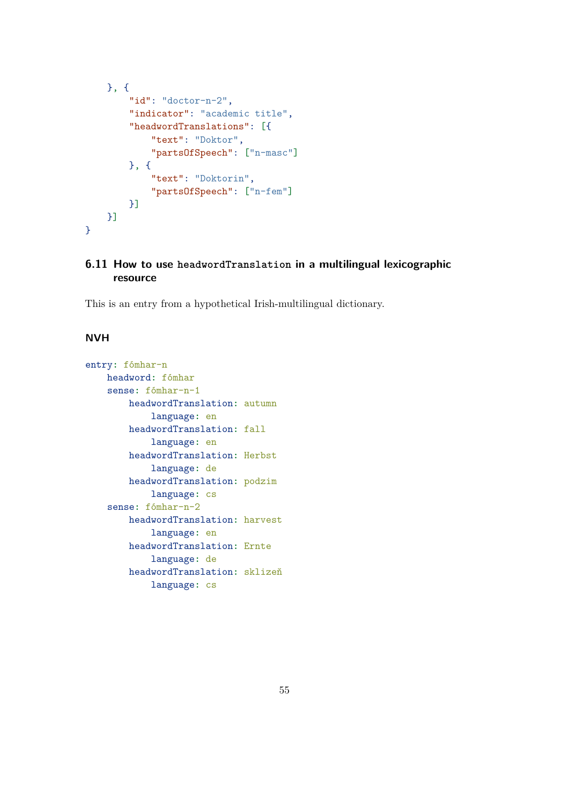```
}, {
    "id": "doctor-n-2",
    "indicator": "academic title",
    "headwordTranslations": [{
        "text": "Doktor",
        "partsOfSpeech": ["n-masc"]
    }, {
        "text": "Doktorin",
        "partsOfSpeech": ["n-fem"]
    }]
\uparrow
```
## **6.11 How to use headwordTranslation in a multilingual lexicographic resource**

This is an entry from a hypothetical Irish-multilingual dictionary.

## **NVH**

}

```
entry: fómhar-n
   headword: fómhar
    sense: fómhar-n-1
        headwordTranslation: autumn
            language: en
        headwordTranslation: fall
            language: en
        headwordTranslation: Herbst
            language: de
        headwordTranslation: podzim
            language: cs
    sense: fómhar-n-2
        headwordTranslation: harvest
            language: en
        headwordTranslation: Ernte
            language: de
        headwordTranslation: sklizeň
            language: cs
```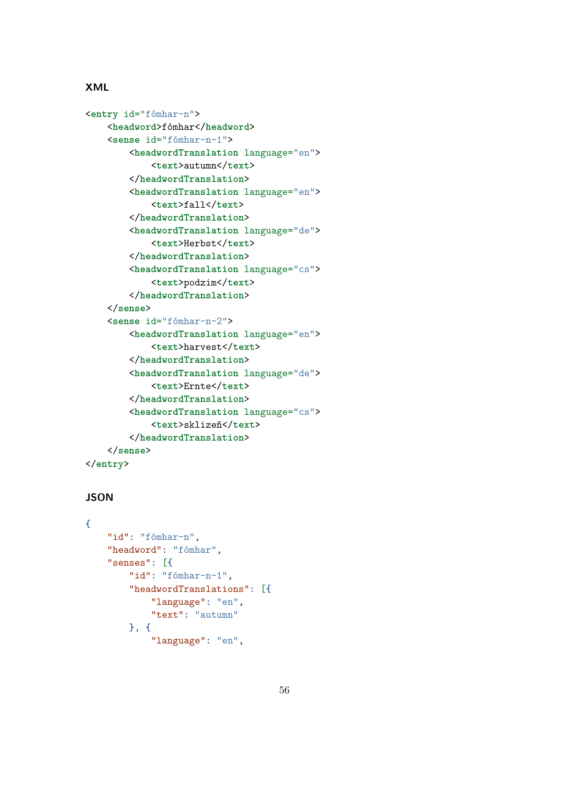```
<entry id="fómhar-n">
    <headword>fómhar</headword>
    <sense id="fómhar-n-1">
        <headwordTranslation language="en">
            <text>autumn</text>
        </headwordTranslation>
        <headwordTranslation language="en">
            <text>fall</text>
        </headwordTranslation>
        <headwordTranslation language="de">
            <text>Herbst</text>
        </headwordTranslation>
        <headwordTranslation language="cs">
            <text>podzim</text>
        </headwordTranslation>
    </sense>
    <sense id="fómhar-n-2">
        <headwordTranslation language="en">
            <text>harvest</text>
        </headwordTranslation>
        <headwordTranslation language="de">
            <text>Ernte</text>
        </headwordTranslation>
        <headwordTranslation language="cs">
            <text>sklizeň</text>
        </headwordTranslation>
    </sense>
</entry>
```

```
{
    "id": "fómhar-n",
    "headword": "fómhar",
    "senses": [{
        "id": "fómhar-n-1",
        "headwordTranslations": [{
            "language": "en",
            "text": "autumn"
        }, {
            "language": "en",
```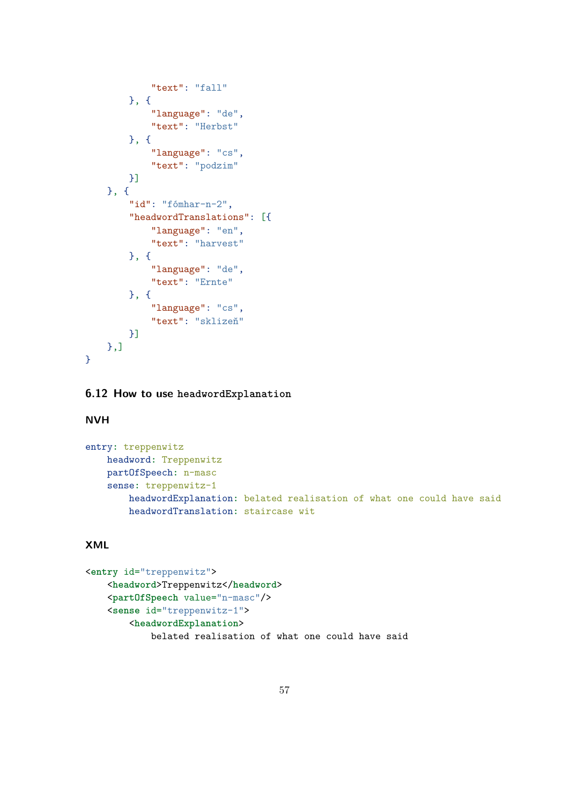```
"text": "fall"
    }, {
        "language": "de",
        "text": "Herbst"
    }, {
        "language": "cs",
        "text": "podzim"
    }]
}, {
    "id": "fómhar-n-2",
    "headwordTranslations": [{
        "language": "en",
        "text": "harvest"
    }, {
        "language": "de",
        "text": "Ernte"
    }, {
        "language": "cs",
        "text": "sklizeň"
    }]
\},]
```
## **6.12 How to use headwordExplanation**

## **NVH**

}

```
entry: treppenwitz
   headword: Treppenwitz
   partOfSpeech: n-masc
   sense: treppenwitz-1
       headwordExplanation: belated realisation of what one could have said
       headwordTranslation: staircase wit
```

```
<entry id="treppenwitz">
    <headword>Treppenwitz</headword>
   <partOfSpeech value="n-masc"/>
   <sense id="treppenwitz-1">
        <headwordExplanation>
            belated realisation of what one could have said
```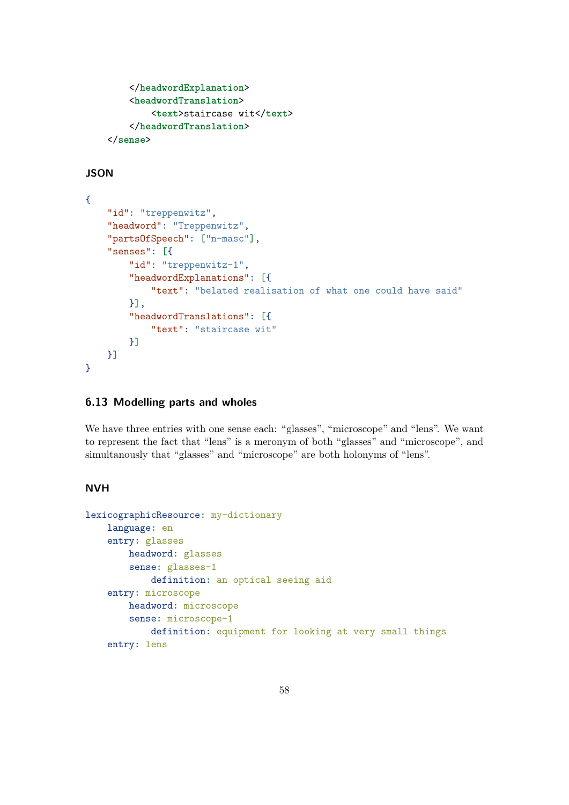```
</headwordExplanation>
    <headwordTranslation>
        <text>staircase wit</text>
    </headwordTranslation>
</sense>
```

```
{
    "id": "treppenwitz",
    "headword": "Treppenwitz",
    "partsOfSpeech": ["n-masc"],
    "senses": [{
        "id": "treppenwitz-1",
        "headwordExplanations": [{
            "text": "belated realisation of what one could have said"
        }],
        "headwordTranslations": [{
            "text": "staircase wit"
        }]
   }]
}
```
### **6.13 Modelling parts and wholes**

We have three entries with one sense each: "glasses", "microscope" and "lens". We want to represent the fact that "lens" is a meronym of both "glasses" and "microscope", and simultanously that "glasses" and "microscope" are both holonyms of "lens".

```
lexicographicResource: my-dictionary
    language: en
    entry: glasses
        headword: glasses
        sense: glasses-1
            definition: an optical seeing aid
    entry: microscope
       headword: microscope
        sense: microscope-1
            definition: equipment for looking at very small things
    entry: lens
```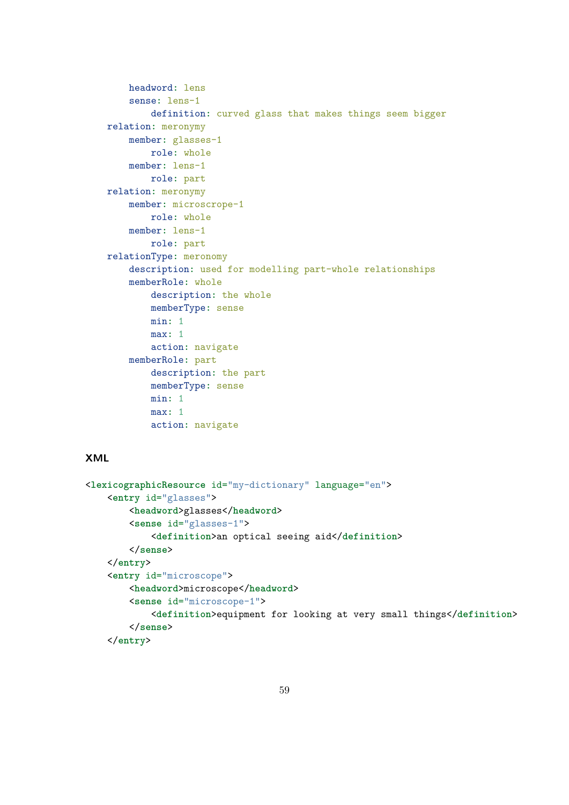```
headword: lens
    sense: lens-1
        definition: curved glass that makes things seem bigger
relation: meronymy
    member: glasses-1
       role: whole
    member: lens-1
       role: part
relation: meronymy
   member: microscrope-1
       role: whole
    member: lens-1
       role: part
relationType: meronomy
    description: used for modelling part-whole relationships
    memberRole: whole
        description: the whole
        memberType: sense
        min: 1
        max: 1
        action: navigate
    memberRole: part
        description: the part
        memberType: sense
        min: 1
        max: 1
        action: navigate
```

```
<lexicographicResource id="my-dictionary" language="en">
    <entry id="glasses">
        <headword>glasses</headword>
        <sense id="glasses-1">
            <definition>an optical seeing aid</definition>
        </sense>
    </entry>
    <entry id="microscope">
        <headword>microscope</headword>
        <sense id="microscope-1">
            <definition>equipment for looking at very small things</definition>
        </sense>
    </entry>
```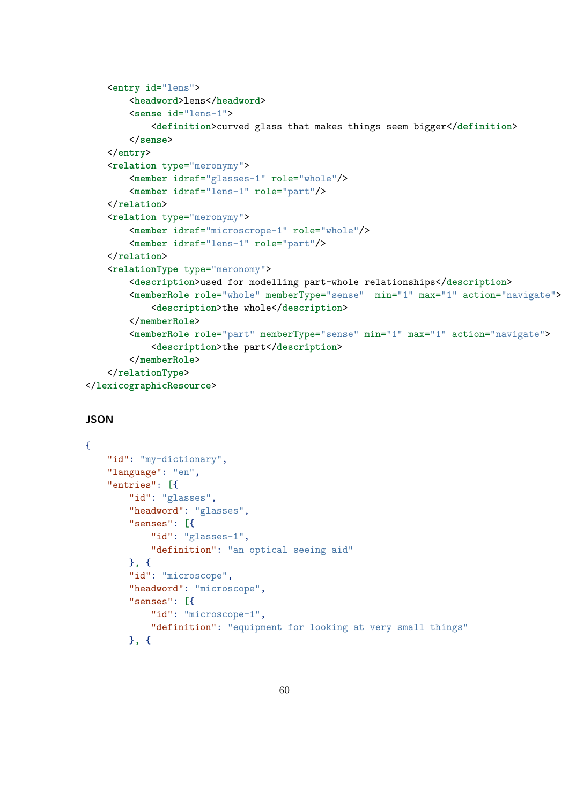```
<entry id="lens">
        <headword>lens</headword>
        <sense id="lens-1">
            <definition>curved glass that makes things seem bigger</definition>
        </sense>
    </entry>
    <relation type="meronymy">
        <member idref="glasses-1" role="whole"/>
        <member idref="lens-1" role="part"/>
    </relation>
    <relation type="meronymy">
        <member idref="microscrope-1" role="whole"/>
        <member idref="lens-1" role="part"/>
    </relation>
    <relationType type="meronomy">
        <description>used for modelling part-whole relationships</description>
        <memberRole role="whole" memberType="sense" min="1" max="1" action="navigate">
            <description>the whole</description>
        </memberRole>
        <memberRole role="part" memberType="sense" min="1" max="1" action="navigate">
            <description>the part</description>
        </memberRole>
    </relationType>
</lexicographicResource>
```

```
{
    "id": "my-dictionary",
    "language": "en",
    "entries": [{
        "id": "glasses",
        "headword": "glasses",
        "senses": [{
            "id": "glasses-1",
            "definition": "an optical seeing aid"
        }, {
        "id": "microscope",
        "headword": "microscope",
        "senses": [{
            "id": "microscope-1",
            "definition": "equipment for looking at very small things"
        }, {
```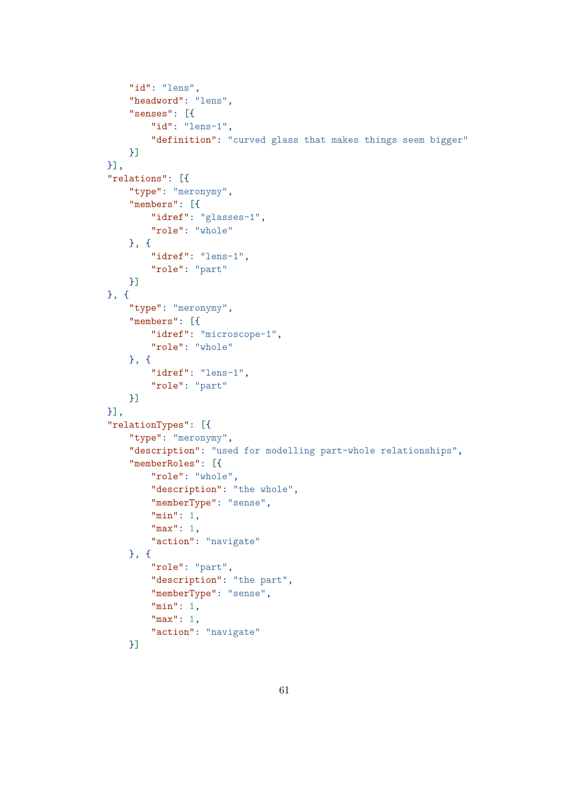```
"id": "lens",
    "headword": "lens",
    "senses": [{
        "id": "lens-1",
        "definition": "curved glass that makes things seem bigger"
   }]
}],
"relations": [{
    "type": "meronymy",
    "members": [{
        "idref": "glasses-1",
        "role": "whole"
    }, {
        "idref": "lens-1",
        "role": "part"
   \uparrow}, {
    "type": "meronymy",
    "members": [{
        "idref": "microscope-1",
        "role": "whole"
    }, {
        "idref": "lens-1",
        "role": "part"
    }]
}],
"relationTypes": [{
    "type": "meronymy",
    "description": "used for modelling part-whole relationships",
    "memberRoles": [{
        "role": "whole",
        "description": "the whole",
        "memberType": "sense",
        "min": 1,
        "max": 1,
        "action": "navigate"
    }, {
        "role": "part",
        "description": "the part",
        "memberType": "sense",
        "min": 1,
        "max": 1,
        "action": "navigate"
    }]
```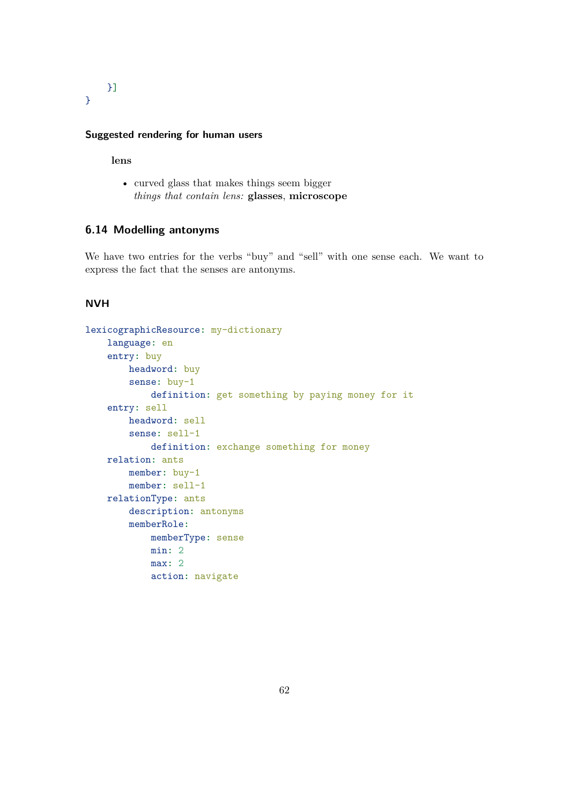}]

}

#### **Suggested rendering for human users**

**lens**

• curved glass that makes things seem bigger *things that contain lens:* **glasses**, **microscope**

## **6.14 Modelling antonyms**

We have two entries for the verbs "buy" and "sell" with one sense each. We want to express the fact that the senses are antonyms.

```
lexicographicResource: my-dictionary
    language: en
    entry: buy
       headword: buy
        sense: buy-1
            definition: get something by paying money for it
    entry: sell
       headword: sell
        sense: sell-1
            definition: exchange something for money
    relation: ants
       member: buy-1
        member: sell-1
    relationType: ants
        description: antonyms
        memberRole:
            memberType: sense
            min: 2
            max: 2
            action: navigate
```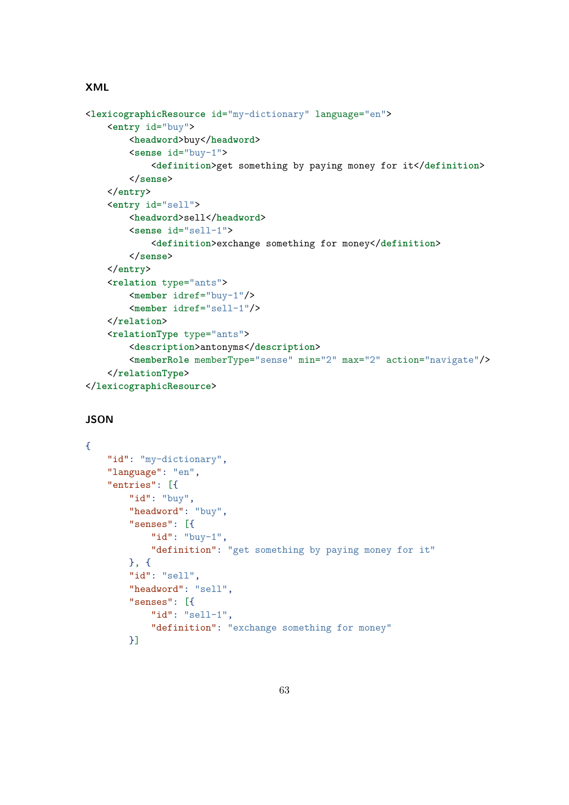```
<lexicographicResource id="my-dictionary" language="en">
    <entry id="buy">
        <headword>buy</headword>
        <sense id="buy-1">
            <definition>get something by paying money for it</definition>
        </sense>
    </entry>
    <entry id="sell">
        <headword>sell</headword>
        <sense id="sell-1">
            <definition>exchange something for money</definition>
        </sense>
    </entry>
    <relation type="ants">
        <member idref="buy-1"/>
        <member idref="sell-1"/>
   </relation>
    <relationType type="ants">
        <description>antonyms</description>
        <memberRole memberType="sense" min="2" max="2" action="navigate"/>
    </relationType>
</lexicographicResource>
```

```
{
    "id": "my-dictionary",
    "language": "en",
    "entries": [{
        "id": "buy",
        "headword": "buy",
        "senses": [{
            "id": "buy-1",
            "definition": "get something by paying money for it"
        }, {
        "id": "sell",
        "headword": "sell",
        "senses": [{
            "id": "sell-1",
            "definition": "exchange something for money"
        }]
```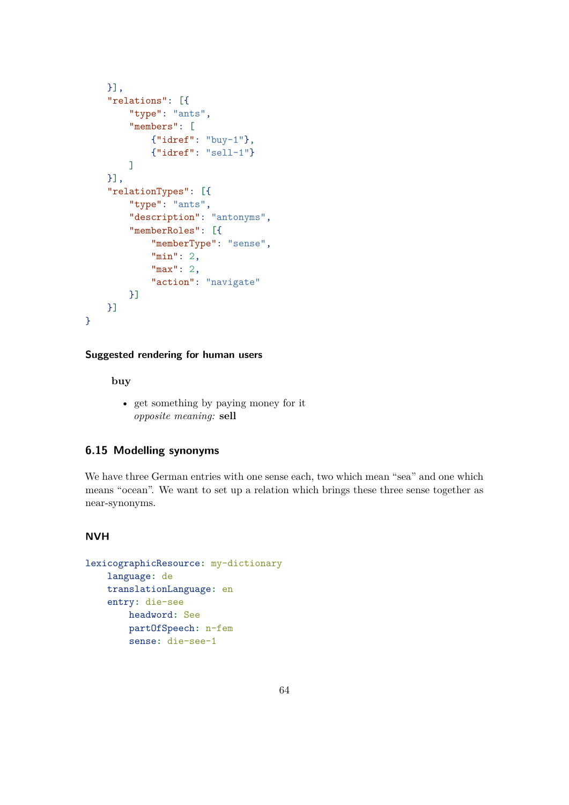```
}],
    "relations": [{
        "type": "ants",
        "members": [
            {"idref": "buy-1"},
            {"idref": "sell-1"}
        ]
    }],
    "relationTypes": [{
        "type": "ants",
        "description": "antonyms",
        "memberRoles": [{
            "memberType": "sense",
            "min": 2,
            "max": 2,
            "action": "navigate"
        }]
    }]
}
```
## **Suggested rendering for human users**

**buy**

• get something by paying money for it *opposite meaning:* **sell**

### **6.15 Modelling synonyms**

We have three German entries with one sense each, two which mean "sea" and one which means "ocean". We want to set up a relation which brings these three sense together as near-synonyms.

```
lexicographicResource: my-dictionary
    language: de
    translationLanguage: en
    entry: die-see
        headword: See
        partOfSpeech: n-fem
        sense: die-see-1
```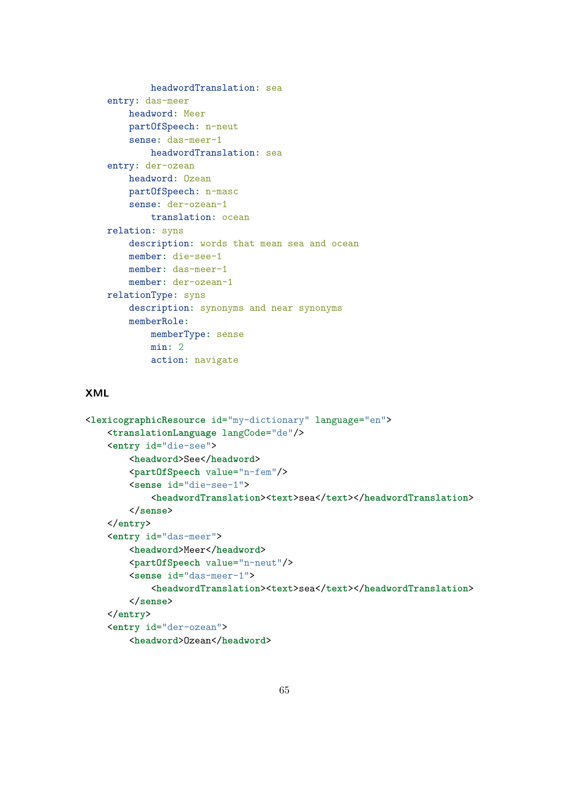```
headwordTranslation: sea
entry: das-meer
    headword: Meer
    partOfSpeech: n-neut
    sense: das-meer-1
        headwordTranslation: sea
entry: der-ozean
   headword: Ozean
    partOfSpeech: n-masc
    sense: der-ozean-1
       translation: ocean
relation: syns
    description: words that mean sea and ocean
    member: die-see-1
    member: das-meer-1
    member: der-ozean-1
relationType: syns
    description: synonyms and near synonyms
    memberRole:
        memberType: sense
        min: 2
        action: navigate
```

```
<lexicographicResource id="my-dictionary" language="en">
    <translationLanguage langCode="de"/>
    <entry id="die-see">
        <headword>See</headword>
        <partOfSpeech value="n-fem"/>
        <sense id="die-see-1">
            <headwordTranslation><text>sea</text></headwordTranslation>
        </sense>
    </entry>
    <entry id="das-meer">
        <headword>Meer</headword>
        <partOfSpeech value="n-neut"/>
        <sense id="das-meer-1">
            <headwordTranslation><text>sea</text></headwordTranslation>
        </sense>
    </entry>
    <entry id="der-ozean">
        <headword>Ozean</headword>
```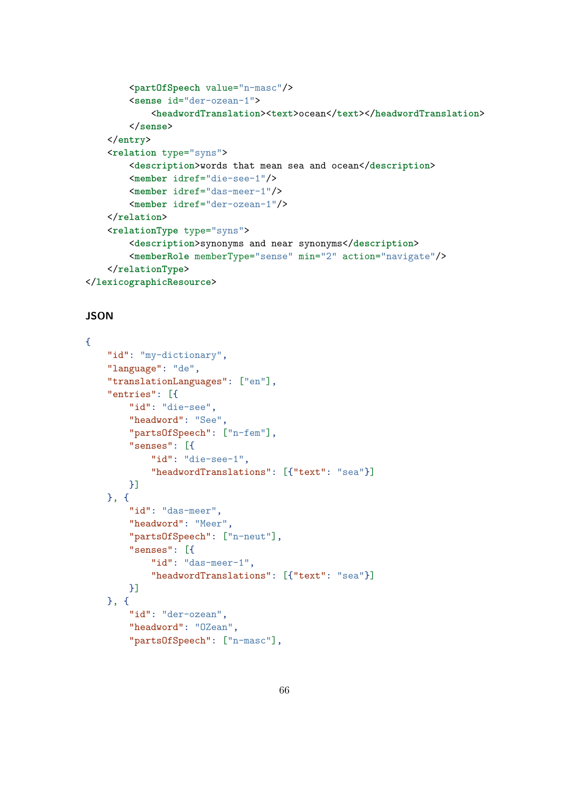```
<partOfSpeech value="n-masc"/>
        <sense id="der-ozean-1">
            <headwordTranslation><text>ocean</text></headwordTranslation>
        </sense>
    </entry>
    <relation type="syns">
        <description>words that mean sea and ocean</description>
        <member idref="die-see-1"/>
        <member idref="das-meer-1"/>
        <member idref="der-ozean-1"/>
    </relation>
    <relationType type="syns">
        <description>synonyms and near synonyms</description>
        <memberRole memberType="sense" min="2" action="navigate"/>
    </relationType>
</lexicographicResource>
```

```
{
    "id": "my-dictionary",
    "language": "de",
    "translationLanguages": ["en"],
    "entries": [{
        "id": "die-see",
        "headword": "See",
        "partsOfSpeech": ["n-fem"],
        "senses": [{
            "id": "die-see-1",
            "headwordTranslations": [{"text": "sea"}]
        }]
    }, {
        "id": "das-meer",
        "headword": "Meer",
        "partsOfSpeech": ["n-neut"],
        "senses": [{
            "id": "das-meer-1",
            "headwordTranslations": [{"text": "sea"}]
        }]
    }, {
        "id": "der-ozean",
        "headword": "OZean",
        "partsOfSpeech": ["n-masc"],
```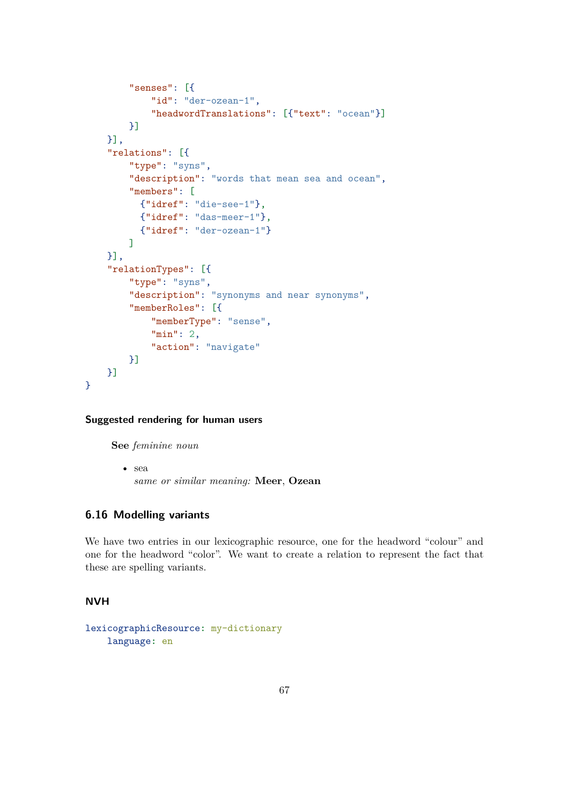```
"senses": [{
        "id": "der-ozean-1",
        "headwordTranslations": [{"text": "ocean"}]
    \overline{1}}],
"relations": [{
    "type": "syns",
    "description": "words that mean sea and ocean",
    "members": [
      {"idref": "die-see-1"},
      {"idref": "das-meer-1"},
      {"idref": "der-ozean-1"}
    ]
}],
"relationTypes": [{
    "type": "syns",
    "description": "synonyms and near synonyms",
    "memberRoles": [{
        "memberType": "sense",
        "min": 2,
        "action": "navigate"
    }]
}]
```
#### **Suggested rendering for human users**

**See** *feminine noun*

• sea *same or similar meaning:* **Meer**, **Ozean**

### **6.16 Modelling variants**

We have two entries in our lexicographic resource, one for the headword "colour" and one for the headword "color". We want to create a relation to represent the fact that these are spelling variants.

### **NVH**

}

```
lexicographicResource: my-dictionary
    language: en
```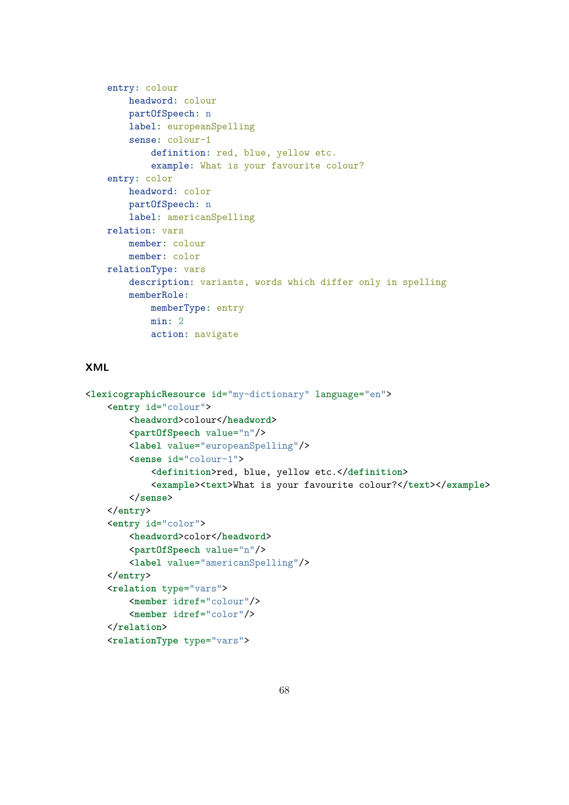```
entry: colour
    headword: colour
    partOfSpeech: n
    label: europeanSpelling
    sense: colour-1
        definition: red, blue, yellow etc.
        example: What is your favourite colour?
entry: color
    headword: color
    partOfSpeech: n
    label: americanSpelling
relation: vars
   member: colour
   member: color
relationType: vars
    description: variants, words which differ only in spelling
    memberRole:
        memberType: entry
        min: 2
        action: navigate
```

```
<lexicographicResource id="my-dictionary" language="en">
    <entry id="colour">
        <headword>colour</headword>
        <partOfSpeech value="n"/>
        <label value="europeanSpelling"/>
        <sense id="colour-1">
            <definition>red, blue, yellow etc.</definition>
            <example><text>What is your favourite colour?</text></example>
        </sense>
    </entry>
    <entry id="color">
        <headword>color</headword>
        <partOfSpeech value="n"/>
        <label value="americanSpelling"/>
    </entry>
    <relation type="vars">
        <member idref="colour"/>
        <member idref="color"/>
    </relation>
    <relationType type="vars">
```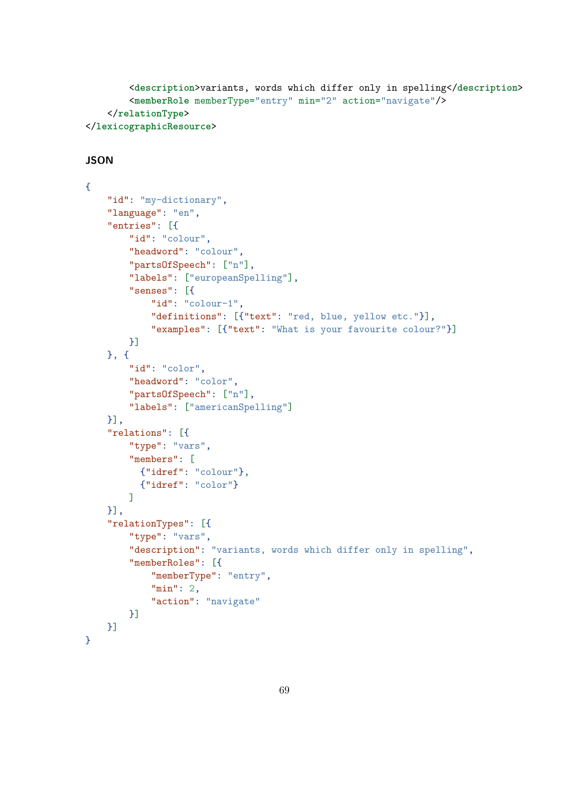```
<description>variants, words which differ only in spelling</description>
        <memberRole memberType="entry" min="2" action="navigate"/>
   </relationType>
</lexicographicResource>
```

```
{
    "id": "my-dictionary",
    "language": "en",
    "entries": [{
        "id": "colour",
        "headword": "colour",
        "partsOfSpeech": ["n"],
        "labels": ["europeanSpelling"],
        "senses": [{
            "id": "colour-1",
            "definitions": [{"text": "red, blue, yellow etc."}],
            "examples": [{"text": "What is your favourite colour?"}]
       }]
    }, {
        "id": "color",
        "headword": "color",
        "partsOfSpeech": ["n"],
        "labels": ["americanSpelling"]
    }],
    "relations": [{
        "type": "vars",
        "members": [
          {"idref": "colour"},
          {"idref": "color"}
        ]
    }],
    "relationTypes": [{
        "type": "vars",
        "description": "variants, words which differ only in spelling",
        "memberRoles": [{
            "memberType": "entry",
            "min": 2,
            "action": "navigate"
        }]
   }]
}
```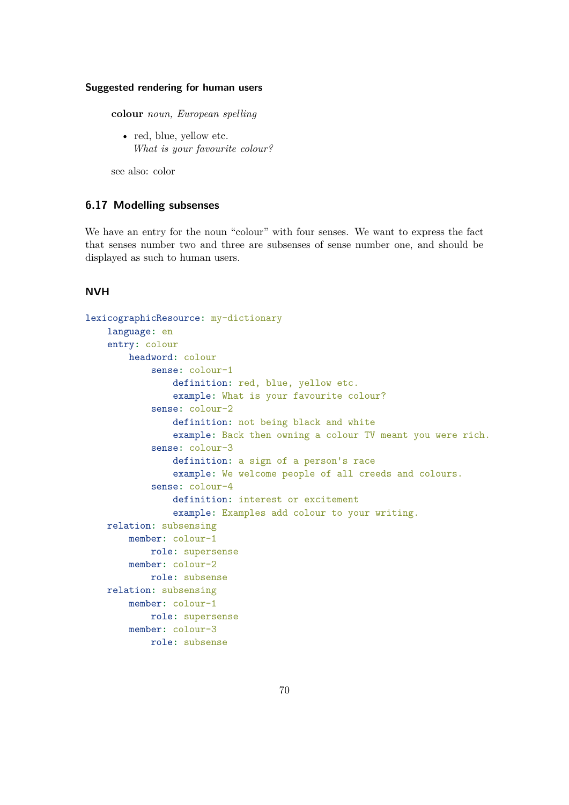#### **Suggested rendering for human users**

**colour** *noun, European spelling*

• red, blue, yellow etc. *What is your favourite colour?*

see also: color

#### **6.17 Modelling subsenses**

We have an entry for the noun "colour" with four senses. We want to express the fact that senses number two and three are subsenses of sense number one, and should be displayed as such to human users.

```
lexicographicResource: my-dictionary
    language: en
    entry: colour
        headword: colour
            sense: colour-1
                definition: red, blue, yellow etc.
                example: What is your favourite colour?
            sense: colour-2
                definition: not being black and white
                example: Back then owning a colour TV meant you were rich.
            sense: colour-3
                definition: a sign of a person's race
                example: We welcome people of all creeds and colours.
            sense: colour-4
                definition: interest or excitement
                example: Examples add colour to your writing.
    relation: subsensing
        member: colour-1
            role: supersense
        member: colour-2
           role: subsense
    relation: subsensing
        member: colour-1
            role: supersense
        member: colour-3
            role: subsense
```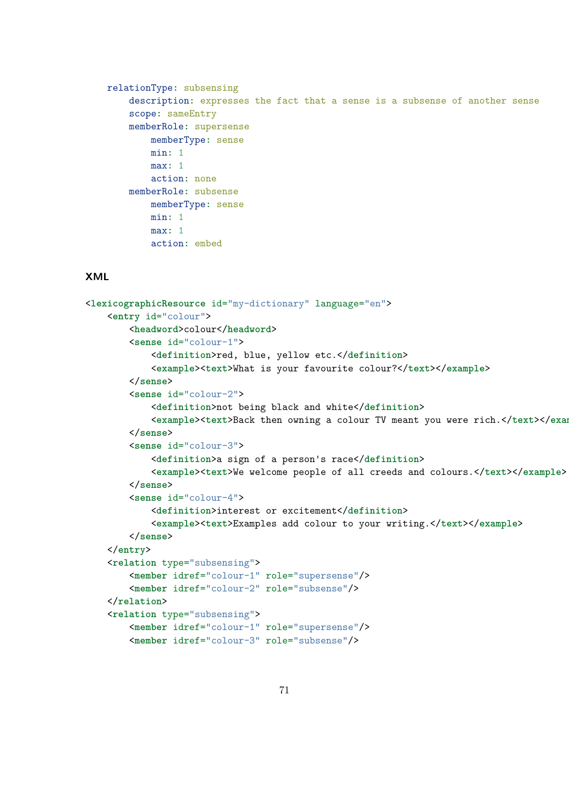```
relationType: subsensing
    description: expresses the fact that a sense is a subsense of another sense
    scope: sameEntry
    memberRole: supersense
        memberType: sense
        min: 1
        max: 1
        action: none
    memberRole: subsense
        memberType: sense
        min: 1
        max: 1
        action: embed
```

```
<lexicographicResource id="my-dictionary" language="en">
    <entry id="colour">
        <headword>colour</headword>
        <sense id="colour-1">
            <definition>red, blue, yellow etc.</definition>
            <example><text>What is your favourite colour?</text></example>
        </sense>
        <sense id="colour-2">
            <definition>not being black and white</definition>
            <example><text>Back then owning a colour TV meant you were rich.</text></example>
        </sense>
        <sense id="colour-3">
            <definition>a sign of a person's race</definition>
            <example><text>We welcome people of all creeds and colours.</text></example>
        </sense>
        <sense id="colour-4">
            <definition>interest or excitement</definition>
            <example><text>Examples add colour to your writing.</text></example>
        </sense>
    </entry>
    <relation type="subsensing">
        <member idref="colour-1" role="supersense"/>
        <member idref="colour-2" role="subsense"/>
    </relation>
    <relation type="subsensing">
        <member idref="colour-1" role="supersense"/>
        <member idref="colour-3" role="subsense"/>
```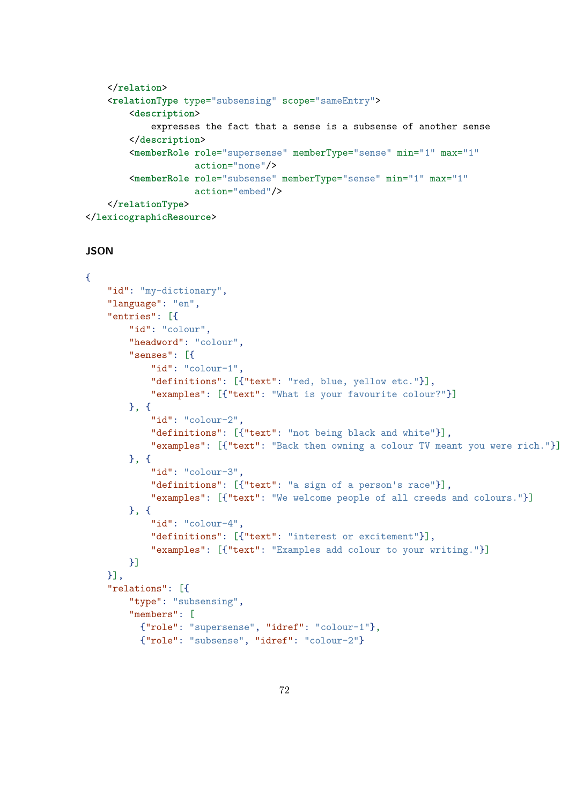```
</relation>
    <relationType type="subsensing" scope="sameEntry">
        <description>
            expresses the fact that a sense is a subsense of another sense
        </description>
        <memberRole role="supersense" memberType="sense" min="1" max="1"
                    action="none"/>
        <memberRole role="subsense" memberType="sense" min="1" max="1"
                    action="embed"/>
    </relationType>
</lexicographicResource>
```

```
{
    "id": "my-dictionary",
    "language": "en",
    "entries": [{
        "id": "colour",
        "headword": "colour",
        "senses": [{
            "id": "colour-1",
            "definitions": [{"text": "red, blue, yellow etc."}],
            "examples": [{"text": "What is your favourite colour?"}]
        }, {
            "id": "colour-2",
            "definitions": [{"text": "not being black and white"}],
            "examples": [{"text": "Back then owning a colour TV meant you were rich."}]
        }, {
            "id": "colour-3",
            "definitions": [{"text": "a sign of a person's race"}],
            "examples": [{"text": "We welcome people of all creeds and colours."}]
        }, {
            "id": "colour-4",
            "definitions": [{"text": "interest or excitement"}],
            "examples": [{"text": "Examples add colour to your writing."}]
        }]
    }],
    "relations": [{
        "type": "subsensing",
        "members": [
          {"role": "supersense", "idref": "colour-1"},
          {"role": "subsense", "idref": "colour-2"}
```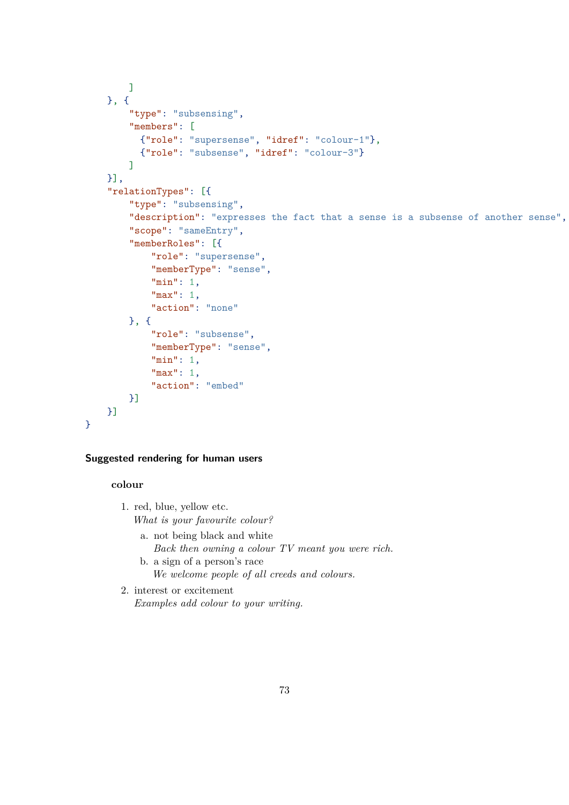```
]
}, {
    "type": "subsensing",
    "members": [
      {"role": "supersense", "idref": "colour-1"},
      {"role": "subsense", "idref": "colour-3"}
    ]
}],
"relationTypes": [{
    "type": "subsensing",
    "description": "expresses the fact that a sense is a subsense of another sense",
    "scope": "sameEntry",
    "memberRoles": [{
        "role": "supersense",
        "memberType": "sense",
        "min": 1,
        "max": 1,
        "action": "none"
    }, {
        "role": "subsense",
        "memberType": "sense",
        "min": 1,
        "max": 1,
        "action": "embed"
    }]
}]
```
#### **Suggested rendering for human users**

#### **colour**

}

- 1. red, blue, yellow etc. *What is your favourite colour?*
	- a. not being black and white *Back then owning a colour TV meant you were rich.*
	- b. a sign of a person's race *We welcome people of all creeds and colours.*
- 2. interest or excitement *Examples add colour to your writing.*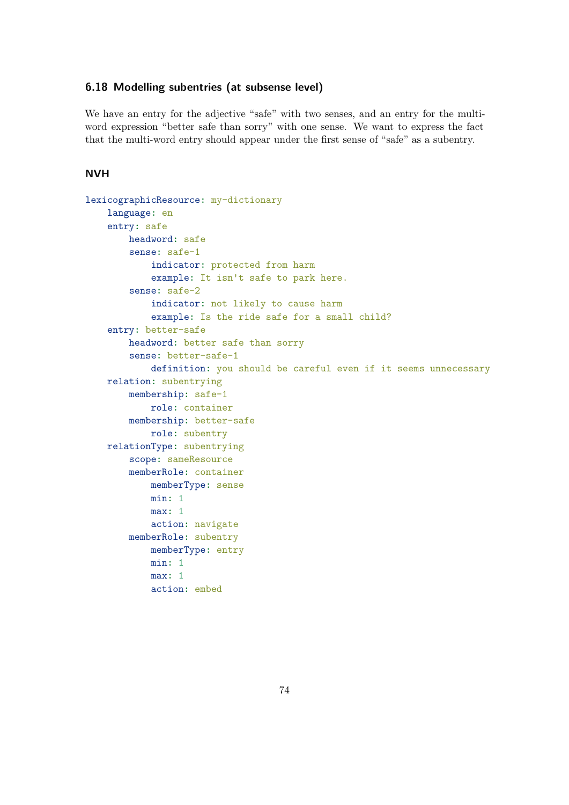### **6.18 Modelling subentries (at subsense level)**

We have an entry for the adjective "safe" with two senses, and an entry for the multiword expression "better safe than sorry" with one sense. We want to express the fact that the multi-word entry should appear under the first sense of "safe" as a subentry.

# **NVH**

```
lexicographicResource: my-dictionary
    language: en
    entry: safe
       headword: safe
        sense: safe-1
            indicator: protected from harm
            example: It isn't safe to park here.
        sense: safe-2
            indicator: not likely to cause harm
            example: Is the ride safe for a small child?
    entry: better-safe
        headword: better safe than sorry
        sense: better-safe-1
            definition: you should be careful even if it seems unnecessary
    relation: subentrying
        membership: safe-1
            role: container
        membership: better-safe
            role: subentry
    relationType: subentrying
        scope: sameResource
        memberRole: container
            memberType: sense
            min: 1
            max: 1
            action: navigate
        memberRole: subentry
            memberType: entry
            min: 1
            max: 1
            action: embed
```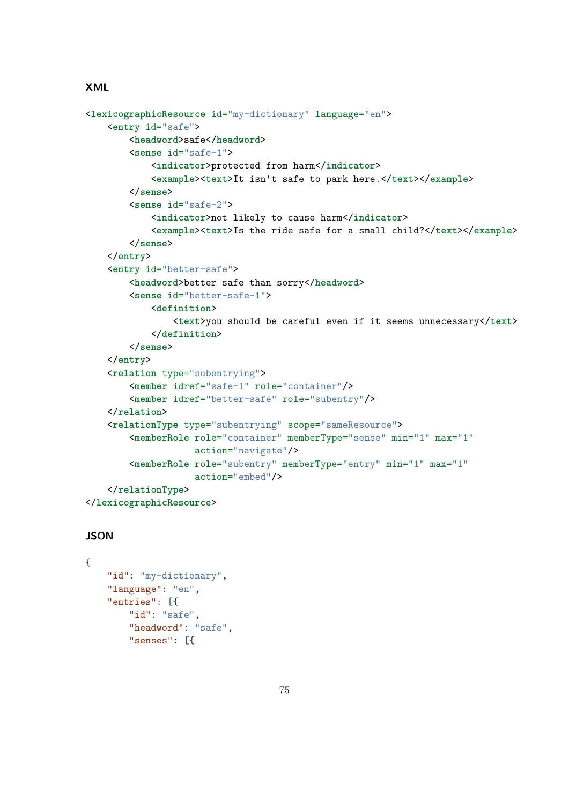### **XML**

```
<lexicographicResource id="my-dictionary" language="en">
    <entry id="safe">
        <headword>safe</headword>
        <sense id="safe-1">
            <indicator>protected from harm</indicator>
            <example><text>It isn't safe to park here.</text></example>
        </sense>
        <sense id="safe-2">
            <indicator>not likely to cause harm</indicator>
            <example><text>Is the ride safe for a small child?</text></example>
        </sense>
    </entry>
    <entry id="better-safe">
        <headword>better safe than sorry</headword>
        <sense id="better-safe-1">
            <definition>
                <text>you should be careful even if it seems unnecessary</text>
            </definition>
        </sense>
    </entry>
    <relation type="subentrying">
        <member idref="safe-1" role="container"/>
        <member idref="better-safe" role="subentry"/>
    </relation>
    <relationType type="subentrying" scope="sameResource">
        <memberRole role="container" memberType="sense" min="1" max="1"
                    action="navigate"/>
        <memberRole role="subentry" memberType="entry" min="1" max="1"
                    action="embed"/>
    </relationType>
</lexicographicResource>
```
### **JSON**

```
{
    "id": "my-dictionary",
    "language": "en",
    "entries": [{
        "id": "safe",
        "headword": "safe",
        "senses": [{
```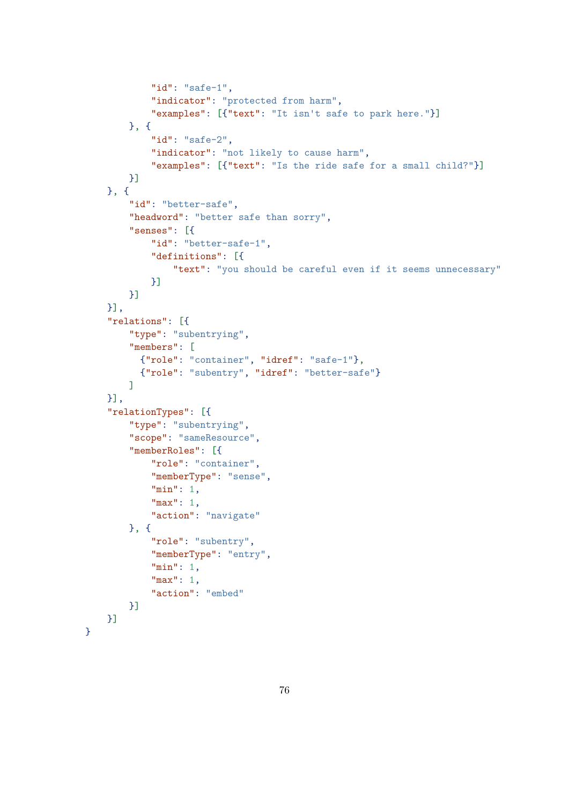```
"id": "safe-1",
        "indicator": "protected from harm",
        "examples": [{"text": "It isn't safe to park here."}]
    }, {
        "id": "safe-2",
        "indicator": "not likely to cause harm",
        "examples": [{"text": "Is the ride safe for a small child?"}]
    }]
}, {
    "id": "better-safe",
    "headword": "better safe than sorry",
    "senses": [{
        "id": "better-safe-1",
        "definitions": [{
            "text": "you should be careful even if it seems unnecessary"
        }]
    }]
}],
"relations": [{
    "type": "subentrying",
    "members": [
      {"role": "container", "idref": "safe-1"},
      {"role": "subentry", "idref": "better-safe"}
    ]
}],
"relationTypes": [{
    "type": "subentrying",
    "scope": "sameResource",
    "memberRoles": [{
        "role": "container",
        "memberType": "sense",
        "min": 1,
        "max": 1,
        "action": "navigate"
    }, {
        "role": "subentry",
        "memberType": "entry",
        "min": 1,
        "max": 1,
        "action": "embed"
    }]
}]
```
}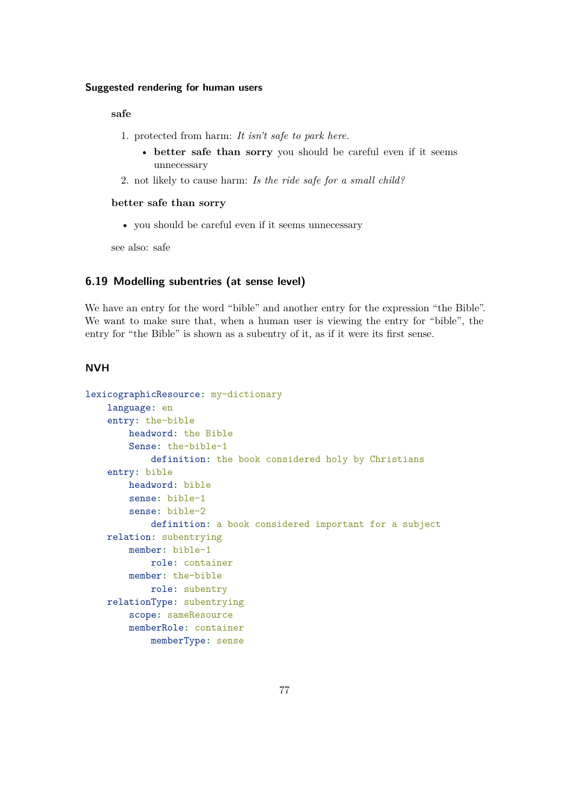#### **Suggested rendering for human users**

#### **safe**

- 1. protected from harm: *It isn't safe to park here.*
	- **better safe than sorry** you should be careful even if it seems unnecessary
- 2. not likely to cause harm: *Is the ride safe for a small child?*

#### **better safe than sorry**

• you should be careful even if it seems unnecessary

see also: safe

### **6.19 Modelling subentries (at sense level)**

We have an entry for the word "bible" and another entry for the expression "the Bible". We want to make sure that, when a human user is viewing the entry for "bible", the entry for "the Bible" is shown as a subentry of it, as if it were its first sense.

#### **NVH**

```
lexicographicResource: my-dictionary
    language: en
    entry: the-bible
       headword: the Bible
        Sense: the-bible-1
            definition: the book considered holy by Christians
    entry: bible
       headword: bible
        sense: bible-1
        sense: bible-2
            definition: a book considered important for a subject
    relation: subentrying
        member: bible-1
            role: container
        member: the-bible
            role: subentry
    relationType: subentrying
        scope: sameResource
        memberRole: container
            memberType: sense
```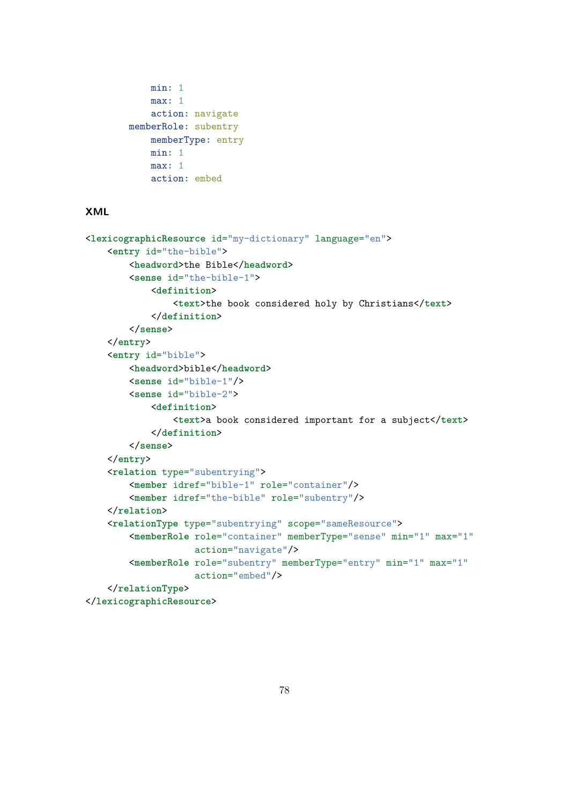```
min: 1
    max: 1
    action: navigate
memberRole: subentry
    memberType: entry
    min: 1
    max: 1
    action: embed
```
# **XML**

```
<lexicographicResource id="my-dictionary" language="en">
    <entry id="the-bible">
        <headword>the Bible</headword>
        <sense id="the-bible-1">
            <definition>
                <text>the book considered holy by Christians</text>
            </definition>
        </sense>
   </entry>
    <entry id="bible">
        <headword>bible</headword>
        <sense id="bible-1"/>
        <sense id="bible-2">
            <definition>
                <text>a book considered important for a subject</text>
            </definition>
        </sense>
   </entry>
    <relation type="subentrying">
        <member idref="bible-1" role="container"/>
        <member idref="the-bible" role="subentry"/>
    </relation>
    <relationType type="subentrying" scope="sameResource">
        <memberRole role="container" memberType="sense" min="1" max="1"
                    action="navigate"/>
        <memberRole role="subentry" memberType="entry" min="1" max="1"
                    action="embed"/>
    </relationType>
</lexicographicResource>
```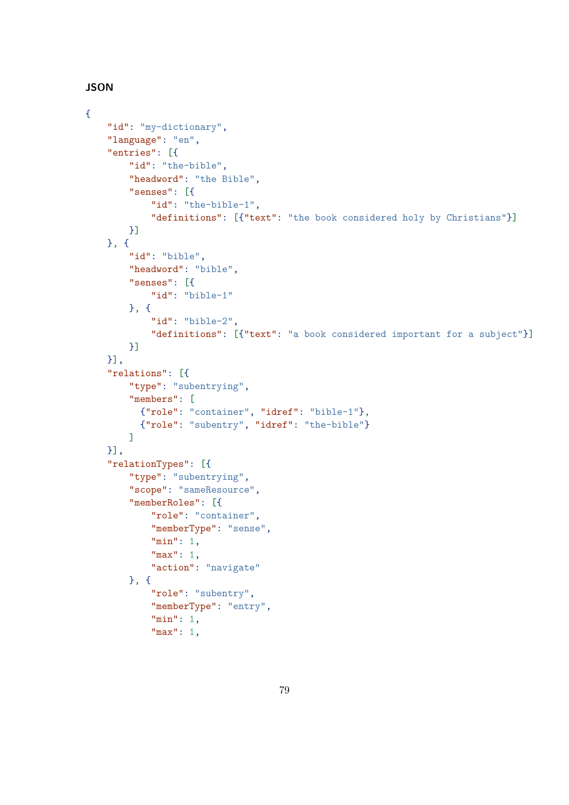### **JSON**

{

```
"id": "my-dictionary",
"language": "en",
"entries": [{
    "id": "the-bible",
    "headword": "the Bible",
    "senses": [{
        "id": "the-bible-1",
        "definitions": [{"text": "the book considered holy by Christians"}]
    }]
}, {
    "id": "bible",
    "headword": "bible",
    "senses": [{
        "id": "bible-1"
    }, {
        "id": "bible-2",
        "definitions": [{"text": "a book considered important for a subject"}]
    }]
}],
"relations": [{
    "type": "subentrying",
    "members": [
      {"role": "container", "idref": "bible-1"},
      {"role": "subentry", "idref": "the-bible"}
    ]
}],
"relationTypes": [{
    "type": "subentrying",
    "scope": "sameResource",
    "memberRoles": [{
        "role": "container",
        "memberType": "sense",
        "min": 1,
        "max": 1,
        "action": "navigate"
    }, {
        "role": "subentry",
        "memberType": "entry",
        "min": 1,
        "max": 1,
```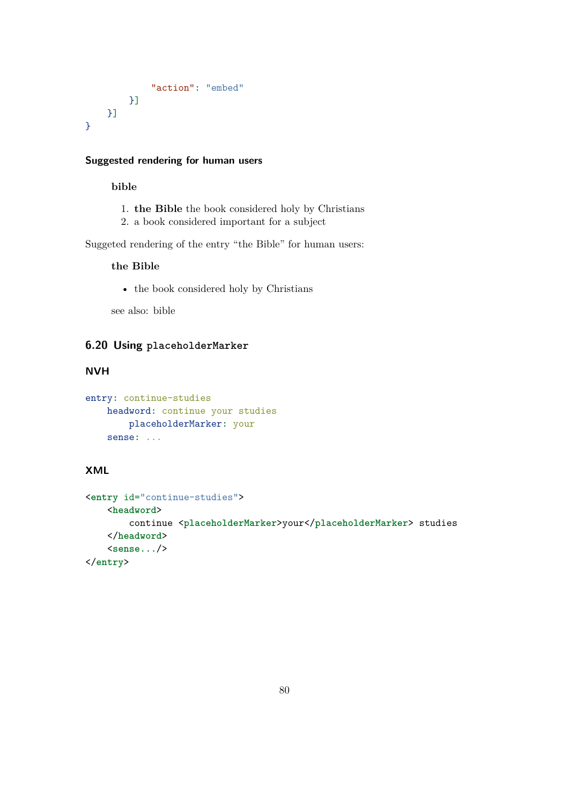```
"action": "embed"
        }]
    }]
}
```
#### **Suggested rendering for human users**

## **bible**

- 1. **the Bible** the book considered holy by Christians
- 2. a book considered important for a subject

Suggeted rendering of the entry "the Bible" for human users:

# **the Bible**

• the book considered holy by Christians

see also: bible

# **6.20 Using placeholderMarker**

# **NVH**

```
entry: continue-studies
   headword: continue your studies
       placeholderMarker: your
   sense: ...
```
# **XML**

```
<entry id="continue-studies">
    <headword>
        continue <placeholderMarker>your</placeholderMarker> studies
    </headword>
    <sense.../>
</entry>
```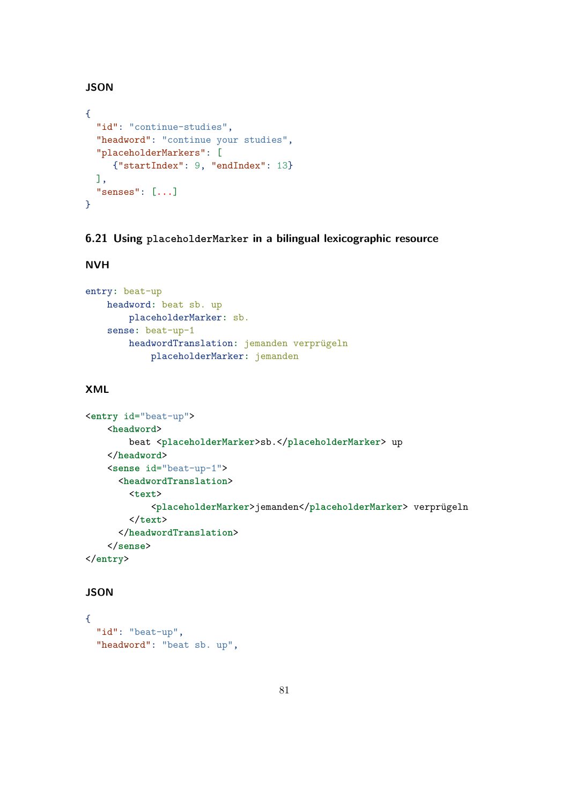**JSON**

```
{
  "id": "continue-studies",
  "headword": "continue your studies",
  "placeholderMarkers": [
     {"startIndex": 9, "endIndex": 13}
 ],
  "senses": [...]
}
```
## **6.21 Using placeholderMarker in a bilingual lexicographic resource**

# **NVH**

```
entry: beat-up
   headword: beat sb. up
       placeholderMarker: sb.
   sense: beat-up-1
       headwordTranslation: jemanden verprügeln
            placeholderMarker: jemanden
```
## **XML**

```
<entry id="beat-up">
    <headword>
        beat <placeholderMarker>sb.</placeholderMarker> up
    </headword>
    <sense id="beat-up-1">
      <headwordTranslation>
        <text>
            <placeholderMarker>jemanden</placeholderMarker> verprügeln
        </text>
      </headwordTranslation>
    </sense>
</entry>
```
# **JSON**

```
{
  "id": "beat-up",
  "headword": "beat sb. up",
```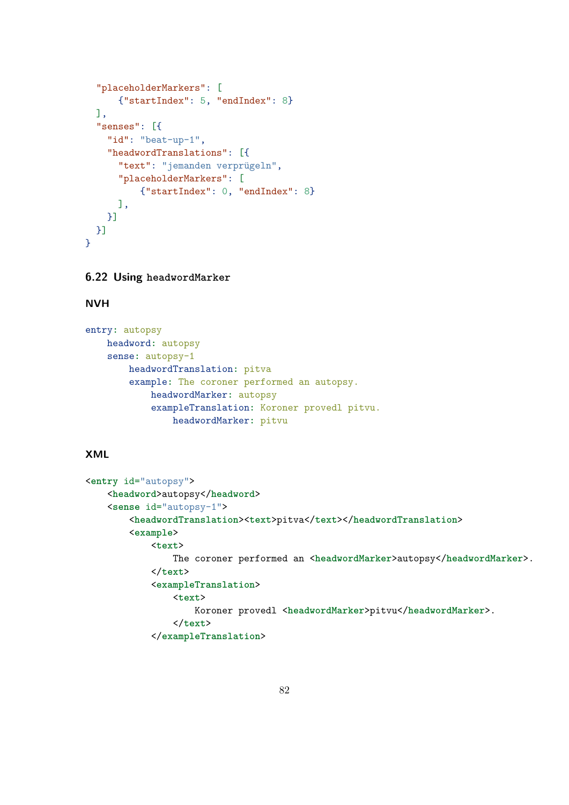```
"placeholderMarkers": [
      {"startIndex": 5, "endIndex": 8}
  ],
  "senses": [{
    "id": "beat-up-1",
    "headwordTranslations": [{
      "text": "jemanden verprügeln",
      "placeholderMarkers": [
          {"startIndex": 0, "endIndex": 8}
      ],
    \uparrow}]
}
```
### **6.22 Using headwordMarker**

### **NVH**

```
entry: autopsy
   headword: autopsy
    sense: autopsy-1
        headwordTranslation: pitva
        example: The coroner performed an autopsy.
            headwordMarker: autopsy
            exampleTranslation: Koroner provedl pitvu.
                headwordMarker: pitvu
```
### **XML**

```
<entry id="autopsy">
    <headword>autopsy</headword>
    <sense id="autopsy-1">
        <headwordTranslation><text>pitva</text></headwordTranslation>
        <example>
            <text>
                The coroner performed an <headwordMarker>autopsy</headwordMarker>.
            </text>
            <exampleTranslation>
                <text>
                    Koroner provedl <headwordMarker>pitvu</headwordMarker>.
                </text>
            </exampleTranslation>
```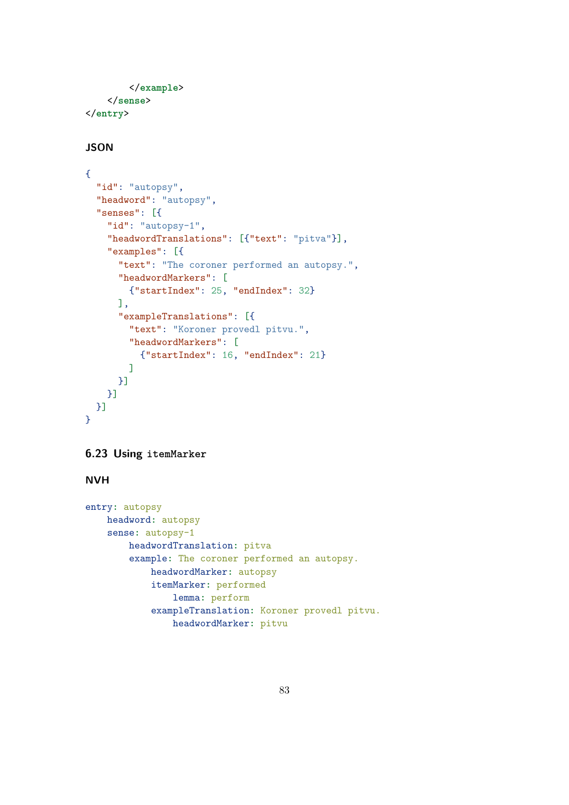```
</example>
    </sense>
</entry>
```
## **JSON**

```
{
  "id": "autopsy",
  "headword": "autopsy",
  "senses": [{
   "id": "autopsy-1",
    "headwordTranslations": [{"text": "pitva"}],
    "examples": [{
      "text": "The coroner performed an autopsy.",
      "headwordMarkers": [
        {"startIndex": 25, "endIndex": 32}
      ],
      "exampleTranslations": [{
        "text": "Koroner provedl pitvu.",
        "headwordMarkers": [
          {"startIndex": 16, "endIndex": 21}
        ]
      }]
   }]
 }]
}
```
## **6.23 Using itemMarker**

# **NVH**

```
entry: autopsy
   headword: autopsy
    sense: autopsy-1
       headwordTranslation: pitva
        example: The coroner performed an autopsy.
            headwordMarker: autopsy
            itemMarker: performed
                lemma: perform
            exampleTranslation: Koroner provedl pitvu.
                headwordMarker: pitvu
```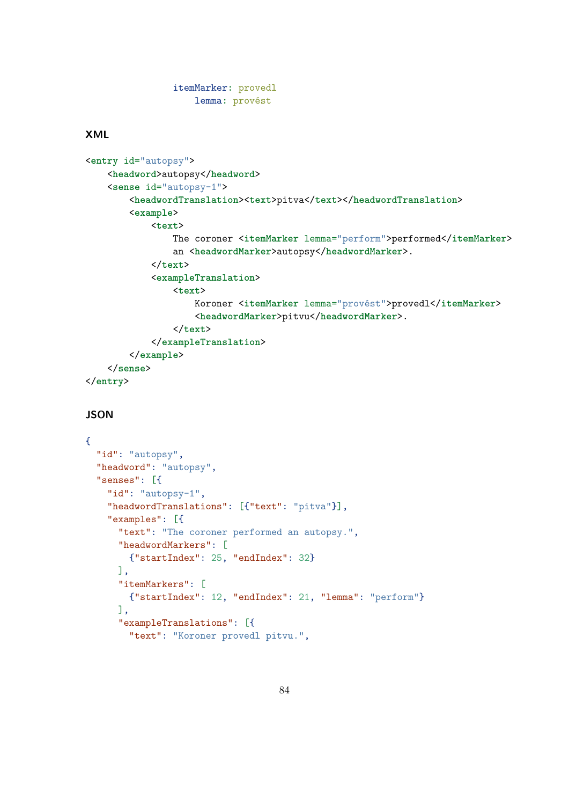```
itemMarker: provedl
   lemma: provést
```
## **XML**

```
<entry id="autopsy">
   <headword>autopsy</headword>
    <sense id="autopsy-1">
        <headwordTranslation><text>pitva</text></headwordTranslation>
        <example>
            <text>
                The coroner <itemMarker lemma="perform">performed</itemMarker>
                an <headwordMarker>autopsy</headwordMarker>.
            </text>
            <exampleTranslation>
                <text>
                    Koroner <itemMarker lemma="provést">provedl</itemMarker>
                    <headwordMarker>pitvu</headwordMarker>.
                </text>
            </exampleTranslation>
        </example>
    </sense>
</entry>
```
## **JSON**

```
{
  "id": "autopsy",
  "headword": "autopsy",
  "senses": [{
    "id": "autopsy-1",
    "headwordTranslations": [{"text": "pitva"}],
    "examples": [{
      "text": "The coroner performed an autopsy.",
      "headwordMarkers": [
       {"startIndex": 25, "endIndex": 32}
      ],
      "itemMarkers": [
        {"startIndex": 12, "endIndex": 21, "lemma": "perform"}
      ],
      "exampleTranslations": [{
        "text": "Koroner provedl pitvu.",
```